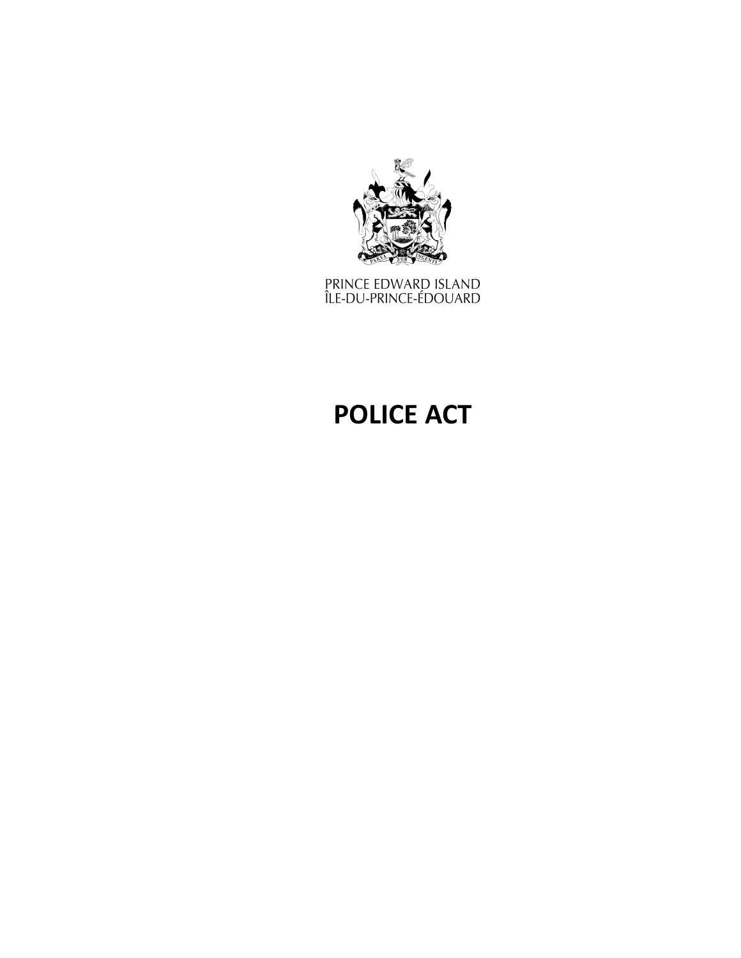

prince edward island<br>Île-du-prince-édouard

# **POLICE ACT**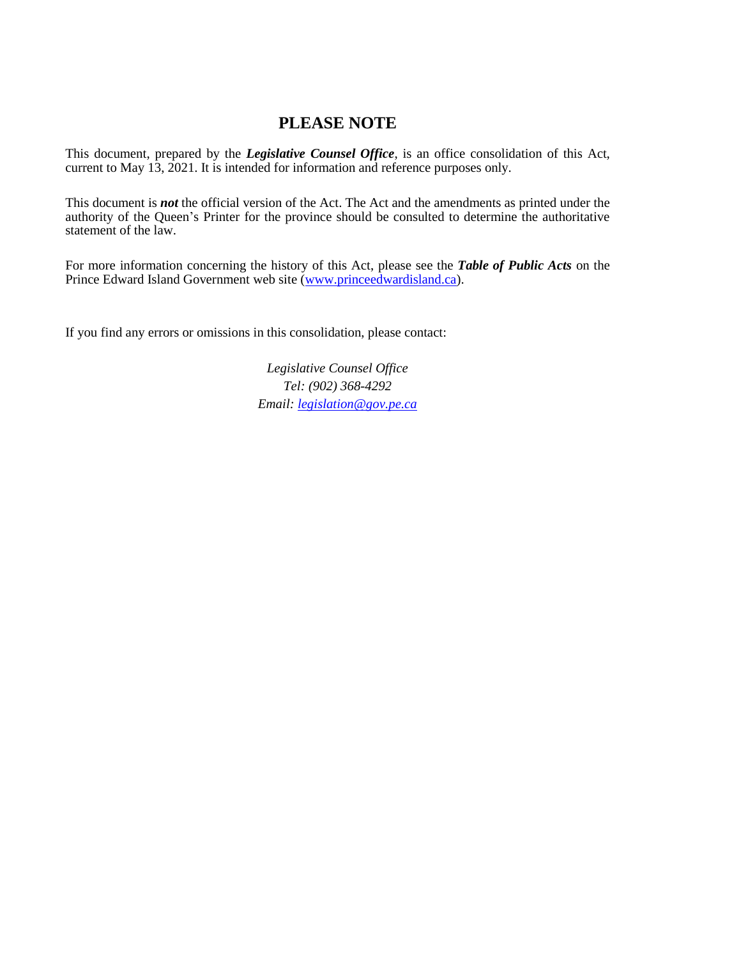# **PLEASE NOTE**

This document, prepared by the *[Legislative](http://www.gov.pe.ca/jps/index.php3?number=1027247) Counsel Office*, is an office consolidation of this Act, current to May 13, 2021. It is intended for information and reference purposes only.

This document is *not* the official version of the Act. The Act and the amendments as printed under the authority of the Queen's Printer for the province should be consulted to determine the authoritative statement of the law.

For more information concerning the history of this Act, please see the *[Table of Public Acts](https://www.princeedwardisland.ca/sites/default/files/publications/leg_table_acts.pdf)* on the Prince Edward Island Government web site [\(www.princeedwardisland.ca\)](http://www.princeedwardisland.ca/).

If you find any errors or omissions in this consolidation, please contact:

*Legislative Counsel Office Tel: (902) 368-4292 Email: [legislation@gov.pe.ca](mailto:legislation@gov.pe.ca)*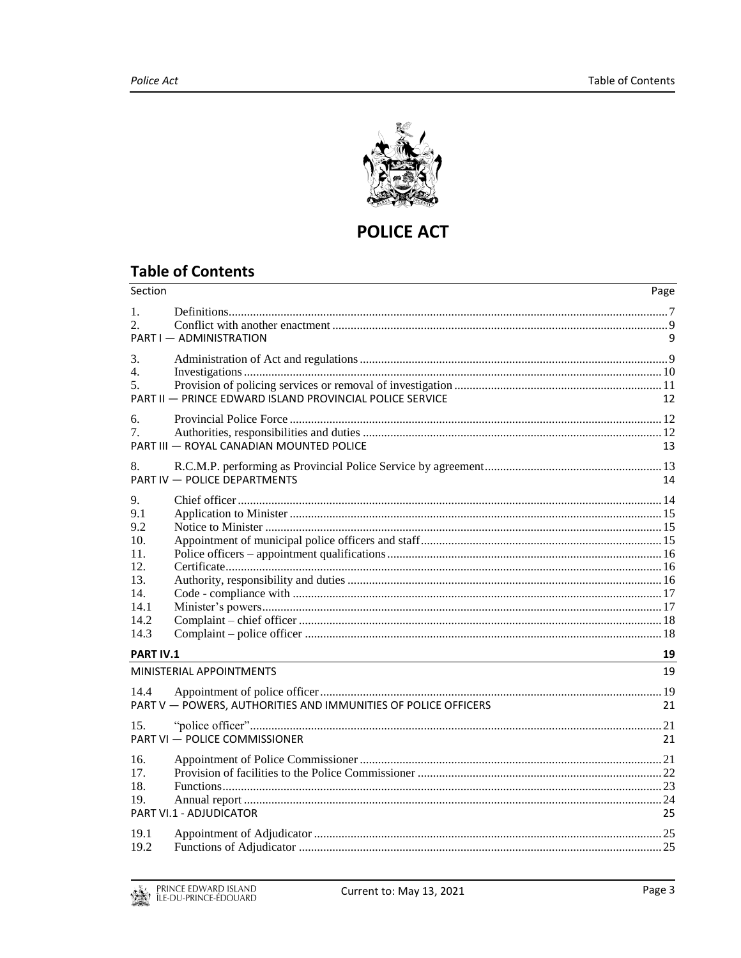

# **POLICE ACT**

# **Table of Contents**

| Section                                                                     |                                                                | Page     |
|-----------------------------------------------------------------------------|----------------------------------------------------------------|----------|
| $1_{-}$<br>2.5                                                              | PART I - ADMINISTRATION                                        |          |
| 3.<br>4.<br>5.                                                              | PART II - PRINCE EDWARD ISLAND PROVINCIAL POLICE SERVICE       | 12       |
| 6.<br>7.                                                                    | PART III - ROYAL CANADIAN MOUNTED POLICE                       | 13       |
| 8.                                                                          | PART IV - POLICE DEPARTMENTS                                   | 14       |
| 9.<br>9.1<br>9.2<br>10.<br>11.<br>12.<br>13.<br>14.<br>14.1<br>14.2<br>14.3 |                                                                |          |
| <b>PART IV.1</b>                                                            | MINISTERIAL APPOINTMENTS                                       | 19<br>19 |
| 14.4                                                                        | PART V - POWERS, AUTHORITIES AND IMMUNITIES OF POLICE OFFICERS | 21       |
| 15.                                                                         | PART VI - POLICE COMMISSIONER                                  | 21       |
| 16.<br>17.<br>18.<br>19.                                                    | PART VI.1 - ADJUDICATOR                                        | 25       |
| 19.1<br>19.2                                                                |                                                                |          |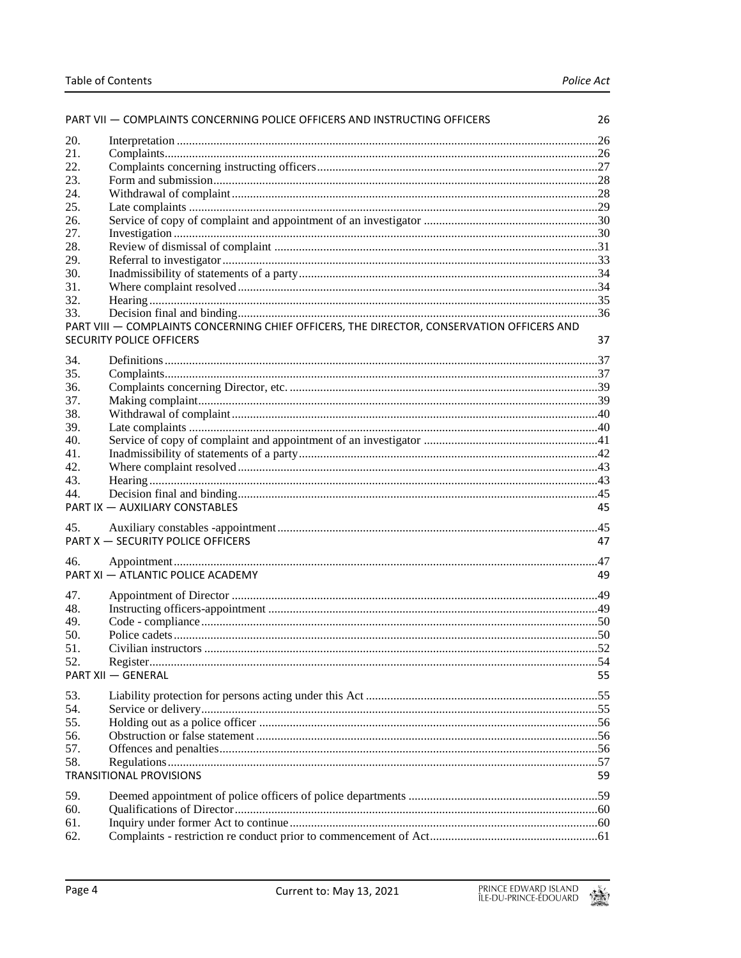|            | PART VII - COMPLAINTS CONCERNING POLICE OFFICERS AND INSTRUCTING OFFICERS                 | 26 |
|------------|-------------------------------------------------------------------------------------------|----|
| 20.        |                                                                                           |    |
| 21.        |                                                                                           |    |
| 22.        |                                                                                           |    |
| 23.        |                                                                                           |    |
| 24.        |                                                                                           |    |
| 25.        |                                                                                           |    |
| 26.        |                                                                                           |    |
| 27.        |                                                                                           |    |
| 28.        |                                                                                           |    |
| 29.        |                                                                                           |    |
| 30.        |                                                                                           |    |
| 31.        |                                                                                           |    |
| 32.        |                                                                                           |    |
| 33.        |                                                                                           |    |
|            | PART VIII - COMPLAINTS CONCERNING CHIEF OFFICERS, THE DIRECTOR, CONSERVATION OFFICERS AND |    |
|            | <b>SECURITY POLICE OFFICERS</b>                                                           | 37 |
| 34.        |                                                                                           |    |
| 35.        |                                                                                           |    |
| 36.        |                                                                                           |    |
| 37.        |                                                                                           |    |
| 38.        |                                                                                           |    |
| 39.        |                                                                                           |    |
| 40.        |                                                                                           |    |
| 41.        |                                                                                           |    |
| 42.        |                                                                                           |    |
| 43.        |                                                                                           |    |
| 44.        |                                                                                           |    |
|            | PART IX - AUXILIARY CONSTABLES                                                            | 45 |
| 45.        |                                                                                           |    |
|            | PART X - SECURITY POLICE OFFICERS                                                         | 47 |
|            |                                                                                           |    |
| 46.        |                                                                                           |    |
|            | PART XI - ATLANTIC POLICE ACADEMY                                                         | 49 |
| 47.        |                                                                                           |    |
| 48.        |                                                                                           |    |
| 49.        |                                                                                           |    |
| 50.        |                                                                                           |    |
| 51.        |                                                                                           |    |
| 52.        |                                                                                           |    |
|            | <b>PART XII - GENERAL</b>                                                                 | 55 |
| 53.        |                                                                                           |    |
| 54.        |                                                                                           |    |
| 55.        |                                                                                           |    |
| 56.        |                                                                                           |    |
| 57.        |                                                                                           |    |
| 58.        |                                                                                           |    |
|            | <b>TRANSITIONAL PROVISIONS</b>                                                            | 59 |
|            |                                                                                           |    |
| 59.<br>60. |                                                                                           |    |
| 61.        |                                                                                           |    |
| 62.        |                                                                                           |    |
|            |                                                                                           |    |

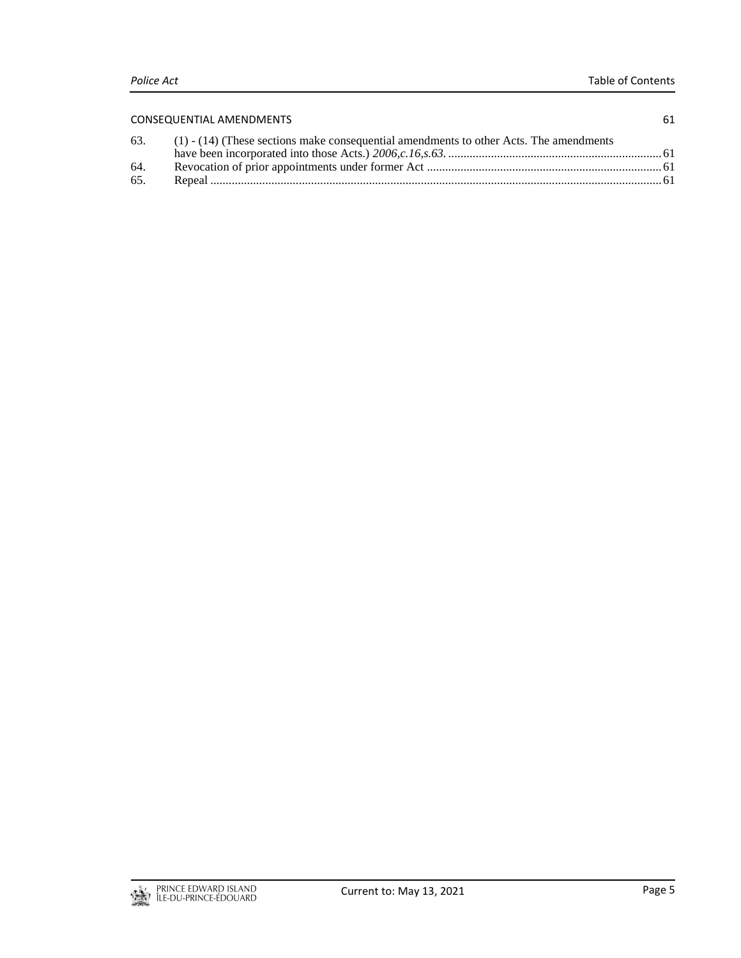| <b>CONSEQUENTIAL AMENDMENTS</b> |                                                                                            | 61 |
|---------------------------------|--------------------------------------------------------------------------------------------|----|
|                                 | 63. (1) - (14) (These sections make consequential amendments to other Acts. The amendments |    |
|                                 |                                                                                            |    |
| 64.                             |                                                                                            |    |
| 65.                             |                                                                                            |    |
|                                 |                                                                                            |    |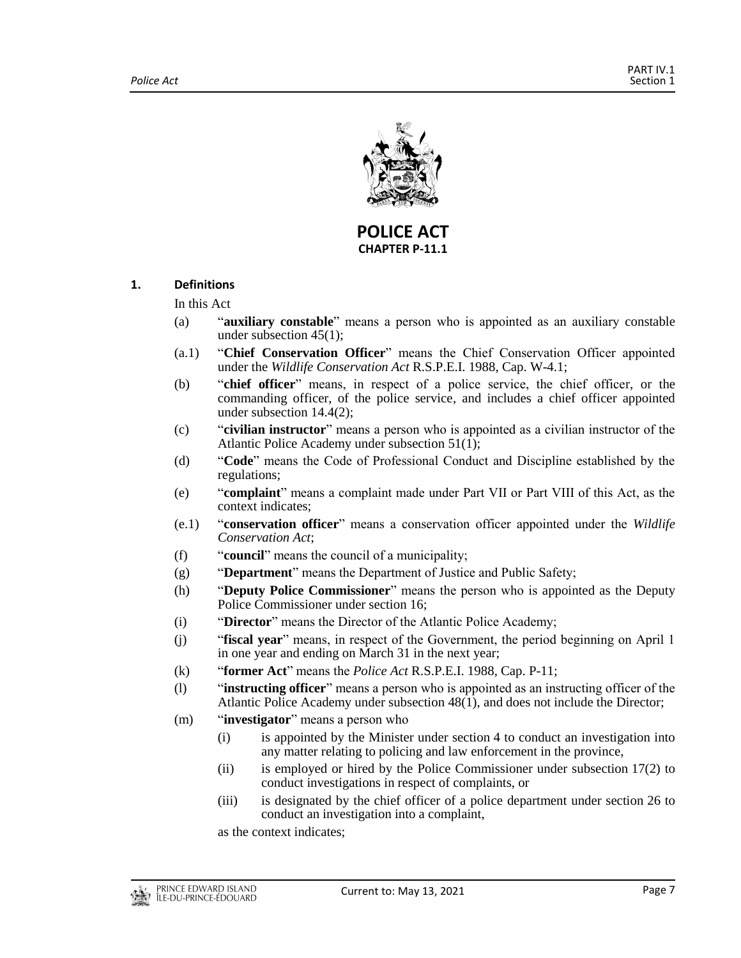

**POLICE ACT CHAPTER P-11.1**

## <span id="page-6-0"></span>**1. Definitions**

In this Act

- (a) "**auxiliary constable**" means a person who is appointed as an auxiliary constable under subsection 45(1);
- (a.1) "**Chief Conservation Officer**" means the Chief Conservation Officer appointed under the *Wildlife Conservation Act* R.S.P.E.I. 1988, Cap. W-4.1;
- (b) "**chief officer**" means, in respect of a police service, the chief officer, or the commanding officer, of the police service, and includes a chief officer appointed under subsection 14.4(2);
- (c) "**civilian instructor**" means a person who is appointed as a civilian instructor of the Atlantic Police Academy under subsection 51(1);
- (d) "**Code**" means the Code of Professional Conduct and Discipline established by the regulations;
- (e) "**complaint**" means a complaint made under Part VII or Part VIII of this Act, as the context indicates;
- (e.1) "**conservation officer**" means a conservation officer appointed under the *Wildlife Conservation Act*;
- (f) "**council**" means the council of a municipality;
- (g) "**Department**" means the Department of Justice and Public Safety;
- (h) "**Deputy Police Commissioner**" means the person who is appointed as the Deputy Police Commissioner under section 16;
- (i) "**Director**" means the Director of the Atlantic Police Academy;
- (j) "**fiscal year**" means, in respect of the Government, the period beginning on April 1 in one year and ending on March 31 in the next year;
- (k) "**former Act**" means the *Police Act* R.S.P.E.I. 1988, Cap. P-11;
- (l) "**instructing officer**" means a person who is appointed as an instructing officer of the Atlantic Police Academy under subsection 48(1), and does not include the Director;
- (m) "**investigator**" means a person who
	- (i) is appointed by the Minister under section 4 to conduct an investigation into any matter relating to policing and law enforcement in the province,
	- (ii) is employed or hired by the Police Commissioner under subsection 17(2) to conduct investigations in respect of complaints, or
	- (iii) is designated by the chief officer of a police department under section 26 to conduct an investigation into a complaint,

as the context indicates;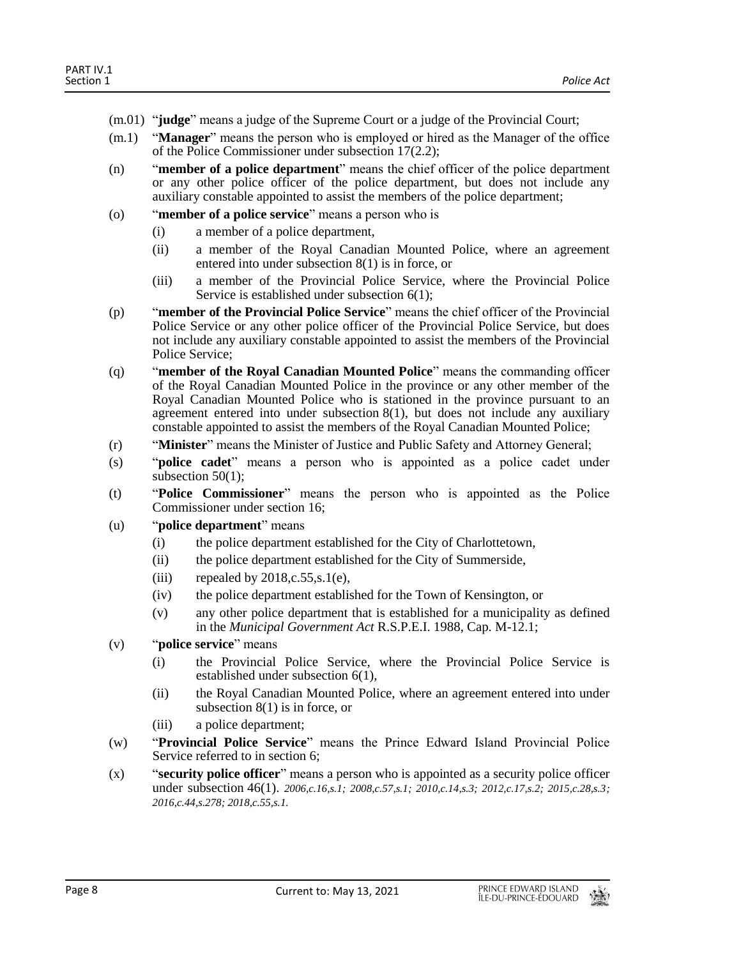- (m.01) "**judge**" means a judge of the Supreme Court or a judge of the Provincial Court;
- (m.1) "**Manager**" means the person who is employed or hired as the Manager of the office of the Police Commissioner under subsection 17(2.2);
- (n) "**member of a police department**" means the chief officer of the police department or any other police officer of the police department, but does not include any auxiliary constable appointed to assist the members of the police department;
- (o) "**member of a police service**" means a person who is
	- (i) a member of a police department,
	- (ii) a member of the Royal Canadian Mounted Police, where an agreement entered into under subsection 8(1) is in force, or
	- (iii) a member of the Provincial Police Service, where the Provincial Police Service is established under subsection 6(1);
- (p) "**member of the Provincial Police Service**" means the chief officer of the Provincial Police Service or any other police officer of the Provincial Police Service, but does not include any auxiliary constable appointed to assist the members of the Provincial Police Service;
- (q) "**member of the Royal Canadian Mounted Police**" means the commanding officer of the Royal Canadian Mounted Police in the province or any other member of the Royal Canadian Mounted Police who is stationed in the province pursuant to an agreement entered into under subsection  $8(1)$ , but does not include any auxiliary constable appointed to assist the members of the Royal Canadian Mounted Police;
- (r) "**Minister**" means the Minister of Justice and Public Safety and Attorney General;
- (s) "**police cadet**" means a person who is appointed as a police cadet under subsection 50(1);
- (t) "**Police Commissioner**" means the person who is appointed as the Police Commissioner under section 16;
- (u) "**police department**" means
	- (i) the police department established for the City of Charlottetown,
	- (ii) the police department established for the City of Summerside,
	- (iii) repealed by  $2018, c.55, s.1(e)$ ,
	- (iv) the police department established for the Town of Kensington, or
	- (v) any other police department that is established for a municipality as defined in the *Municipal Government Act R.S.P.E.I.* 1988, Cap. M-12.1;
- (v) "**police service**" means
	- (i) the Provincial Police Service, where the Provincial Police Service is established under subsection 6(1),
	- (ii) the Royal Canadian Mounted Police, where an agreement entered into under subsection 8(1) is in force, or
	- (iii) a police department;
- (w) "**Provincial Police Service**" means the Prince Edward Island Provincial Police Service referred to in section 6;
- (x) "**security police officer**" means a person who is appointed as a security police officer under subsection 46(1). *2006,c.16,s.1; 2008,c.57,s.1; 2010,c.14,s.3; 2012,c.17,s.2; 2015,c.28,s.3; 2016,c.44,s.278; 2018,c.55,s.1.*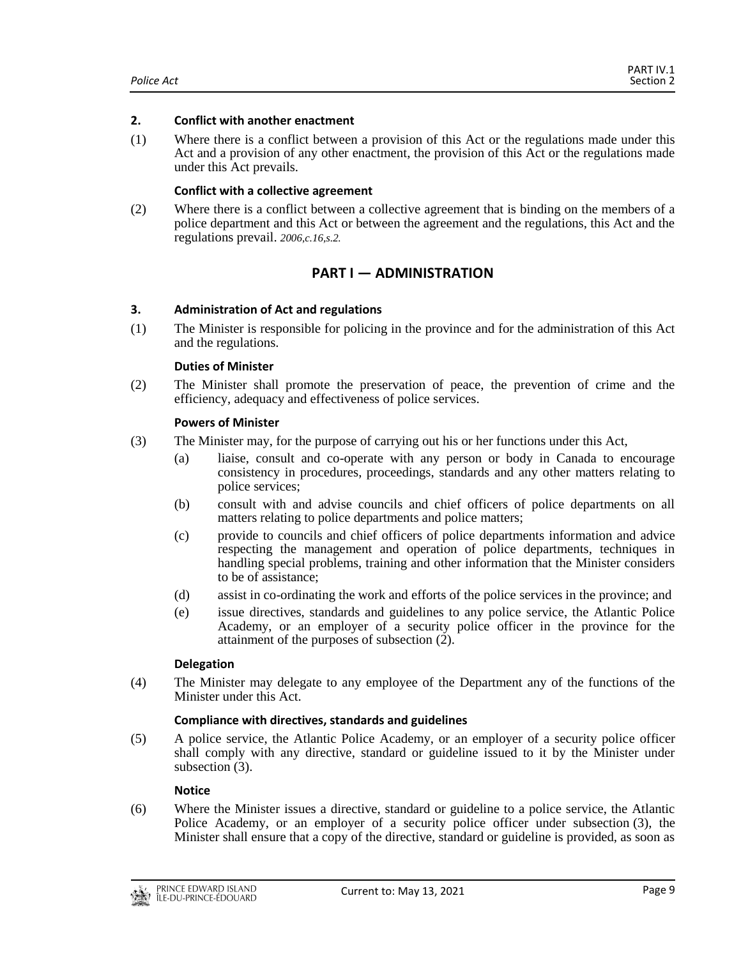#### <span id="page-8-0"></span>**2. Conflict with another enactment**

(1) Where there is a conflict between a provision of this Act or the regulations made under this Act and a provision of any other enactment, the provision of this Act or the regulations made under this Act prevails.

#### **Conflict with a collective agreement**

<span id="page-8-1"></span>(2) Where there is a conflict between a collective agreement that is binding on the members of a police department and this Act or between the agreement and the regulations, this Act and the regulations prevail. *2006,c.16,s.2.*

# **PART I — ADMINISTRATION**

## <span id="page-8-2"></span>**3. Administration of Act and regulations**

(1) The Minister is responsible for policing in the province and for the administration of this Act and the regulations.

#### **Duties of Minister**

(2) The Minister shall promote the preservation of peace, the prevention of crime and the efficiency, adequacy and effectiveness of police services.

#### **Powers of Minister**

- (3) The Minister may, for the purpose of carrying out his or her functions under this Act,
	- (a) liaise, consult and co-operate with any person or body in Canada to encourage consistency in procedures, proceedings, standards and any other matters relating to police services;
	- (b) consult with and advise councils and chief officers of police departments on all matters relating to police departments and police matters;
	- (c) provide to councils and chief officers of police departments information and advice respecting the management and operation of police departments, techniques in handling special problems, training and other information that the Minister considers to be of assistance;
	- (d) assist in co-ordinating the work and efforts of the police services in the province; and
	- (e) issue directives, standards and guidelines to any police service, the Atlantic Police Academy, or an employer of a security police officer in the province for the attainment of the purposes of subsection (2).

#### **Delegation**

(4) The Minister may delegate to any employee of the Department any of the functions of the Minister under this Act.

#### **Compliance with directives, standards and guidelines**

(5) A police service, the Atlantic Police Academy, or an employer of a security police officer shall comply with any directive, standard or guideline issued to it by the Minister under subsection (3).

#### **Notice**

(6) Where the Minister issues a directive, standard or guideline to a police service, the Atlantic Police Academy, or an employer of a security police officer under subsection (3), the Minister shall ensure that a copy of the directive, standard or guideline is provided, as soon as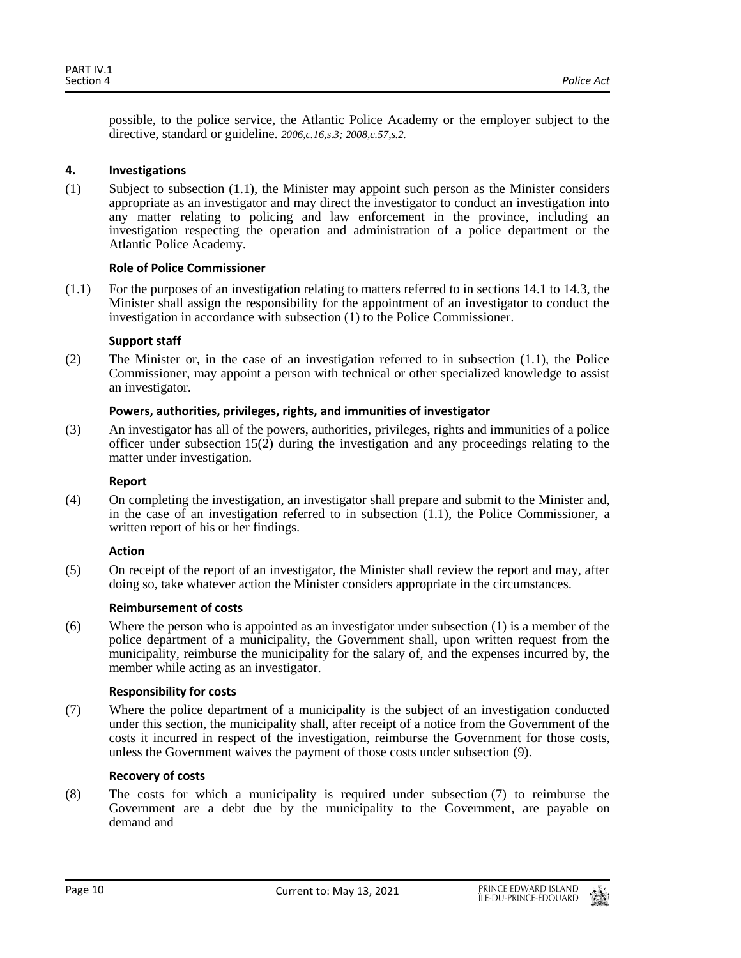possible, to the police service, the Atlantic Police Academy or the employer subject to the directive, standard or guideline. *2006,c.16,s.3; 2008,c.57,s.2.*

## <span id="page-9-0"></span>**4. Investigations**

(1) Subject to subsection (1.1), the Minister may appoint such person as the Minister considers appropriate as an investigator and may direct the investigator to conduct an investigation into any matter relating to policing and law enforcement in the province, including an investigation respecting the operation and administration of a police department or the Atlantic Police Academy.

## **Role of Police Commissioner**

(1.1) For the purposes of an investigation relating to matters referred to in sections 14.1 to 14.3, the Minister shall assign the responsibility for the appointment of an investigator to conduct the investigation in accordance with subsection (1) to the Police Commissioner.

## **Support staff**

(2) The Minister or, in the case of an investigation referred to in subsection (1.1), the Police Commissioner, may appoint a person with technical or other specialized knowledge to assist an investigator.

## **Powers, authorities, privileges, rights, and immunities of investigator**

(3) An investigator has all of the powers, authorities, privileges, rights and immunities of a police officer under subsection 15(2) during the investigation and any proceedings relating to the matter under investigation.

#### **Report**

(4) On completing the investigation, an investigator shall prepare and submit to the Minister and, in the case of an investigation referred to in subsection (1.1), the Police Commissioner, a written report of his or her findings.

## **Action**

(5) On receipt of the report of an investigator, the Minister shall review the report and may, after doing so, take whatever action the Minister considers appropriate in the circumstances.

## **Reimbursement of costs**

(6) Where the person who is appointed as an investigator under subsection (1) is a member of the police department of a municipality, the Government shall, upon written request from the municipality, reimburse the municipality for the salary of, and the expenses incurred by, the member while acting as an investigator.

#### **Responsibility for costs**

(7) Where the police department of a municipality is the subject of an investigation conducted under this section, the municipality shall, after receipt of a notice from the Government of the costs it incurred in respect of the investigation, reimburse the Government for those costs, unless the Government waives the payment of those costs under subsection (9).

## **Recovery of costs**

(8) The costs for which a municipality is required under subsection (7) to reimburse the Government are a debt due by the municipality to the Government, are payable on demand and

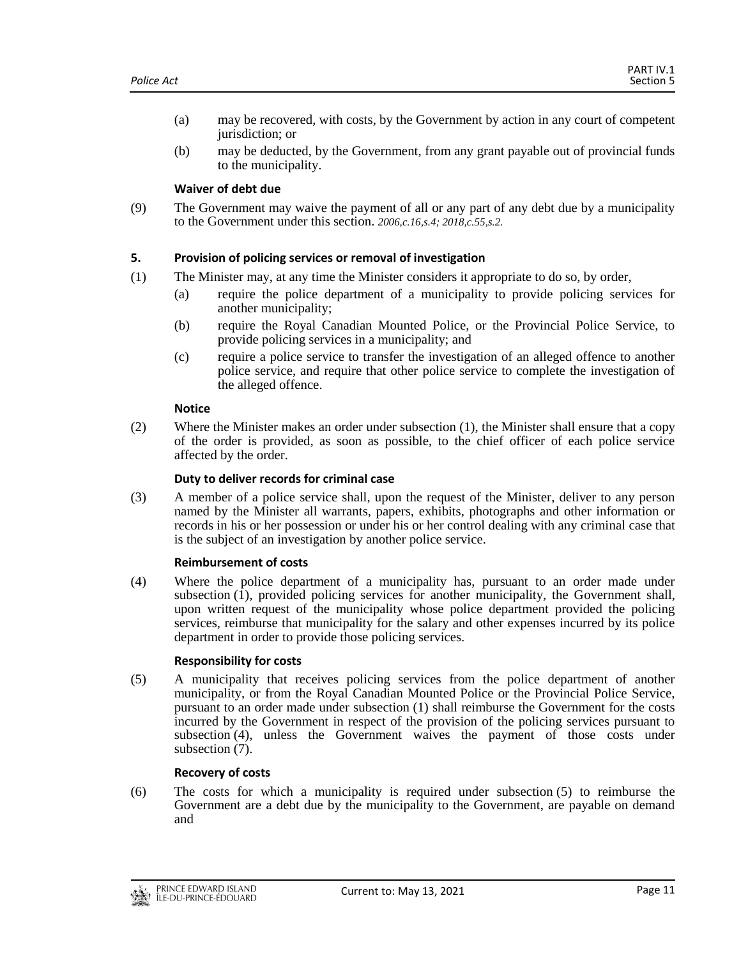- (a) may be recovered, with costs, by the Government by action in any court of competent jurisdiction; or
- (b) may be deducted, by the Government, from any grant payable out of provincial funds to the municipality.

## **Waiver of debt due**

(9) The Government may waive the payment of all or any part of any debt due by a municipality to the Government under this section. *2006,c.16,s.4; 2018,c.55,s.2.*

## <span id="page-10-0"></span>**5. Provision of policing services or removal of investigation**

- (1) The Minister may, at any time the Minister considers it appropriate to do so, by order,
	- (a) require the police department of a municipality to provide policing services for another municipality;
	- (b) require the Royal Canadian Mounted Police, or the Provincial Police Service, to provide policing services in a municipality; and
	- (c) require a police service to transfer the investigation of an alleged offence to another police service, and require that other police service to complete the investigation of the alleged offence.

## **Notice**

(2) Where the Minister makes an order under subsection (1), the Minister shall ensure that a copy of the order is provided, as soon as possible, to the chief officer of each police service affected by the order.

## **Duty to deliver records for criminal case**

(3) A member of a police service shall, upon the request of the Minister, deliver to any person named by the Minister all warrants, papers, exhibits, photographs and other information or records in his or her possession or under his or her control dealing with any criminal case that is the subject of an investigation by another police service.

#### **Reimbursement of costs**

(4) Where the police department of a municipality has, pursuant to an order made under subsection (1), provided policing services for another municipality, the Government shall, upon written request of the municipality whose police department provided the policing services, reimburse that municipality for the salary and other expenses incurred by its police department in order to provide those policing services.

#### **Responsibility for costs**

(5) A municipality that receives policing services from the police department of another municipality, or from the Royal Canadian Mounted Police or the Provincial Police Service, pursuant to an order made under subsection (1) shall reimburse the Government for the costs incurred by the Government in respect of the provision of the policing services pursuant to subsection (4), unless the Government waives the payment of those costs under subsection (7).

## **Recovery of costs**

(6) The costs for which a municipality is required under subsection (5) to reimburse the Government are a debt due by the municipality to the Government, are payable on demand and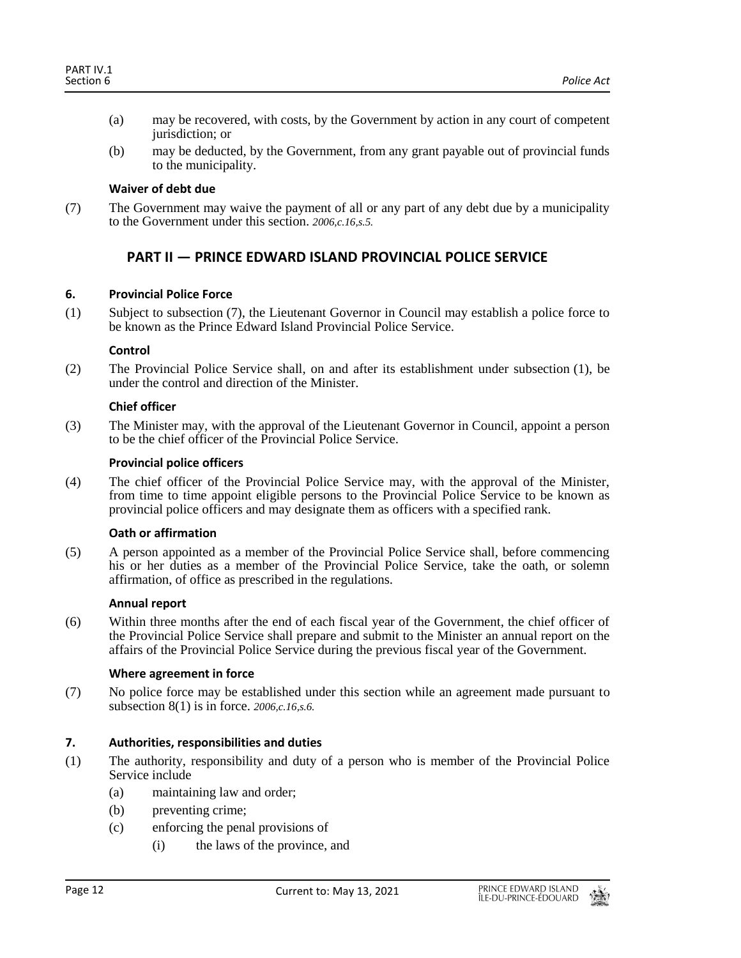- (a) may be recovered, with costs, by the Government by action in any court of competent jurisdiction; or
- (b) may be deducted, by the Government, from any grant payable out of provincial funds to the municipality.

## **Waiver of debt due**

<span id="page-11-0"></span>(7) The Government may waive the payment of all or any part of any debt due by a municipality to the Government under this section. *2006,c.16,s.5.*

# **PART II — PRINCE EDWARD ISLAND PROVINCIAL POLICE SERVICE**

## <span id="page-11-1"></span>**6. Provincial Police Force**

(1) Subject to subsection (7), the Lieutenant Governor in Council may establish a police force to be known as the Prince Edward Island Provincial Police Service.

## **Control**

(2) The Provincial Police Service shall, on and after its establishment under subsection (1), be under the control and direction of the Minister.

## **Chief officer**

(3) The Minister may, with the approval of the Lieutenant Governor in Council, appoint a person to be the chief officer of the Provincial Police Service.

## **Provincial police officers**

(4) The chief officer of the Provincial Police Service may, with the approval of the Minister, from time to time appoint eligible persons to the Provincial Police Service to be known as provincial police officers and may designate them as officers with a specified rank.

#### **Oath or affirmation**

(5) A person appointed as a member of the Provincial Police Service shall, before commencing his or her duties as a member of the Provincial Police Service, take the oath, or solemn affirmation, of office as prescribed in the regulations.

#### **Annual report**

(6) Within three months after the end of each fiscal year of the Government, the chief officer of the Provincial Police Service shall prepare and submit to the Minister an annual report on the affairs of the Provincial Police Service during the previous fiscal year of the Government.

## **Where agreement in force**

(7) No police force may be established under this section while an agreement made pursuant to subsection 8(1) is in force. *2006,c.16,s.6.*

## <span id="page-11-2"></span>**7. Authorities, responsibilities and duties**

- (1) The authority, responsibility and duty of a person who is member of the Provincial Police Service include
	- (a) maintaining law and order;
	- (b) preventing crime;
	- (c) enforcing the penal provisions of
		- (i) the laws of the province, and

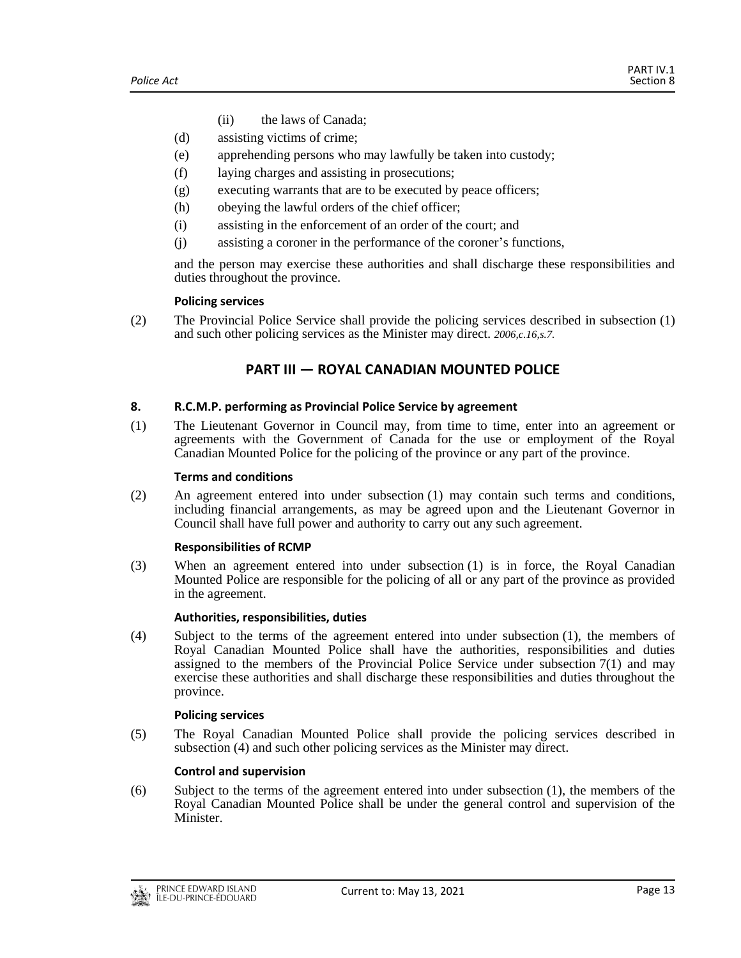- (ii) the laws of Canada;
- (d) assisting victims of crime;
- (e) apprehending persons who may lawfully be taken into custody;
- (f) laying charges and assisting in prosecutions;
- (g) executing warrants that are to be executed by peace officers;
- (h) obeying the lawful orders of the chief officer;
- (i) assisting in the enforcement of an order of the court; and
- (j) assisting a coroner in the performance of the coroner's functions,

and the person may exercise these authorities and shall discharge these responsibilities and duties throughout the province.

#### **Policing services**

<span id="page-12-0"></span>(2) The Provincial Police Service shall provide the policing services described in subsection (1) and such other policing services as the Minister may direct. *2006,c.16,s.7.*

# **PART III — ROYAL CANADIAN MOUNTED POLICE**

## <span id="page-12-1"></span>**8. R.C.M.P. performing as Provincial Police Service by agreement**

(1) The Lieutenant Governor in Council may, from time to time, enter into an agreement or agreements with the Government of Canada for the use or employment of the Royal Canadian Mounted Police for the policing of the province or any part of the province.

## **Terms and conditions**

(2) An agreement entered into under subsection (1) may contain such terms and conditions, including financial arrangements, as may be agreed upon and the Lieutenant Governor in Council shall have full power and authority to carry out any such agreement.

#### **Responsibilities of RCMP**

(3) When an agreement entered into under subsection (1) is in force, the Royal Canadian Mounted Police are responsible for the policing of all or any part of the province as provided in the agreement.

#### **Authorities, responsibilities, duties**

(4) Subject to the terms of the agreement entered into under subsection (1), the members of Royal Canadian Mounted Police shall have the authorities, responsibilities and duties assigned to the members of the Provincial Police Service under subsection 7(1) and may exercise these authorities and shall discharge these responsibilities and duties throughout the province.

## **Policing services**

(5) The Royal Canadian Mounted Police shall provide the policing services described in subsection (4) and such other policing services as the Minister may direct.

## **Control and supervision**

(6) Subject to the terms of the agreement entered into under subsection (1), the members of the Royal Canadian Mounted Police shall be under the general control and supervision of the Minister.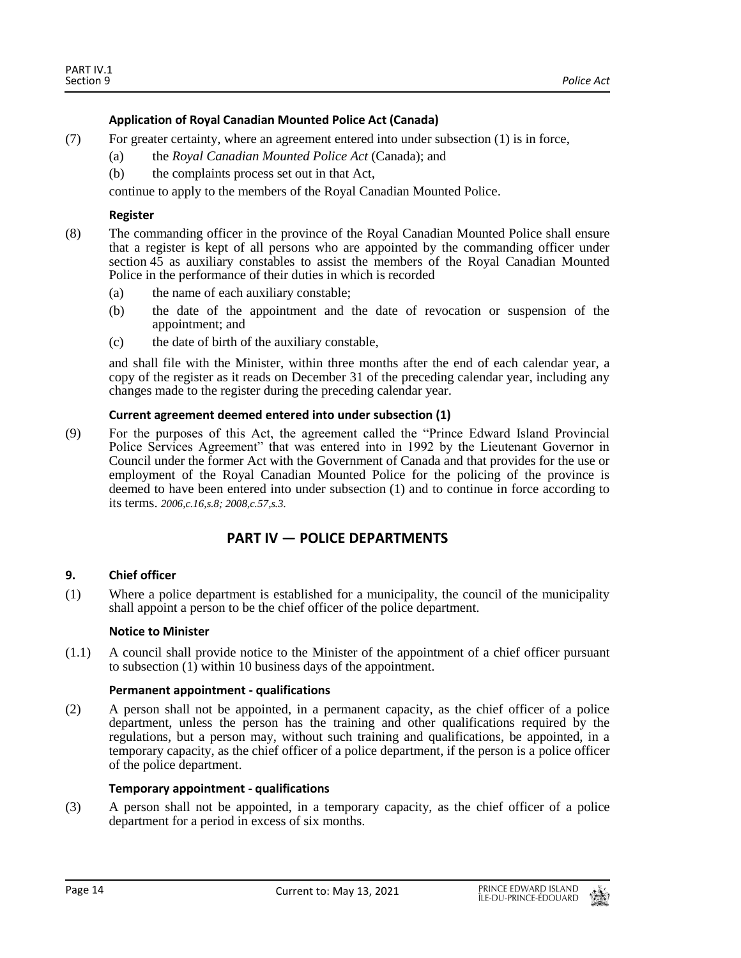## **Application of Royal Canadian Mounted Police Act (Canada)**

- (7) For greater certainty, where an agreement entered into under subsection (1) is in force,
	- (a) the *Royal Canadian Mounted Police Act* (Canada); and
	- (b) the complaints process set out in that Act,

continue to apply to the members of the Royal Canadian Mounted Police.

#### **Register**

- (8) The commanding officer in the province of the Royal Canadian Mounted Police shall ensure that a register is kept of all persons who are appointed by the commanding officer under section 45 as auxiliary constables to assist the members of the Royal Canadian Mounted Police in the performance of their duties in which is recorded
	- (a) the name of each auxiliary constable;
	- (b) the date of the appointment and the date of revocation or suspension of the appointment; and
	- (c) the date of birth of the auxiliary constable,

and shall file with the Minister, within three months after the end of each calendar year, a copy of the register as it reads on December 31 of the preceding calendar year, including any changes made to the register during the preceding calendar year.

## **Current agreement deemed entered into under subsection (1)**

(9) For the purposes of this Act, the agreement called the "Prince Edward Island Provincial Police Services Agreement" that was entered into in 1992 by the Lieutenant Governor in Council under the former Act with the Government of Canada and that provides for the use or employment of the Royal Canadian Mounted Police for the policing of the province is deemed to have been entered into under subsection (1) and to continue in force according to its terms. *2006,c.16,s.8; 2008,c.57,s.3.*

## **PART IV — POLICE DEPARTMENTS**

## <span id="page-13-1"></span><span id="page-13-0"></span>**9. Chief officer**

(1) Where a police department is established for a municipality, the council of the municipality shall appoint a person to be the chief officer of the police department.

#### **Notice to Minister**

(1.1) A council shall provide notice to the Minister of the appointment of a chief officer pursuant to subsection  $(1)$  within 10 business days of the appointment.

#### **Permanent appointment - qualifications**

(2) A person shall not be appointed, in a permanent capacity, as the chief officer of a police department, unless the person has the training and other qualifications required by the regulations, but a person may, without such training and qualifications, be appointed, in a temporary capacity, as the chief officer of a police department, if the person is a police officer of the police department.

#### **Temporary appointment - qualifications**

(3) A person shall not be appointed, in a temporary capacity, as the chief officer of a police department for a period in excess of six months.

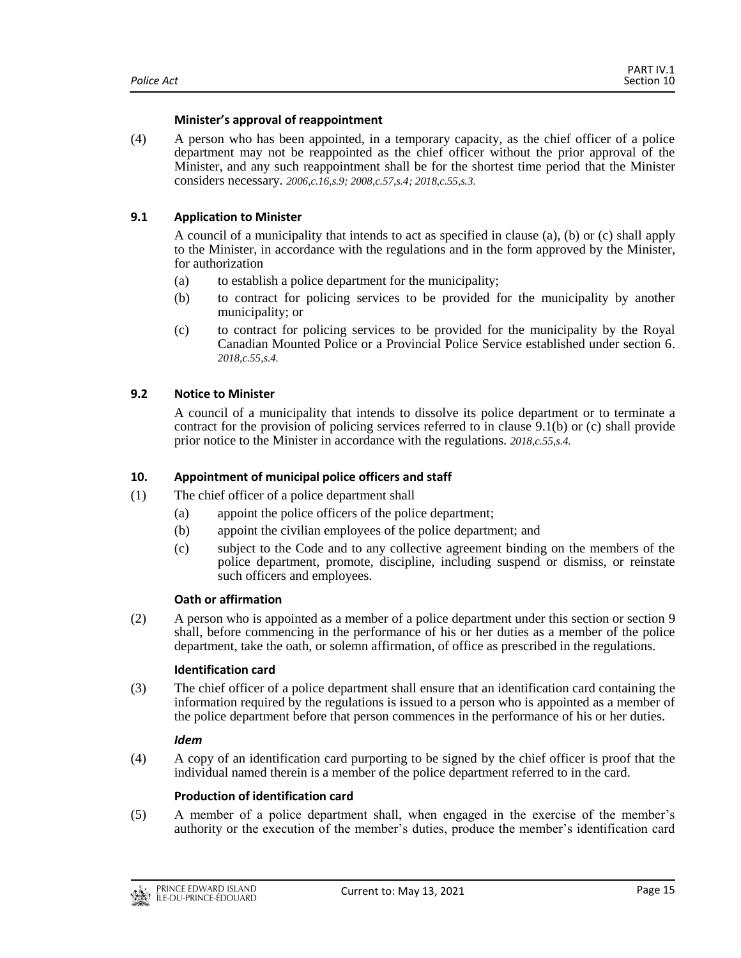## **Minister's approval of reappointment**

(4) A person who has been appointed, in a temporary capacity, as the chief officer of a police department may not be reappointed as the chief officer without the prior approval of the Minister, and any such reappointment shall be for the shortest time period that the Minister considers necessary. *2006,c.16,s.9; 2008,c.57,s.4; 2018,c.55,s.3.*

## <span id="page-14-0"></span>**9.1 Application to Minister**

A council of a municipality that intends to act as specified in clause (a), (b) or (c) shall apply to the Minister, in accordance with the regulations and in the form approved by the Minister, for authorization

- (a) to establish a police department for the municipality;
- (b) to contract for policing services to be provided for the municipality by another municipality; or
- (c) to contract for policing services to be provided for the municipality by the Royal Canadian Mounted Police or a Provincial Police Service established under section 6. *2018,c.55,s.4.*

## <span id="page-14-1"></span>**9.2 Notice to Minister**

A council of a municipality that intends to dissolve its police department or to terminate a contract for the provision of policing services referred to in clause 9.1(b) or (c) shall provide prior notice to the Minister in accordance with the regulations. *2018,c.55,s.4.*

## <span id="page-14-2"></span>**10. Appointment of municipal police officers and staff**

- (1) The chief officer of a police department shall
	- (a) appoint the police officers of the police department;
	- (b) appoint the civilian employees of the police department; and
	- (c) subject to the Code and to any collective agreement binding on the members of the police department, promote, discipline, including suspend or dismiss, or reinstate such officers and employees.

#### **Oath or affirmation**

(2) A person who is appointed as a member of a police department under this section or section 9 shall, before commencing in the performance of his or her duties as a member of the police department, take the oath, or solemn affirmation, of office as prescribed in the regulations.

#### **Identification card**

(3) The chief officer of a police department shall ensure that an identification card containing the information required by the regulations is issued to a person who is appointed as a member of the police department before that person commences in the performance of his or her duties.

#### *Idem*

(4) A copy of an identification card purporting to be signed by the chief officer is proof that the individual named therein is a member of the police department referred to in the card.

#### **Production of identification card**

(5) A member of a police department shall, when engaged in the exercise of the member's authority or the execution of the member's duties, produce the member's identification card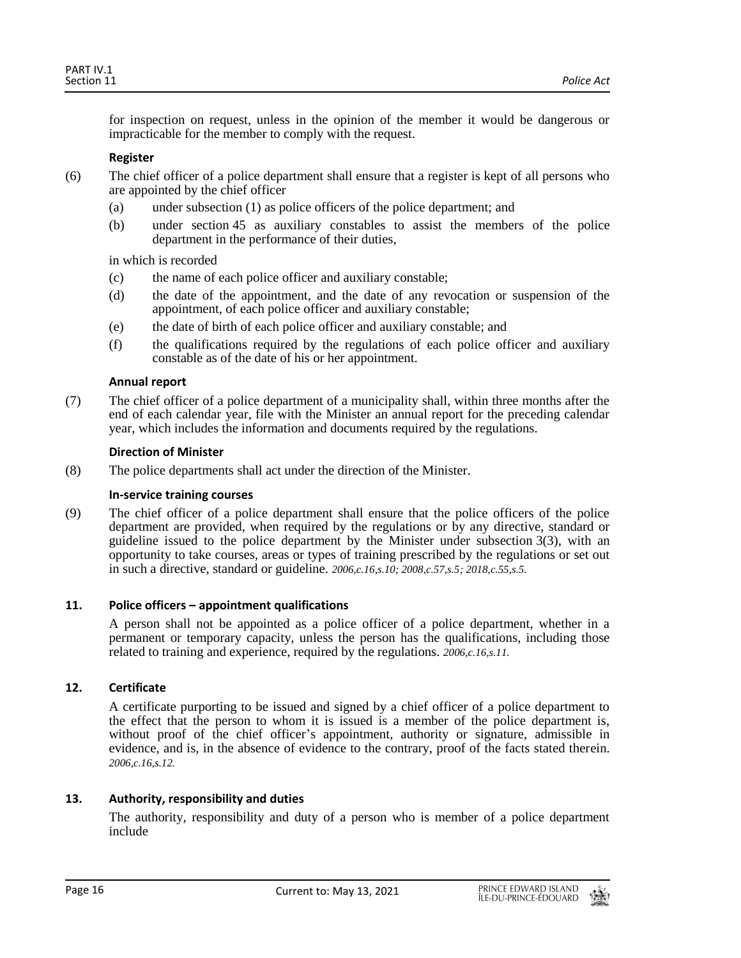for inspection on request, unless in the opinion of the member it would be dangerous or impracticable for the member to comply with the request.

## **Register**

- (6) The chief officer of a police department shall ensure that a register is kept of all persons who are appointed by the chief officer
	- (a) under subsection (1) as police officers of the police department; and
	- (b) under section 45 as auxiliary constables to assist the members of the police department in the performance of their duties,

in which is recorded

- (c) the name of each police officer and auxiliary constable;
- (d) the date of the appointment, and the date of any revocation or suspension of the appointment, of each police officer and auxiliary constable;
- (e) the date of birth of each police officer and auxiliary constable; and
- (f) the qualifications required by the regulations of each police officer and auxiliary constable as of the date of his or her appointment.

## **Annual report**

(7) The chief officer of a police department of a municipality shall, within three months after the end of each calendar year, file with the Minister an annual report for the preceding calendar year, which includes the information and documents required by the regulations.

## **Direction of Minister**

(8) The police departments shall act under the direction of the Minister.

#### **In-service training courses**

(9) The chief officer of a police department shall ensure that the police officers of the police department are provided, when required by the regulations or by any directive, standard or guideline issued to the police department by the Minister under subsection 3(3), with an opportunity to take courses, areas or types of training prescribed by the regulations or set out in such a directive, standard or guideline. *2006,c.16,s.10; 2008,c.57,s.5; 2018,c.55,s.5.*

## <span id="page-15-0"></span>**11. Police officers – appointment qualifications**

A person shall not be appointed as a police officer of a police department, whether in a permanent or temporary capacity, unless the person has the qualifications, including those related to training and experience, required by the regulations. *2006,c.16,s.11.*

## <span id="page-15-1"></span>**12. Certificate**

A certificate purporting to be issued and signed by a chief officer of a police department to the effect that the person to whom it is issued is a member of the police department is, without proof of the chief officer's appointment, authority or signature, admissible in evidence, and is, in the absence of evidence to the contrary, proof of the facts stated therein. *2006,c.16,s.12.*

## <span id="page-15-2"></span>**13. Authority, responsibility and duties**

The authority, responsibility and duty of a person who is member of a police department include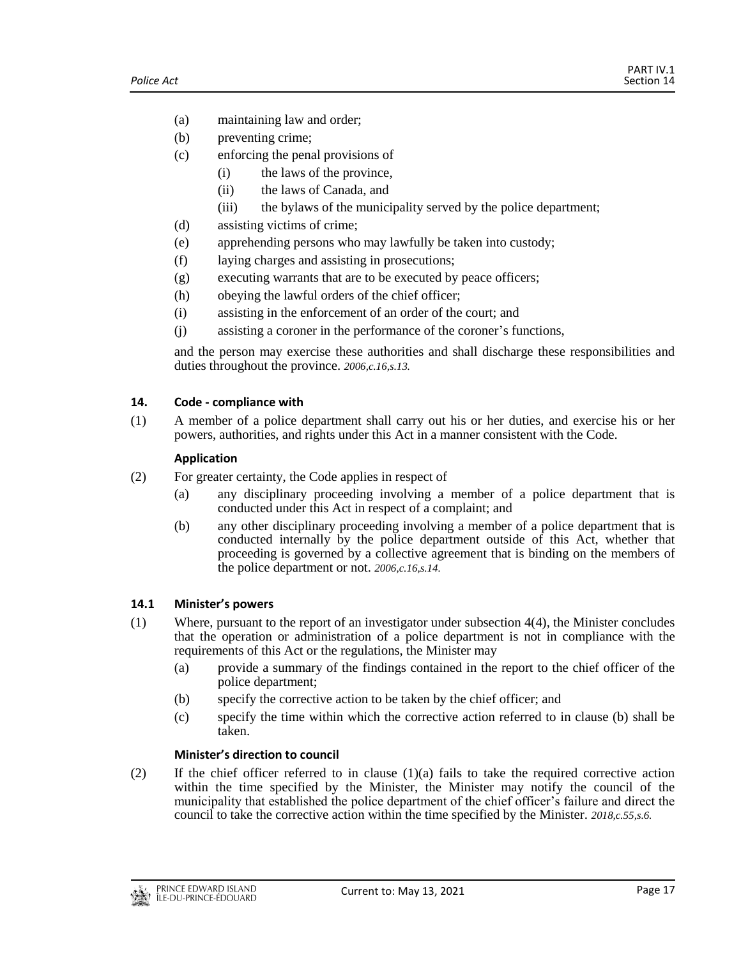- (a) maintaining law and order;
- (b) preventing crime;
- (c) enforcing the penal provisions of
	- (i) the laws of the province,
		- (ii) the laws of Canada, and
		- (iii) the bylaws of the municipality served by the police department;
- (d) assisting victims of crime;
- (e) apprehending persons who may lawfully be taken into custody;
- (f) laying charges and assisting in prosecutions;
- (g) executing warrants that are to be executed by peace officers;
- (h) obeying the lawful orders of the chief officer;
- (i) assisting in the enforcement of an order of the court; and
- (j) assisting a coroner in the performance of the coroner's functions,

and the person may exercise these authorities and shall discharge these responsibilities and duties throughout the province. *2006,c.16,s.13.*

## <span id="page-16-0"></span>**14. Code - compliance with**

(1) A member of a police department shall carry out his or her duties, and exercise his or her powers, authorities, and rights under this Act in a manner consistent with the Code.

## **Application**

- (2) For greater certainty, the Code applies in respect of
	- (a) any disciplinary proceeding involving a member of a police department that is conducted under this Act in respect of a complaint; and
	- (b) any other disciplinary proceeding involving a member of a police department that is conducted internally by the police department outside of this Act, whether that proceeding is governed by a collective agreement that is binding on the members of the police department or not. *2006,c.16,s.14.*

## <span id="page-16-1"></span>**14.1 Minister's powers**

- (1) Where, pursuant to the report of an investigator under subsection 4(4), the Minister concludes that the operation or administration of a police department is not in compliance with the requirements of this Act or the regulations, the Minister may
	- (a) provide a summary of the findings contained in the report to the chief officer of the police department;
	- (b) specify the corrective action to be taken by the chief officer; and
	- (c) specify the time within which the corrective action referred to in clause (b) shall be taken.

## **Minister's direction to council**

(2) If the chief officer referred to in clause  $(1)(a)$  fails to take the required corrective action within the time specified by the Minister, the Minister may notify the council of the municipality that established the police department of the chief officer's failure and direct the council to take the corrective action within the time specified by the Minister. *2018,c.55,s.6.*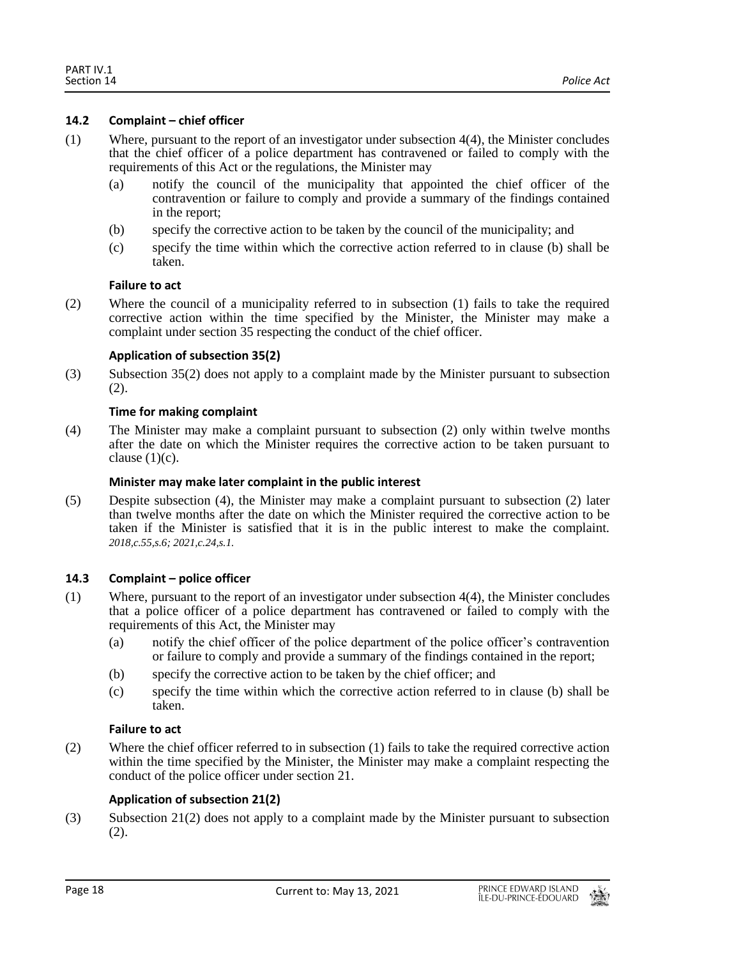## <span id="page-17-0"></span>**14.2 Complaint – chief officer**

- (1) Where, pursuant to the report of an investigator under subsection 4(4), the Minister concludes that the chief officer of a police department has contravened or failed to comply with the requirements of this Act or the regulations, the Minister may
	- (a) notify the council of the municipality that appointed the chief officer of the contravention or failure to comply and provide a summary of the findings contained in the report;
	- (b) specify the corrective action to be taken by the council of the municipality; and
	- (c) specify the time within which the corrective action referred to in clause (b) shall be taken.

## **Failure to act**

(2) Where the council of a municipality referred to in subsection (1) fails to take the required corrective action within the time specified by the Minister, the Minister may make a complaint under section 35 respecting the conduct of the chief officer.

## **Application of subsection 35(2)**

(3) Subsection 35(2) does not apply to a complaint made by the Minister pursuant to subsection (2).

## **Time for making complaint**

(4) The Minister may make a complaint pursuant to subsection (2) only within twelve months after the date on which the Minister requires the corrective action to be taken pursuant to clause  $(1)(c)$ .

## **Minister may make later complaint in the public interest**

(5) Despite subsection (4), the Minister may make a complaint pursuant to subsection (2) later than twelve months after the date on which the Minister required the corrective action to be taken if the Minister is satisfied that it is in the public interest to make the complaint. *2018,c.55,s.6; 2021,c.24,s.1.*

## <span id="page-17-1"></span>**14.3 Complaint – police officer**

- (1) Where, pursuant to the report of an investigator under subsection 4(4), the Minister concludes that a police officer of a police department has contravened or failed to comply with the requirements of this Act, the Minister may
	- (a) notify the chief officer of the police department of the police officer's contravention or failure to comply and provide a summary of the findings contained in the report;
	- (b) specify the corrective action to be taken by the chief officer; and
	- (c) specify the time within which the corrective action referred to in clause (b) shall be taken.

## **Failure to act**

(2) Where the chief officer referred to in subsection (1) fails to take the required corrective action within the time specified by the Minister, the Minister may make a complaint respecting the conduct of the police officer under section 21.

## **Application of subsection 21(2)**

(3) Subsection 21(2) does not apply to a complaint made by the Minister pursuant to subsection (2).

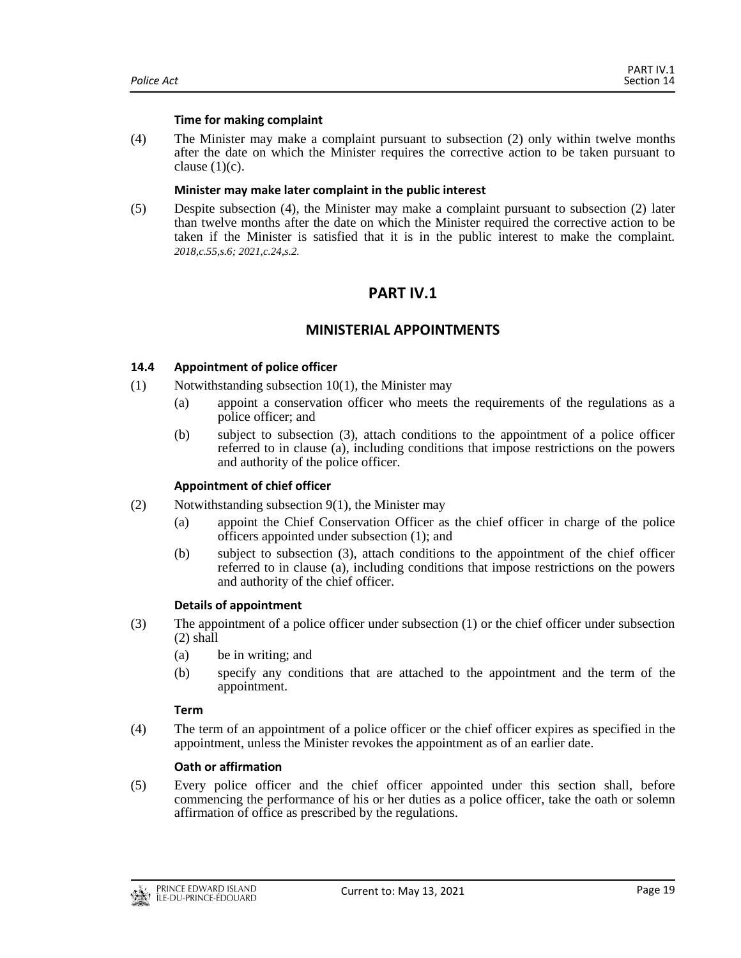#### **Time for making complaint**

(4) The Minister may make a complaint pursuant to subsection (2) only within twelve months after the date on which the Minister requires the corrective action to be taken pursuant to clause  $(1)(c)$ .

## **Minister may make later complaint in the public interest**

<span id="page-18-0"></span>(5) Despite subsection (4), the Minister may make a complaint pursuant to subsection (2) later than twelve months after the date on which the Minister required the corrective action to be taken if the Minister is satisfied that it is in the public interest to make the complaint. *2018,c.55,s.6; 2021,c.24,s.2.*

# **PART IV.1**

## **MINISTERIAL APPOINTMENTS**

## <span id="page-18-2"></span><span id="page-18-1"></span>**14.4 Appointment of police officer**

- $(1)$  Notwithstanding subsection 10(1), the Minister may
	- (a) appoint a conservation officer who meets the requirements of the regulations as a police officer; and
	- (b) subject to subsection (3), attach conditions to the appointment of a police officer referred to in clause (a), including conditions that impose restrictions on the powers and authority of the police officer.

## **Appointment of chief officer**

- (2) Notwithstanding subsection 9(1), the Minister may
	- (a) appoint the Chief Conservation Officer as the chief officer in charge of the police officers appointed under subsection (1); and
	- (b) subject to subsection (3), attach conditions to the appointment of the chief officer referred to in clause (a), including conditions that impose restrictions on the powers and authority of the chief officer.

## **Details of appointment**

- (3) The appointment of a police officer under subsection (1) or the chief officer under subsection (2) shall
	- (a) be in writing; and
	- (b) specify any conditions that are attached to the appointment and the term of the appointment.

#### **Term**

(4) The term of an appointment of a police officer or the chief officer expires as specified in the appointment, unless the Minister revokes the appointment as of an earlier date.

## **Oath or affirmation**

(5) Every police officer and the chief officer appointed under this section shall, before commencing the performance of his or her duties as a police officer, take the oath or solemn affirmation of office as prescribed by the regulations.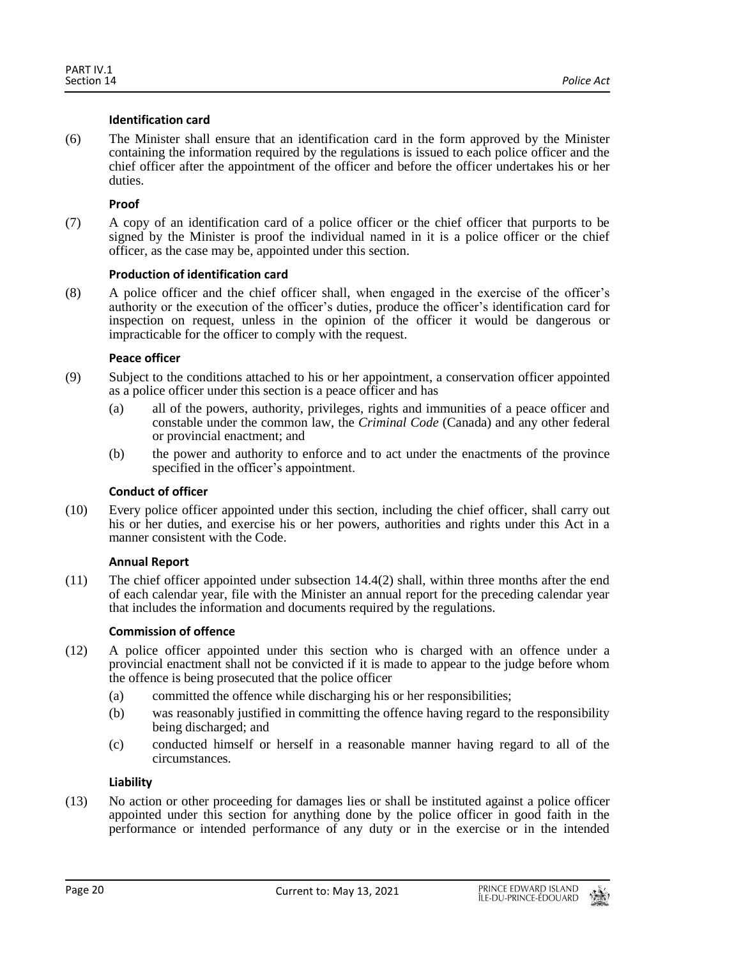## **Identification card**

(6) The Minister shall ensure that an identification card in the form approved by the Minister containing the information required by the regulations is issued to each police officer and the chief officer after the appointment of the officer and before the officer undertakes his or her duties.

## **Proof**

(7) A copy of an identification card of a police officer or the chief officer that purports to be signed by the Minister is proof the individual named in it is a police officer or the chief officer, as the case may be, appointed under this section.

## **Production of identification card**

(8) A police officer and the chief officer shall, when engaged in the exercise of the officer's authority or the execution of the officer's duties, produce the officer's identification card for inspection on request, unless in the opinion of the officer it would be dangerous or impracticable for the officer to comply with the request.

## **Peace officer**

- (9) Subject to the conditions attached to his or her appointment, a conservation officer appointed as a police officer under this section is a peace officer and has
	- (a) all of the powers, authority, privileges, rights and immunities of a peace officer and constable under the common law, the *Criminal Code* (Canada) and any other federal or provincial enactment; and
	- (b) the power and authority to enforce and to act under the enactments of the province specified in the officer's appointment.

## **Conduct of officer**

(10) Every police officer appointed under this section, including the chief officer, shall carry out his or her duties, and exercise his or her powers, authorities and rights under this Act in a manner consistent with the Code.

#### **Annual Report**

(11) The chief officer appointed under subsection 14.4(2) shall, within three months after the end of each calendar year, file with the Minister an annual report for the preceding calendar year that includes the information and documents required by the regulations.

## **Commission of offence**

- (12) A police officer appointed under this section who is charged with an offence under a provincial enactment shall not be convicted if it is made to appear to the judge before whom the offence is being prosecuted that the police officer
	- (a) committed the offence while discharging his or her responsibilities;
	- (b) was reasonably justified in committing the offence having regard to the responsibility being discharged; and
	- (c) conducted himself or herself in a reasonable manner having regard to all of the circumstances.

#### **Liability**

(13) No action or other proceeding for damages lies or shall be instituted against a police officer appointed under this section for anything done by the police officer in good faith in the performance or intended performance of any duty or in the exercise or in the intended

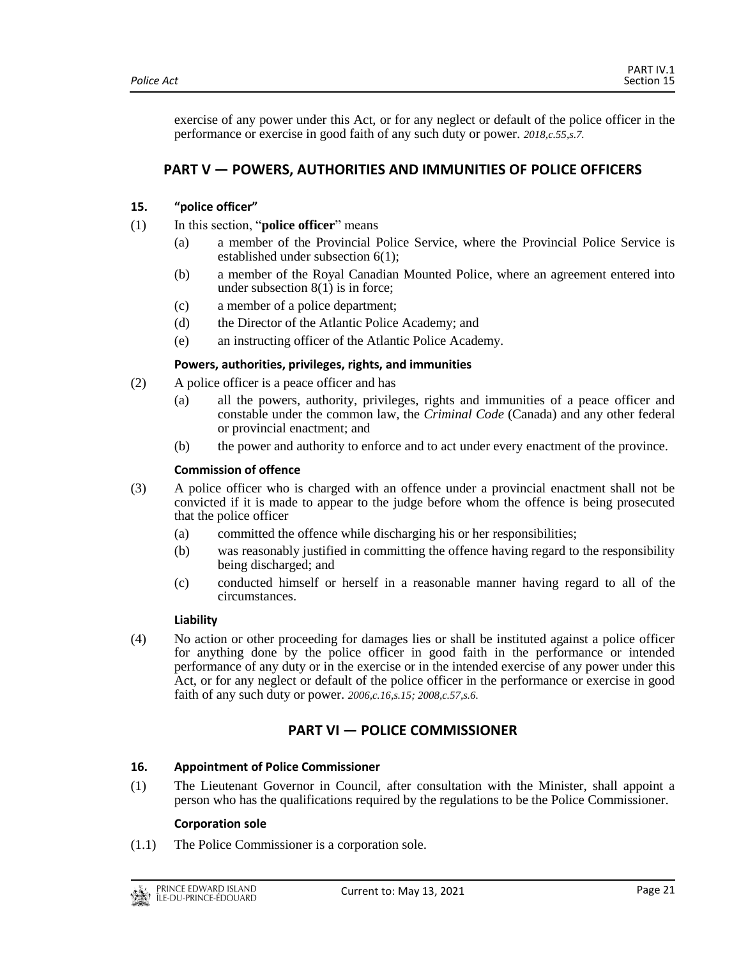exercise of any power under this Act, or for any neglect or default of the police officer in the performance or exercise in good faith of any such duty or power. *2018,c.55,s.7.*

# <span id="page-20-0"></span>**PART V — POWERS, AUTHORITIES AND IMMUNITIES OF POLICE OFFICERS**

## <span id="page-20-1"></span>**15. "police officer"**

- (1) In this section, "**police officer**" means
	- (a) a member of the Provincial Police Service, where the Provincial Police Service is established under subsection 6(1);
	- (b) a member of the Royal Canadian Mounted Police, where an agreement entered into under subsection  $8(1)$  is in force;
	- (c) a member of a police department;
	- (d) the Director of the Atlantic Police Academy; and
	- (e) an instructing officer of the Atlantic Police Academy.

#### **Powers, authorities, privileges, rights, and immunities**

- (2) A police officer is a peace officer and has
	- (a) all the powers, authority, privileges, rights and immunities of a peace officer and constable under the common law, the *Criminal Code* (Canada) and any other federal or provincial enactment; and
	- (b) the power and authority to enforce and to act under every enactment of the province.

## **Commission of offence**

- (3) A police officer who is charged with an offence under a provincial enactment shall not be convicted if it is made to appear to the judge before whom the offence is being prosecuted that the police officer
	- (a) committed the offence while discharging his or her responsibilities;
	- (b) was reasonably justified in committing the offence having regard to the responsibility being discharged; and
	- (c) conducted himself or herself in a reasonable manner having regard to all of the circumstances.

#### **Liability**

(4) No action or other proceeding for damages lies or shall be instituted against a police officer for anything done by the police officer in good faith in the performance or intended performance of any duty or in the exercise or in the intended exercise of any power under this Act, or for any neglect or default of the police officer in the performance or exercise in good faith of any such duty or power. *2006,c.16,s.15; 2008,c.57,s.6.*

## **PART VI — POLICE COMMISSIONER**

#### <span id="page-20-3"></span><span id="page-20-2"></span>**16. Appointment of Police Commissioner**

(1) The Lieutenant Governor in Council, after consultation with the Minister, shall appoint a person who has the qualifications required by the regulations to be the Police Commissioner.

#### **Corporation sole**

(1.1) The Police Commissioner is a corporation sole.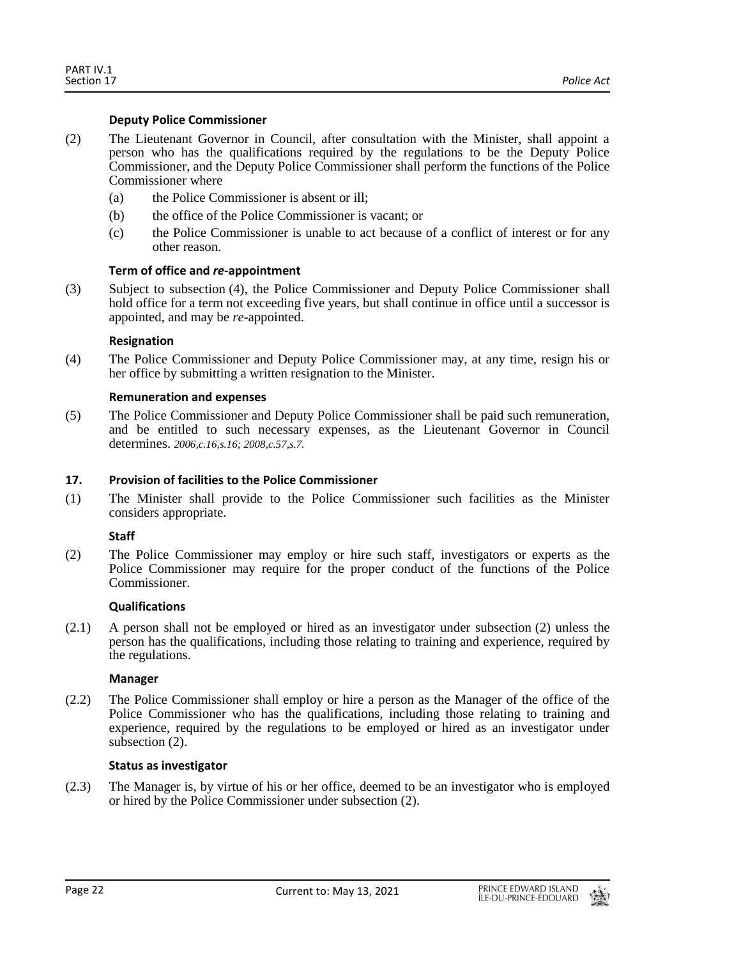## **Deputy Police Commissioner**

- (2) The Lieutenant Governor in Council, after consultation with the Minister, shall appoint a person who has the qualifications required by the regulations to be the Deputy Police Commissioner, and the Deputy Police Commissioner shall perform the functions of the Police Commissioner where
	- (a) the Police Commissioner is absent or ill;
	- (b) the office of the Police Commissioner is vacant; or
	- (c) the Police Commissioner is unable to act because of a conflict of interest or for any other reason.

## **Term of office and** *re***-appointment**

(3) Subject to subsection (4), the Police Commissioner and Deputy Police Commissioner shall hold office for a term not exceeding five years, but shall continue in office until a successor is appointed, and may be *re*-appointed.

## **Resignation**

(4) The Police Commissioner and Deputy Police Commissioner may, at any time, resign his or her office by submitting a written resignation to the Minister.

## **Remuneration and expenses**

(5) The Police Commissioner and Deputy Police Commissioner shall be paid such remuneration, and be entitled to such necessary expenses, as the Lieutenant Governor in Council determines. *2006,c.16,s.16; 2008,c.57,s.7.*

#### <span id="page-21-0"></span>**17. Provision of facilities to the Police Commissioner**

(1) The Minister shall provide to the Police Commissioner such facilities as the Minister considers appropriate.

## **Staff**

(2) The Police Commissioner may employ or hire such staff, investigators or experts as the Police Commissioner may require for the proper conduct of the functions of the Police Commissioner.

#### **Qualifications**

(2.1) A person shall not be employed or hired as an investigator under subsection (2) unless the person has the qualifications, including those relating to training and experience, required by the regulations.

#### **Manager**

(2.2) The Police Commissioner shall employ or hire a person as the Manager of the office of the Police Commissioner who has the qualifications, including those relating to training and experience, required by the regulations to be employed or hired as an investigator under subsection  $(2)$ .

#### **Status as investigator**

(2.3) The Manager is, by virtue of his or her office, deemed to be an investigator who is employed or hired by the Police Commissioner under subsection (2).

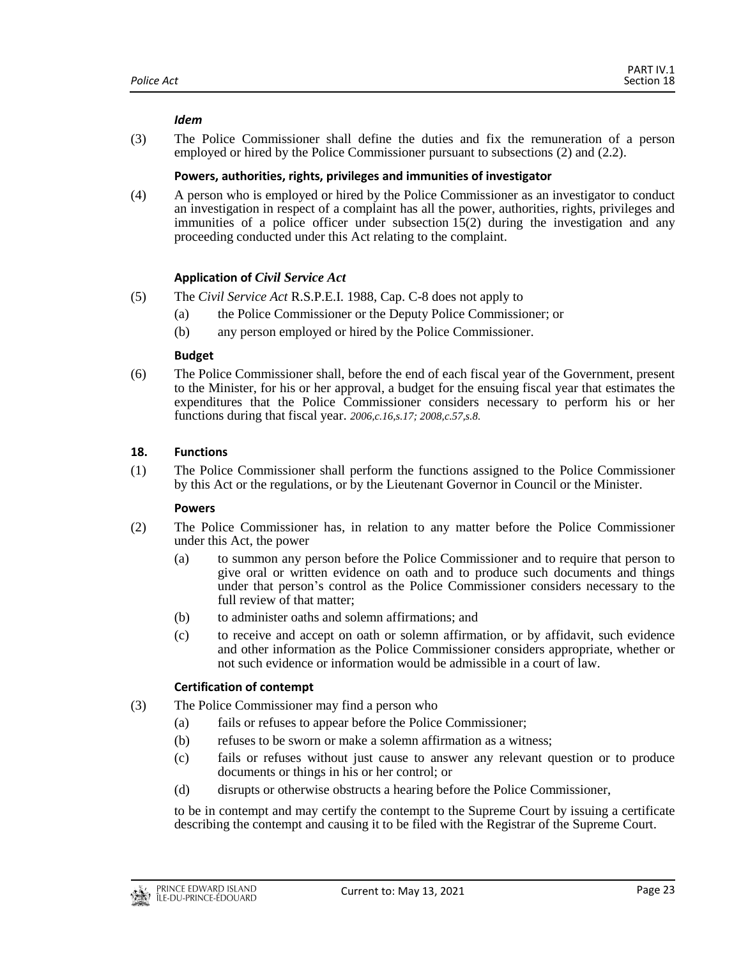#### *Idem*

(3) The Police Commissioner shall define the duties and fix the remuneration of a person employed or hired by the Police Commissioner pursuant to subsections (2) and (2.2).

## **Powers, authorities, rights, privileges and immunities of investigator**

(4) A person who is employed or hired by the Police Commissioner as an investigator to conduct an investigation in respect of a complaint has all the power, authorities, rights, privileges and immunities of a police officer under subsection 15(2) during the investigation and any proceeding conducted under this Act relating to the complaint.

## **Application of** *Civil Service Act*

- (5) The *Civil Service Act* R.S.P.E.I. 1988, Cap. C-8 does not apply to
	- (a) the Police Commissioner or the Deputy Police Commissioner; or
	- (b) any person employed or hired by the Police Commissioner.

#### **Budget**

(6) The Police Commissioner shall, before the end of each fiscal year of the Government, present to the Minister, for his or her approval, a budget for the ensuing fiscal year that estimates the expenditures that the Police Commissioner considers necessary to perform his or her functions during that fiscal year. *2006,c.16,s.17; 2008,c.57,s.8.*

## <span id="page-22-0"></span>**18. Functions**

(1) The Police Commissioner shall perform the functions assigned to the Police Commissioner by this Act or the regulations, or by the Lieutenant Governor in Council or the Minister.

#### **Powers**

- (2) The Police Commissioner has, in relation to any matter before the Police Commissioner under this Act, the power
	- (a) to summon any person before the Police Commissioner and to require that person to give oral or written evidence on oath and to produce such documents and things under that person's control as the Police Commissioner considers necessary to the full review of that matter;
	- (b) to administer oaths and solemn affirmations; and
	- (c) to receive and accept on oath or solemn affirmation, or by affidavit, such evidence and other information as the Police Commissioner considers appropriate, whether or not such evidence or information would be admissible in a court of law.

## **Certification of contempt**

- (3) The Police Commissioner may find a person who
	- (a) fails or refuses to appear before the Police Commissioner;
	- (b) refuses to be sworn or make a solemn affirmation as a witness;
	- (c) fails or refuses without just cause to answer any relevant question or to produce documents or things in his or her control; or
	- (d) disrupts or otherwise obstructs a hearing before the Police Commissioner,

to be in contempt and may certify the contempt to the Supreme Court by issuing a certificate describing the contempt and causing it to be filed with the Registrar of the Supreme Court.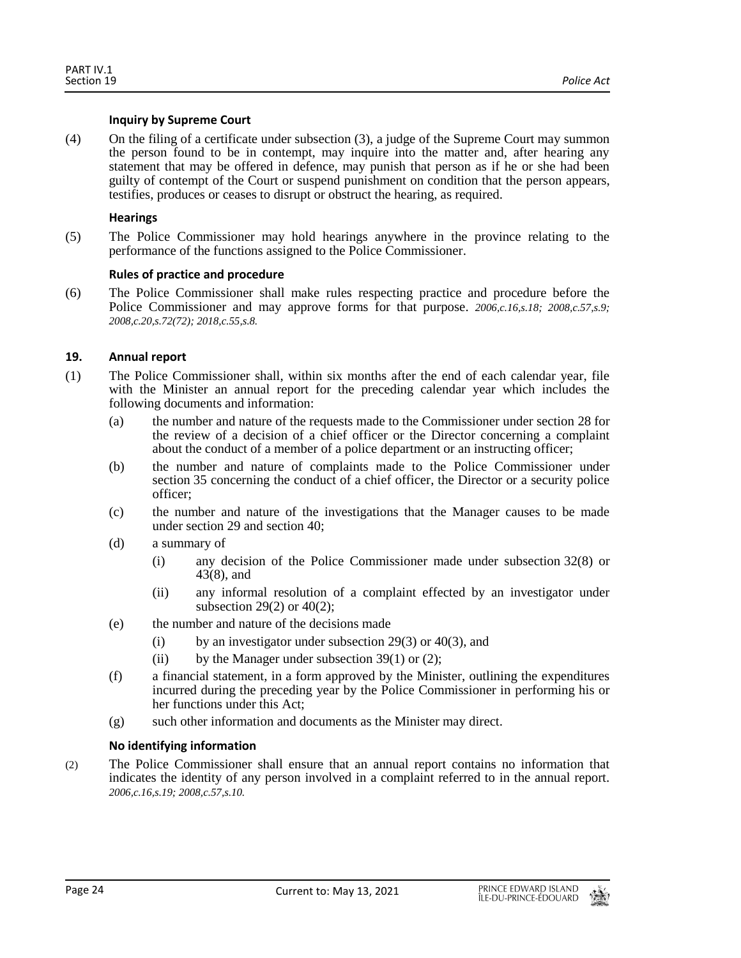#### **Inquiry by Supreme Court**

(4) On the filing of a certificate under subsection (3), a judge of the Supreme Court may summon the person found to be in contempt, may inquire into the matter and, after hearing any statement that may be offered in defence, may punish that person as if he or she had been guilty of contempt of the Court or suspend punishment on condition that the person appears, testifies, produces or ceases to disrupt or obstruct the hearing, as required.

## **Hearings**

(5) The Police Commissioner may hold hearings anywhere in the province relating to the performance of the functions assigned to the Police Commissioner.

## **Rules of practice and procedure**

(6) The Police Commissioner shall make rules respecting practice and procedure before the Police Commissioner and may approve forms for that purpose. *2006,c.16,s.18; 2008,c.57,s.9; 2008,c.20,s.72(72); 2018,c.55,s.8.*

## <span id="page-23-0"></span>**19. Annual report**

- (1) The Police Commissioner shall, within six months after the end of each calendar year, file with the Minister an annual report for the preceding calendar year which includes the following documents and information:
	- (a) the number and nature of the requests made to the Commissioner under section 28 for the review of a decision of a chief officer or the Director concerning a complaint about the conduct of a member of a police department or an instructing officer;
	- (b) the number and nature of complaints made to the Police Commissioner under section 35 concerning the conduct of a chief officer, the Director or a security police officer;
	- (c) the number and nature of the investigations that the Manager causes to be made under section 29 and section 40;
	- (d) a summary of
		- (i) any decision of the Police Commissioner made under subsection 32(8) or 43(8), and
		- (ii) any informal resolution of a complaint effected by an investigator under subsection 29(2) or 40(2);
	- (e) the number and nature of the decisions made
		- (i) by an investigator under subsection 29(3) or 40(3), and
		- (ii) by the Manager under subsection  $39(1)$  or (2);
	- (f) a financial statement, in a form approved by the Minister, outlining the expenditures incurred during the preceding year by the Police Commissioner in performing his or her functions under this Act;
	- (g) such other information and documents as the Minister may direct.

## **No identifying information**

(2) The Police Commissioner shall ensure that an annual report contains no information that indicates the identity of any person involved in a complaint referred to in the annual report. *2006,c.16,s.19; 2008,c.57,s.10.*

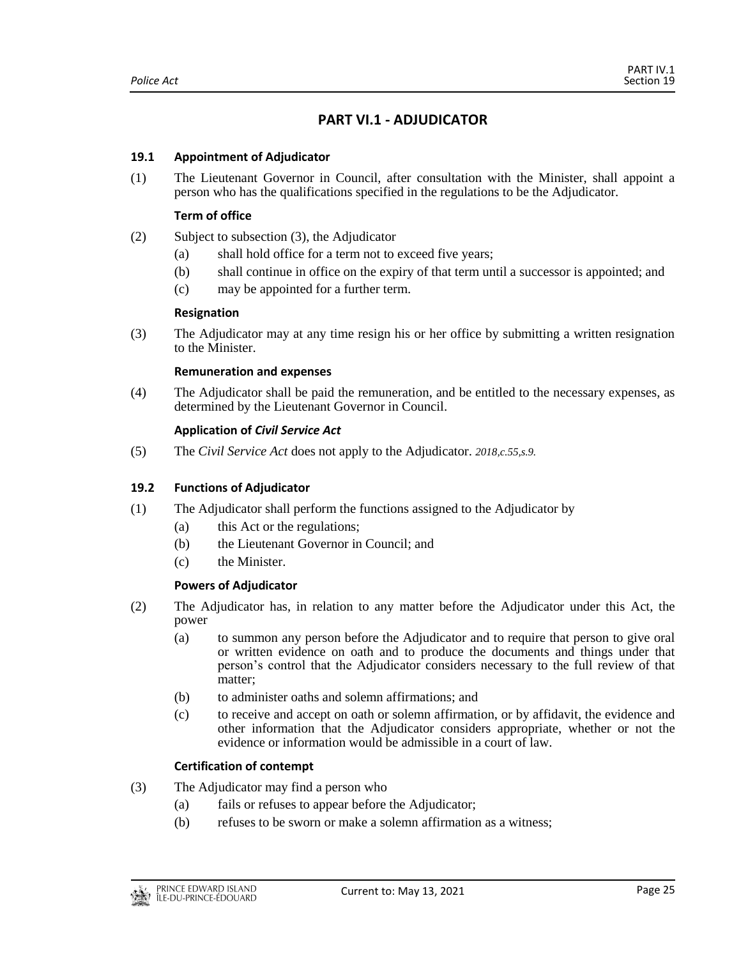# **PART VI.1 - ADJUDICATOR**

## <span id="page-24-1"></span><span id="page-24-0"></span>**19.1 Appointment of Adjudicator**

(1) The Lieutenant Governor in Council, after consultation with the Minister, shall appoint a person who has the qualifications specified in the regulations to be the Adjudicator.

## **Term of office**

- (2) Subject to subsection (3), the Adjudicator
	- (a) shall hold office for a term not to exceed five years;
	- (b) shall continue in office on the expiry of that term until a successor is appointed; and
	- (c) may be appointed for a further term.

#### **Resignation**

(3) The Adjudicator may at any time resign his or her office by submitting a written resignation to the Minister.

#### **Remuneration and expenses**

(4) The Adjudicator shall be paid the remuneration, and be entitled to the necessary expenses, as determined by the Lieutenant Governor in Council.

## **Application of** *Civil Service Act*

<span id="page-24-2"></span>(5) The *Civil Service Act* does not apply to the Adjudicator. *2018,c.55,s.9.*

#### **19.2 Functions of Adjudicator**

- (1) The Adjudicator shall perform the functions assigned to the Adjudicator by
	- (a) this Act or the regulations;
	- (b) the Lieutenant Governor in Council; and
	- (c) the Minister.

## **Powers of Adjudicator**

- (2) The Adjudicator has, in relation to any matter before the Adjudicator under this Act, the power
	- (a) to summon any person before the Adjudicator and to require that person to give oral or written evidence on oath and to produce the documents and things under that person's control that the Adjudicator considers necessary to the full review of that matter;
	- (b) to administer oaths and solemn affirmations; and
	- (c) to receive and accept on oath or solemn affirmation, or by affidavit, the evidence and other information that the Adjudicator considers appropriate, whether or not the evidence or information would be admissible in a court of law.

## **Certification of contempt**

- (3) The Adjudicator may find a person who
	- (a) fails or refuses to appear before the Adjudicator;
	- (b) refuses to be sworn or make a solemn affirmation as a witness;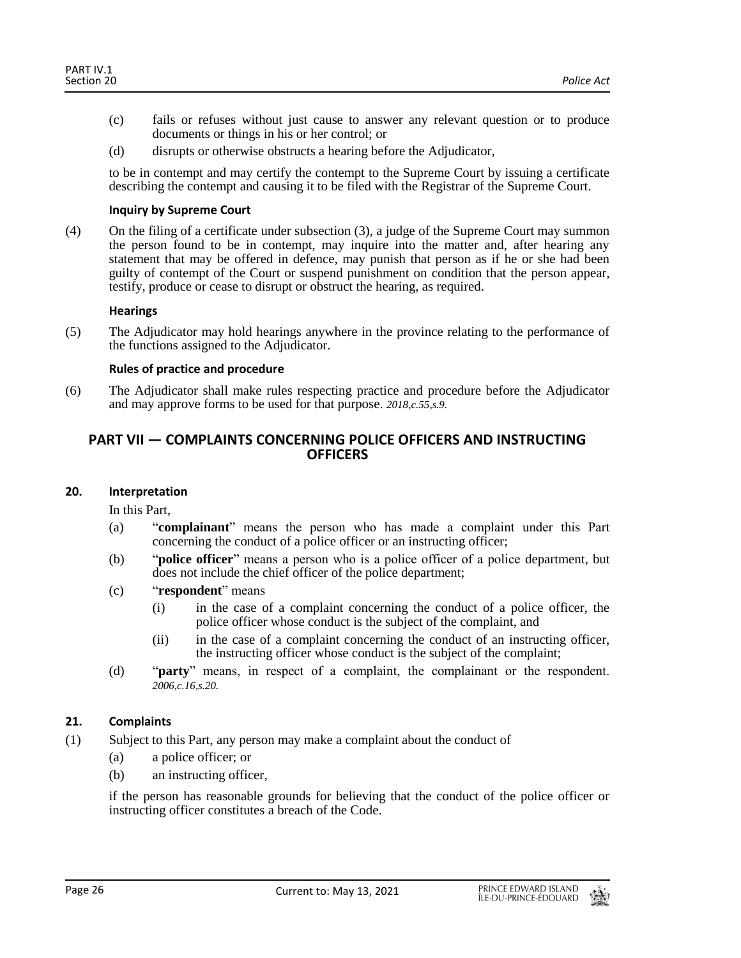- (c) fails or refuses without just cause to answer any relevant question or to produce documents or things in his or her control; or
- (d) disrupts or otherwise obstructs a hearing before the Adjudicator,

to be in contempt and may certify the contempt to the Supreme Court by issuing a certificate describing the contempt and causing it to be filed with the Registrar of the Supreme Court.

#### **Inquiry by Supreme Court**

(4) On the filing of a certificate under subsection (3), a judge of the Supreme Court may summon the person found to be in contempt, may inquire into the matter and, after hearing any statement that may be offered in defence, may punish that person as if he or she had been guilty of contempt of the Court or suspend punishment on condition that the person appear, testify, produce or cease to disrupt or obstruct the hearing, as required.

#### **Hearings**

(5) The Adjudicator may hold hearings anywhere in the province relating to the performance of the functions assigned to the Adjudicator.

## **Rules of practice and procedure**

<span id="page-25-0"></span>(6) The Adjudicator shall make rules respecting practice and procedure before the Adjudicator and may approve forms to be used for that purpose. *2018,c.55,s.9.*

## **PART VII — COMPLAINTS CONCERNING POLICE OFFICERS AND INSTRUCTING OFFICERS**

#### <span id="page-25-1"></span>**20. Interpretation**

In this Part,

- (a) "**complainant**" means the person who has made a complaint under this Part concerning the conduct of a police officer or an instructing officer;
- (b) "**police officer**" means a person who is a police officer of a police department, but does not include the chief officer of the police department;
- (c) "**respondent**" means
	- (i) in the case of a complaint concerning the conduct of a police officer, the police officer whose conduct is the subject of the complaint, and
	- (ii) in the case of a complaint concerning the conduct of an instructing officer, the instructing officer whose conduct is the subject of the complaint;
- (d) "**party**" means, in respect of a complaint, the complainant or the respondent. *2006,c.16,s.20.*

## <span id="page-25-2"></span>**21. Complaints**

- (1) Subject to this Part, any person may make a complaint about the conduct of
	- (a) a police officer; or
	- (b) an instructing officer,

if the person has reasonable grounds for believing that the conduct of the police officer or instructing officer constitutes a breach of the Code.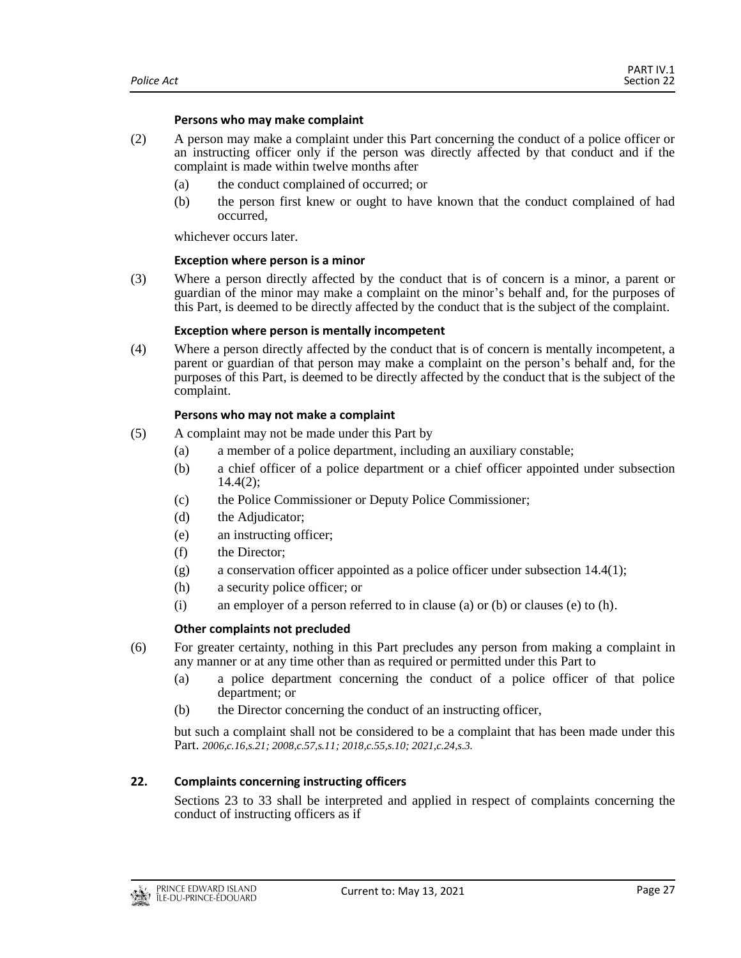#### **Persons who may make complaint**

- (2) A person may make a complaint under this Part concerning the conduct of a police officer or an instructing officer only if the person was directly affected by that conduct and if the complaint is made within twelve months after
	- (a) the conduct complained of occurred; or
	- (b) the person first knew or ought to have known that the conduct complained of had occurred,

whichever occurs later.

#### **Exception where person is a minor**

(3) Where a person directly affected by the conduct that is of concern is a minor, a parent or guardian of the minor may make a complaint on the minor's behalf and, for the purposes of this Part, is deemed to be directly affected by the conduct that is the subject of the complaint.

#### **Exception where person is mentally incompetent**

(4) Where a person directly affected by the conduct that is of concern is mentally incompetent, a parent or guardian of that person may make a complaint on the person's behalf and, for the purposes of this Part, is deemed to be directly affected by the conduct that is the subject of the complaint.

#### **Persons who may not make a complaint**

- (5) A complaint may not be made under this Part by
	- (a) a member of a police department, including an auxiliary constable;
	- (b) a chief officer of a police department or a chief officer appointed under subsection 14.4(2);
	- (c) the Police Commissioner or Deputy Police Commissioner;
	- (d) the Adjudicator;
	- (e) an instructing officer;
	- (f) the Director;
	- (g) a conservation officer appointed as a police officer under subsection  $14.4(1)$ ;
	- (h) a security police officer; or
	- (i) an employer of a person referred to in clause (a) or (b) or clauses (e) to (h).

#### **Other complaints not precluded**

- (6) For greater certainty, nothing in this Part precludes any person from making a complaint in any manner or at any time other than as required or permitted under this Part to
	- (a) a police department concerning the conduct of a police officer of that police department; or
	- (b) the Director concerning the conduct of an instructing officer,

but such a complaint shall not be considered to be a complaint that has been made under this Part. *2006,c.16,s.21; 2008,c.57,s.11; 2018,c.55,s.10; 2021,c.24,s.3.*

#### <span id="page-26-0"></span>**22. Complaints concerning instructing officers**

Sections 23 to 33 shall be interpreted and applied in respect of complaints concerning the conduct of instructing officers as if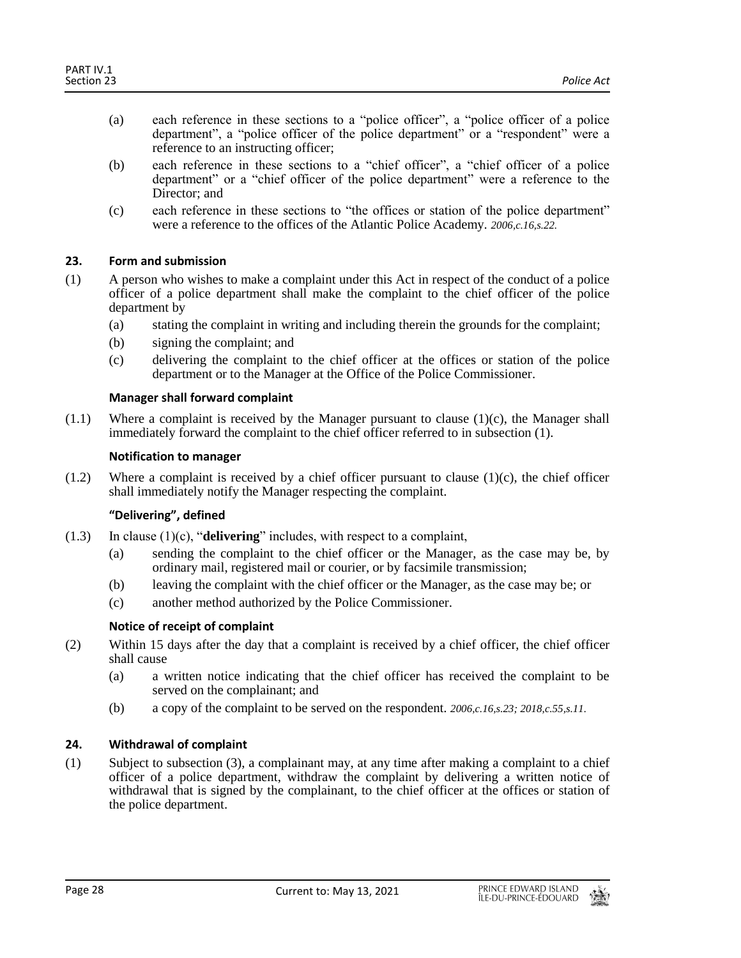- (a) each reference in these sections to a "police officer", a "police officer of a police department", a "police officer of the police department" or a "respondent" were a reference to an instructing officer;
- (b) each reference in these sections to a "chief officer", a "chief officer of a police department" or a "chief officer of the police department" were a reference to the Director; and
- (c) each reference in these sections to "the offices or station of the police department" were a reference to the offices of the Atlantic Police Academy. *2006,c.16,s.22.*

## <span id="page-27-0"></span>**23. Form and submission**

- (1) A person who wishes to make a complaint under this Act in respect of the conduct of a police officer of a police department shall make the complaint to the chief officer of the police department by
	- (a) stating the complaint in writing and including therein the grounds for the complaint;
	- (b) signing the complaint; and
	- (c) delivering the complaint to the chief officer at the offices or station of the police department or to the Manager at the Office of the Police Commissioner.

#### **Manager shall forward complaint**

 $(1.1)$  Where a complaint is received by the Manager pursuant to clause  $(1)(c)$ , the Manager shall immediately forward the complaint to the chief officer referred to in subsection (1).

#### **Notification to manager**

 $(1.2)$  Where a complaint is received by a chief officer pursuant to clause  $(1)(c)$ , the chief officer shall immediately notify the Manager respecting the complaint.

#### **"Delivering", defined**

- (1.3) In clause (1)(c), "**delivering**" includes, with respect to a complaint,
	- (a) sending the complaint to the chief officer or the Manager, as the case may be, by ordinary mail, registered mail or courier, or by facsimile transmission;
	- (b) leaving the complaint with the chief officer or the Manager, as the case may be; or
	- (c) another method authorized by the Police Commissioner.

#### **Notice of receipt of complaint**

- (2) Within 15 days after the day that a complaint is received by a chief officer, the chief officer shall cause
	- (a) a written notice indicating that the chief officer has received the complaint to be served on the complainant; and
	- (b) a copy of the complaint to be served on the respondent. *2006,c.16,s.23; 2018,c.55,s.11.*

#### <span id="page-27-1"></span>**24. Withdrawal of complaint**

(1) Subject to subsection (3), a complainant may, at any time after making a complaint to a chief officer of a police department, withdraw the complaint by delivering a written notice of withdrawal that is signed by the complainant, to the chief officer at the offices or station of the police department.

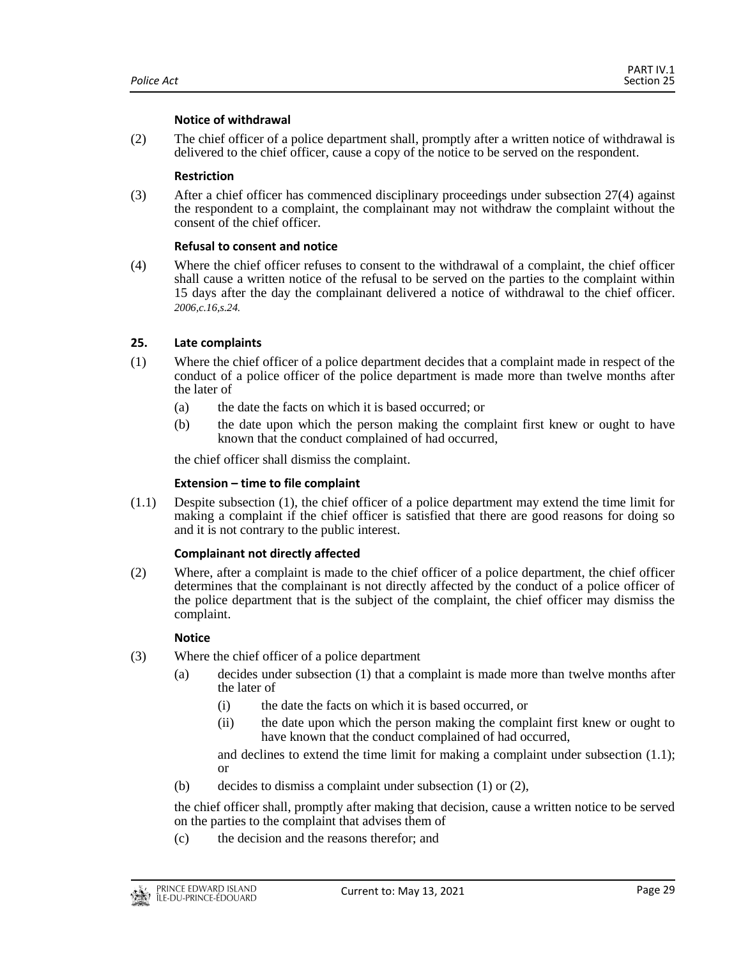#### **Notice of withdrawal**

(2) The chief officer of a police department shall, promptly after a written notice of withdrawal is delivered to the chief officer, cause a copy of the notice to be served on the respondent.

#### **Restriction**

(3) After a chief officer has commenced disciplinary proceedings under subsection 27(4) against the respondent to a complaint, the complainant may not withdraw the complaint without the consent of the chief officer.

## **Refusal to consent and notice**

(4) Where the chief officer refuses to consent to the withdrawal of a complaint, the chief officer shall cause a written notice of the refusal to be served on the parties to the complaint within 15 days after the day the complainant delivered a notice of withdrawal to the chief officer. *2006,c.16,s.24.*

## <span id="page-28-0"></span>**25. Late complaints**

- (1) Where the chief officer of a police department decides that a complaint made in respect of the conduct of a police officer of the police department is made more than twelve months after the later of
	- (a) the date the facts on which it is based occurred; or
	- (b) the date upon which the person making the complaint first knew or ought to have known that the conduct complained of had occurred,

the chief officer shall dismiss the complaint.

#### **Extension – time to file complaint**

(1.1) Despite subsection (1), the chief officer of a police department may extend the time limit for making a complaint if the chief officer is satisfied that there are good reasons for doing so and it is not contrary to the public interest.

#### **Complainant not directly affected**

(2) Where, after a complaint is made to the chief officer of a police department, the chief officer determines that the complainant is not directly affected by the conduct of a police officer of the police department that is the subject of the complaint, the chief officer may dismiss the complaint.

#### **Notice**

- (3) Where the chief officer of a police department
	- (a) decides under subsection (1) that a complaint is made more than twelve months after the later of
		- (i) the date the facts on which it is based occurred, or
		- (ii) the date upon which the person making the complaint first knew or ought to have known that the conduct complained of had occurred,

and declines to extend the time limit for making a complaint under subsection (1.1); or

(b) decides to dismiss a complaint under subsection (1) or (2),

the chief officer shall, promptly after making that decision, cause a written notice to be served on the parties to the complaint that advises them of

(c) the decision and the reasons therefor; and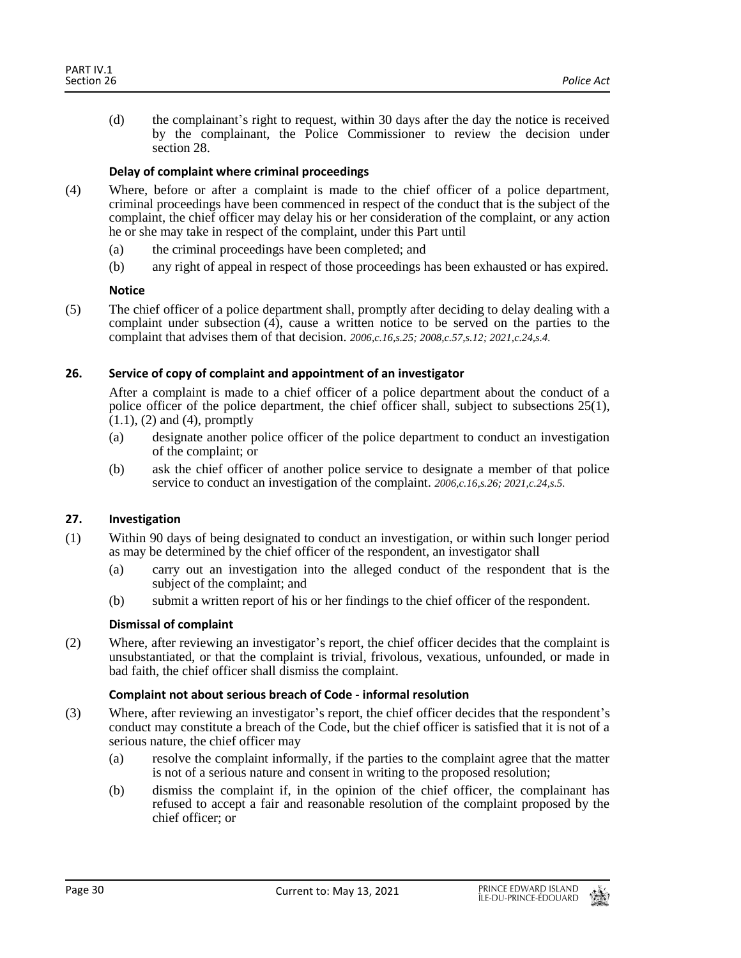(d) the complainant's right to request, within 30 days after the day the notice is received by the complainant, the Police Commissioner to review the decision under section 28.

## **Delay of complaint where criminal proceedings**

- (4) Where, before or after a complaint is made to the chief officer of a police department, criminal proceedings have been commenced in respect of the conduct that is the subject of the complaint, the chief officer may delay his or her consideration of the complaint, or any action he or she may take in respect of the complaint, under this Part until
	- (a) the criminal proceedings have been completed; and
	- (b) any right of appeal in respect of those proceedings has been exhausted or has expired.

## **Notice**

(5) The chief officer of a police department shall, promptly after deciding to delay dealing with a complaint under subsection (4), cause a written notice to be served on the parties to the complaint that advises them of that decision. *2006,c.16,s.25; 2008,c.57,s.12; 2021,c.24,s.4.*

## <span id="page-29-0"></span>**26. Service of copy of complaint and appointment of an investigator**

After a complaint is made to a chief officer of a police department about the conduct of a police officer of the police department, the chief officer shall, subject to subsections 25(1),  $(1.1)$ ,  $(2)$  and  $(4)$ , promptly

- (a) designate another police officer of the police department to conduct an investigation of the complaint; or
- (b) ask the chief officer of another police service to designate a member of that police service to conduct an investigation of the complaint. *2006,c.16,s.26; 2021,c.24,s.5.*

## <span id="page-29-1"></span>**27. Investigation**

- (1) Within 90 days of being designated to conduct an investigation, or within such longer period as may be determined by the chief officer of the respondent, an investigator shall
	- (a) carry out an investigation into the alleged conduct of the respondent that is the subject of the complaint; and
	- (b) submit a written report of his or her findings to the chief officer of the respondent.

## **Dismissal of complaint**

(2) Where, after reviewing an investigator's report, the chief officer decides that the complaint is unsubstantiated, or that the complaint is trivial, frivolous, vexatious, unfounded, or made in bad faith, the chief officer shall dismiss the complaint.

## **Complaint not about serious breach of Code - informal resolution**

- (3) Where, after reviewing an investigator's report, the chief officer decides that the respondent's conduct may constitute a breach of the Code, but the chief officer is satisfied that it is not of a serious nature, the chief officer may
	- (a) resolve the complaint informally, if the parties to the complaint agree that the matter is not of a serious nature and consent in writing to the proposed resolution;
	- (b) dismiss the complaint if, in the opinion of the chief officer, the complainant has refused to accept a fair and reasonable resolution of the complaint proposed by the chief officer; or

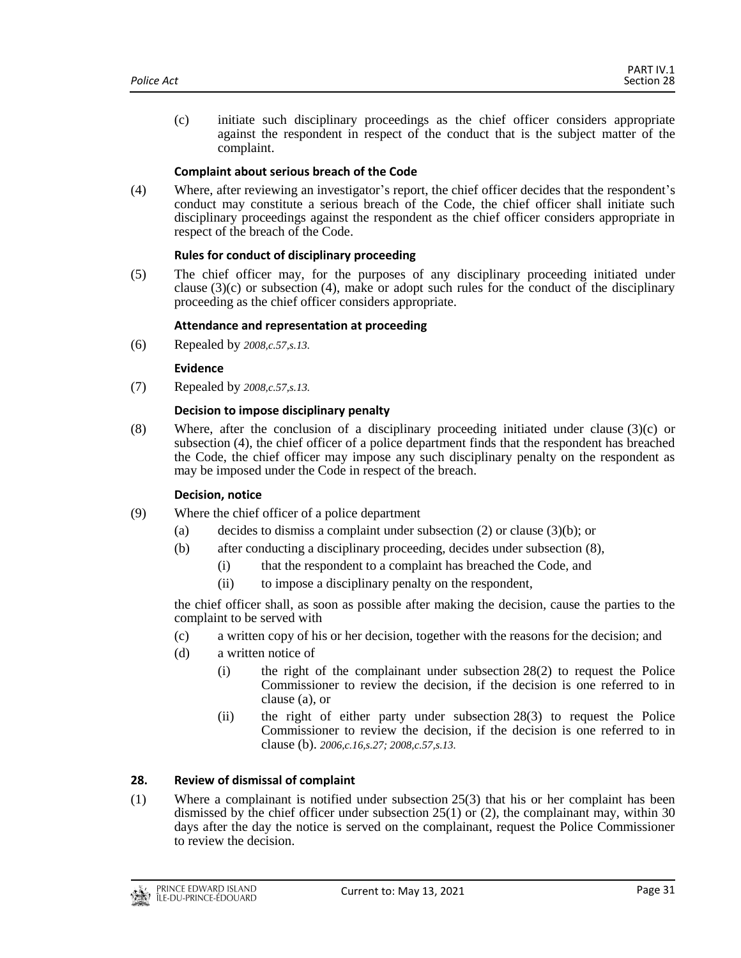(c) initiate such disciplinary proceedings as the chief officer considers appropriate against the respondent in respect of the conduct that is the subject matter of the complaint.

## **Complaint about serious breach of the Code**

(4) Where, after reviewing an investigator's report, the chief officer decides that the respondent's conduct may constitute a serious breach of the Code, the chief officer shall initiate such disciplinary proceedings against the respondent as the chief officer considers appropriate in respect of the breach of the Code.

## **Rules for conduct of disciplinary proceeding**

(5) The chief officer may, for the purposes of any disciplinary proceeding initiated under clause  $(3)(c)$  or subsection  $(4)$ , make or adopt such rules for the conduct of the disciplinary proceeding as the chief officer considers appropriate.

## **Attendance and representation at proceeding**

(6) Repealed by *2008,c.57,s.13.*

## **Evidence**

(7) Repealed by *2008,c.57,s.13.*

## **Decision to impose disciplinary penalty**

(8) Where, after the conclusion of a disciplinary proceeding initiated under clause (3)(c) or subsection (4), the chief officer of a police department finds that the respondent has breached the Code, the chief officer may impose any such disciplinary penalty on the respondent as may be imposed under the Code in respect of the breach.

#### **Decision, notice**

- (9) Where the chief officer of a police department
	- (a) decides to dismiss a complaint under subsection  $(2)$  or clause  $(3)(b)$ ; or
	- (b) after conducting a disciplinary proceeding, decides under subsection (8),
		- (i) that the respondent to a complaint has breached the Code, and
		- (ii) to impose a disciplinary penalty on the respondent,

the chief officer shall, as soon as possible after making the decision, cause the parties to the complaint to be served with

- (c) a written copy of his or her decision, together with the reasons for the decision; and
- (d) a written notice of
	- (i) the right of the complainant under subsection 28(2) to request the Police Commissioner to review the decision, if the decision is one referred to in clause (a), or
	- (ii) the right of either party under subsection 28(3) to request the Police Commissioner to review the decision, if the decision is one referred to in clause (b). *2006,c.16,s.27; 2008,c.57,s.13.*

#### <span id="page-30-0"></span>**28. Review of dismissal of complaint**

(1) Where a complainant is notified under subsection 25(3) that his or her complaint has been dismissed by the chief officer under subsection 25(1) or (2), the complainant may, within 30 days after the day the notice is served on the complainant, request the Police Commissioner to review the decision.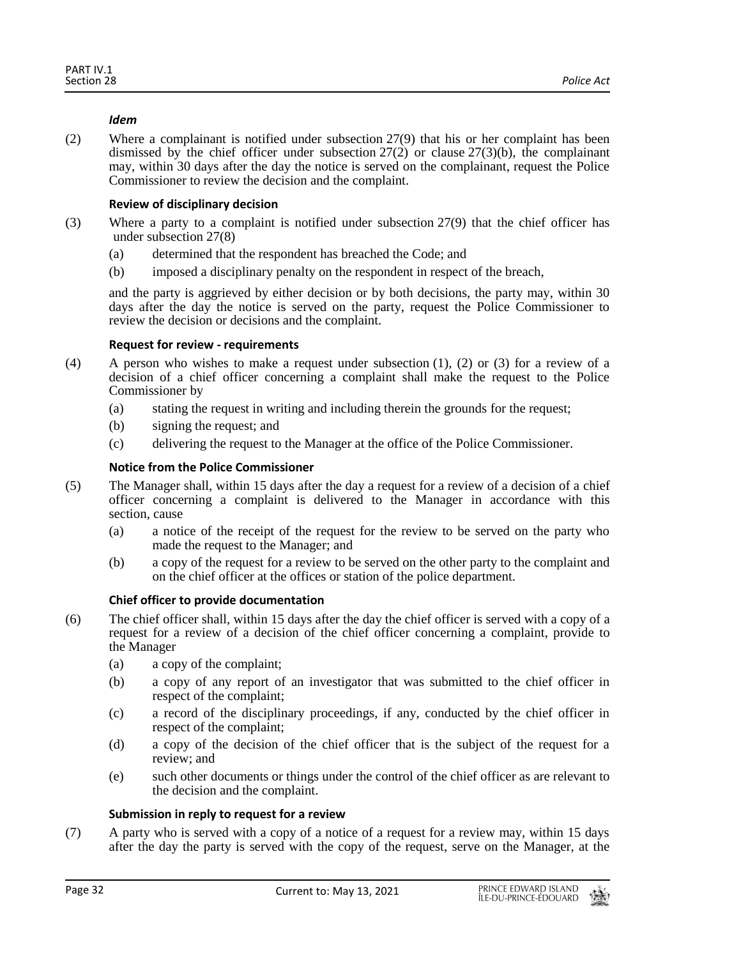## *Idem*

(2) Where a complainant is notified under subsection 27(9) that his or her complaint has been dismissed by the chief officer under subsection  $27(2)$  or clause  $27(3)(b)$ , the complainant may, within 30 days after the day the notice is served on the complainant, request the Police Commissioner to review the decision and the complaint.

## **Review of disciplinary decision**

- (3) Where a party to a complaint is notified under subsection 27(9) that the chief officer has under subsection 27(8)
	- (a) determined that the respondent has breached the Code; and
	- (b) imposed a disciplinary penalty on the respondent in respect of the breach,

and the party is aggrieved by either decision or by both decisions, the party may, within 30 days after the day the notice is served on the party, request the Police Commissioner to review the decision or decisions and the complaint.

#### **Request for review - requirements**

- (4) A person who wishes to make a request under subsection  $(1)$ ,  $(2)$  or  $(3)$  for a review of a decision of a chief officer concerning a complaint shall make the request to the Police Commissioner by
	- (a) stating the request in writing and including therein the grounds for the request;
	- (b) signing the request; and
	- (c) delivering the request to the Manager at the office of the Police Commissioner.

## **Notice from the Police Commissioner**

- (5) The Manager shall, within 15 days after the day a request for a review of a decision of a chief officer concerning a complaint is delivered to the Manager in accordance with this section, cause
	- (a) a notice of the receipt of the request for the review to be served on the party who made the request to the Manager; and
	- (b) a copy of the request for a review to be served on the other party to the complaint and on the chief officer at the offices or station of the police department.

#### **Chief officer to provide documentation**

- (6) The chief officer shall, within 15 days after the day the chief officer is served with a copy of a request for a review of a decision of the chief officer concerning a complaint, provide to the Manager
	- (a) a copy of the complaint;
	- (b) a copy of any report of an investigator that was submitted to the chief officer in respect of the complaint;
	- (c) a record of the disciplinary proceedings, if any, conducted by the chief officer in respect of the complaint;
	- (d) a copy of the decision of the chief officer that is the subject of the request for a review; and
	- (e) such other documents or things under the control of the chief officer as are relevant to the decision and the complaint.

## **Submission in reply to request for a review**

(7) A party who is served with a copy of a notice of a request for a review may, within 15 days after the day the party is served with the copy of the request, serve on the Manager, at the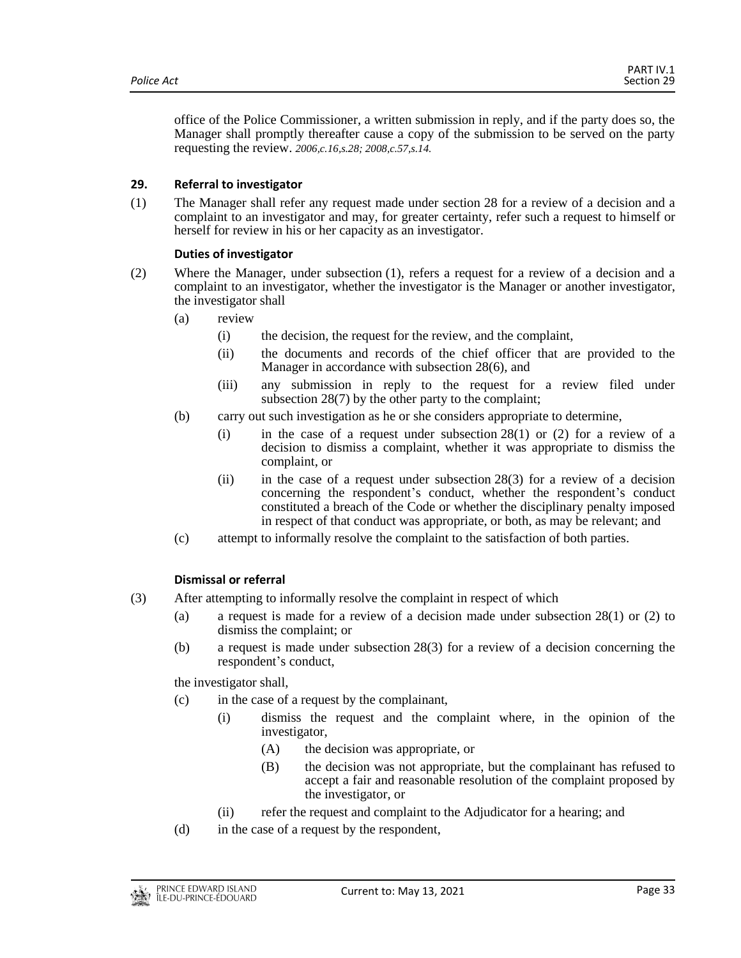office of the Police Commissioner, a written submission in reply, and if the party does so, the Manager shall promptly thereafter cause a copy of the submission to be served on the party requesting the review. *2006,c.16,s.28; 2008,c.57,s.14.*

## <span id="page-32-0"></span>**29. Referral to investigator**

(1) The Manager shall refer any request made under section 28 for a review of a decision and a complaint to an investigator and may, for greater certainty, refer such a request to himself or herself for review in his or her capacity as an investigator.

## **Duties of investigator**

- (2) Where the Manager, under subsection (1), refers a request for a review of a decision and a complaint to an investigator, whether the investigator is the Manager or another investigator, the investigator shall
	- (a) review
		- (i) the decision, the request for the review, and the complaint,
		- (ii) the documents and records of the chief officer that are provided to the Manager in accordance with subsection 28(6), and
		- (iii) any submission in reply to the request for a review filed under subsection 28(7) by the other party to the complaint;
	- (b) carry out such investigation as he or she considers appropriate to determine,
		- (i) in the case of a request under subsection  $28(1)$  or (2) for a review of a decision to dismiss a complaint, whether it was appropriate to dismiss the complaint, or
		- (ii) in the case of a request under subsection 28(3) for a review of a decision concerning the respondent's conduct, whether the respondent's conduct constituted a breach of the Code or whether the disciplinary penalty imposed in respect of that conduct was appropriate, or both, as may be relevant; and
	- (c) attempt to informally resolve the complaint to the satisfaction of both parties.

## **Dismissal or referral**

- (3) After attempting to informally resolve the complaint in respect of which
	- (a) a request is made for a review of a decision made under subsection 28(1) or (2) to dismiss the complaint; or
	- (b) a request is made under subsection 28(3) for a review of a decision concerning the respondent's conduct,

the investigator shall,

- (c) in the case of a request by the complainant,
	- (i) dismiss the request and the complaint where, in the opinion of the investigator,
		- (A) the decision was appropriate, or
		- (B) the decision was not appropriate, but the complainant has refused to accept a fair and reasonable resolution of the complaint proposed by the investigator, or
	- (ii) refer the request and complaint to the Adjudicator for a hearing; and
- (d) in the case of a request by the respondent,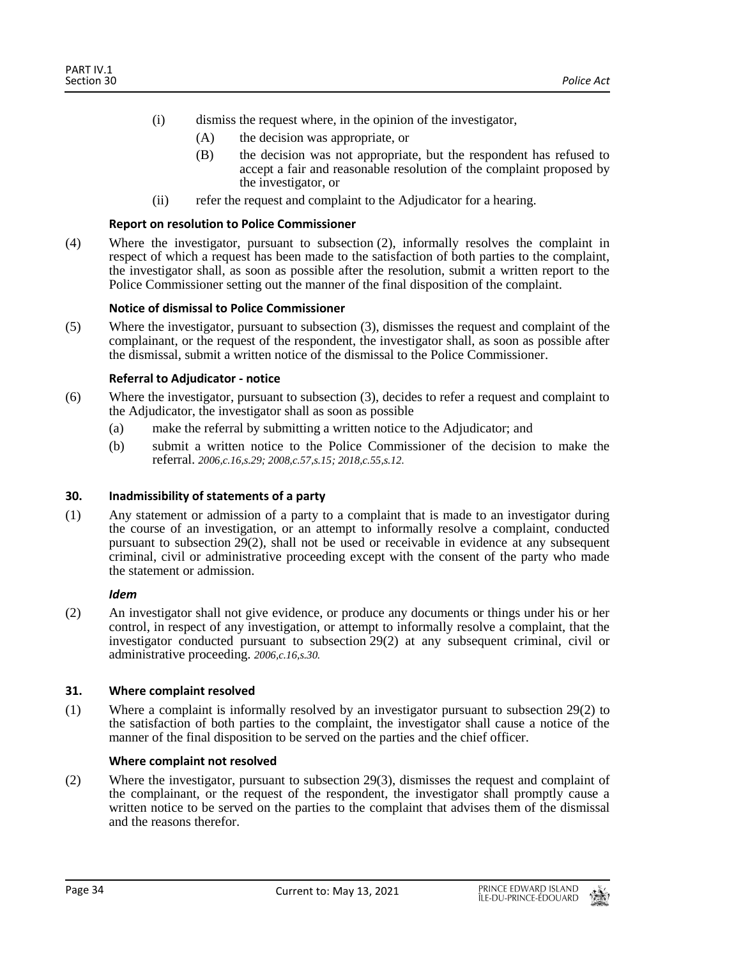- (i) dismiss the request where, in the opinion of the investigator,
	- (A) the decision was appropriate, or
	- (B) the decision was not appropriate, but the respondent has refused to accept a fair and reasonable resolution of the complaint proposed by the investigator, or
- (ii) refer the request and complaint to the Adjudicator for a hearing.

#### **Report on resolution to Police Commissioner**

(4) Where the investigator, pursuant to subsection (2), informally resolves the complaint in respect of which a request has been made to the satisfaction of both parties to the complaint, the investigator shall, as soon as possible after the resolution, submit a written report to the Police Commissioner setting out the manner of the final disposition of the complaint.

#### **Notice of dismissal to Police Commissioner**

(5) Where the investigator, pursuant to subsection (3), dismisses the request and complaint of the complainant, or the request of the respondent, the investigator shall, as soon as possible after the dismissal, submit a written notice of the dismissal to the Police Commissioner.

#### **Referral to Adjudicator - notice**

- (6) Where the investigator, pursuant to subsection (3), decides to refer a request and complaint to the Adjudicator, the investigator shall as soon as possible
	- (a) make the referral by submitting a written notice to the Adjudicator; and
	- (b) submit a written notice to the Police Commissioner of the decision to make the referral. *2006,c.16,s.29; 2008,c.57,s.15; 2018,c.55,s.12.*

#### <span id="page-33-0"></span>**30. Inadmissibility of statements of a party**

(1) Any statement or admission of a party to a complaint that is made to an investigator during the course of an investigation, or an attempt to informally resolve a complaint, conducted pursuant to subsection 29(2), shall not be used or receivable in evidence at any subsequent criminal, civil or administrative proceeding except with the consent of the party who made the statement or admission.

#### *Idem*

(2) An investigator shall not give evidence, or produce any documents or things under his or her control, in respect of any investigation, or attempt to informally resolve a complaint, that the investigator conducted pursuant to subsection 29(2) at any subsequent criminal, civil or administrative proceeding. *2006,c.16,s.30.*

#### <span id="page-33-1"></span>**31. Where complaint resolved**

(1) Where a complaint is informally resolved by an investigator pursuant to subsection 29(2) to the satisfaction of both parties to the complaint, the investigator shall cause a notice of the manner of the final disposition to be served on the parties and the chief officer.

#### **Where complaint not resolved**

(2) Where the investigator, pursuant to subsection 29(3), dismisses the request and complaint of the complainant, or the request of the respondent, the investigator shall promptly cause a written notice to be served on the parties to the complaint that advises them of the dismissal and the reasons therefor.

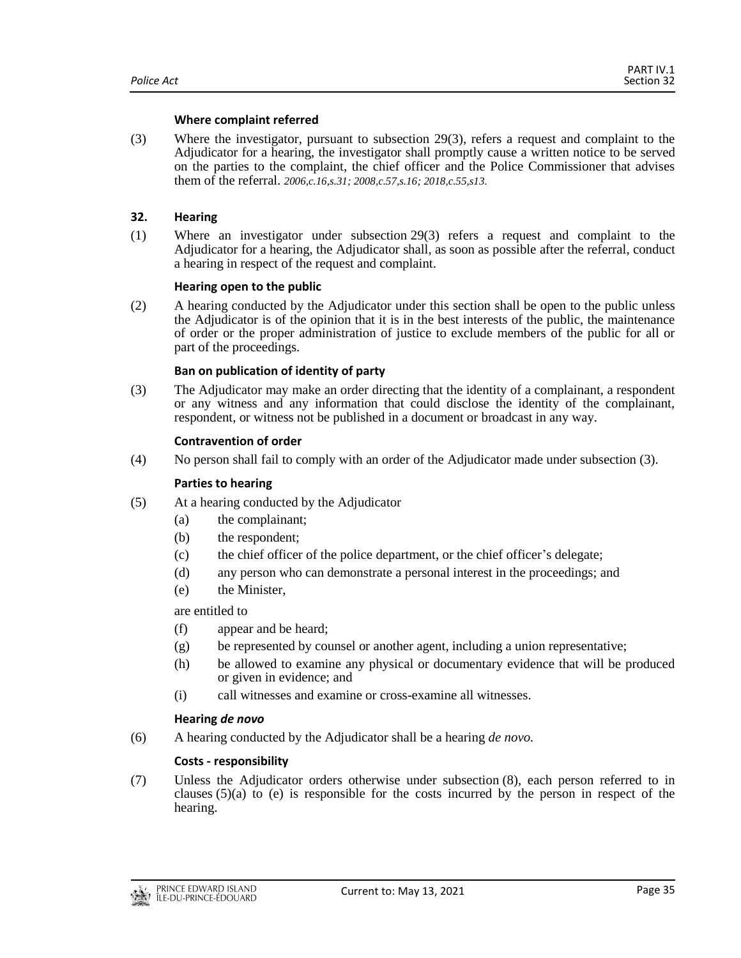#### **Where complaint referred**

(3) Where the investigator, pursuant to subsection 29(3), refers a request and complaint to the Adjudicator for a hearing, the investigator shall promptly cause a written notice to be served on the parties to the complaint, the chief officer and the Police Commissioner that advises them of the referral. *2006,c.16,s.31; 2008,c.57,s.16; 2018,c.55,s13.*

## <span id="page-34-0"></span>**32. Hearing**

(1) Where an investigator under subsection 29(3) refers a request and complaint to the Adjudicator for a hearing, the Adjudicator shall, as soon as possible after the referral, conduct a hearing in respect of the request and complaint.

#### **Hearing open to the public**

(2) A hearing conducted by the Adjudicator under this section shall be open to the public unless the Adjudicator is of the opinion that it is in the best interests of the public, the maintenance of order or the proper administration of justice to exclude members of the public for all or part of the proceedings.

## **Ban on publication of identity of party**

(3) The Adjudicator may make an order directing that the identity of a complainant, a respondent or any witness and any information that could disclose the identity of the complainant, respondent, or witness not be published in a document or broadcast in any way.

#### **Contravention of order**

(4) No person shall fail to comply with an order of the Adjudicator made under subsection (3).

#### **Parties to hearing**

- (5) At a hearing conducted by the Adjudicator
	- (a) the complainant;
	- (b) the respondent;
	- (c) the chief officer of the police department, or the chief officer's delegate;
	- (d) any person who can demonstrate a personal interest in the proceedings; and
	- (e) the Minister,

## are entitled to

- (f) appear and be heard;
- $(g)$  be represented by counsel or another agent, including a union representative;
- (h) be allowed to examine any physical or documentary evidence that will be produced or given in evidence; and
- (i) call witnesses and examine or cross-examine all witnesses.

#### **Hearing** *de novo*

(6) A hearing conducted by the Adjudicator shall be a hearing *de novo.*

## **Costs - responsibility**

(7) Unless the Adjudicator orders otherwise under subsection (8), each person referred to in clauses  $(5)(a)$  to (e) is responsible for the costs incurred by the person in respect of the hearing.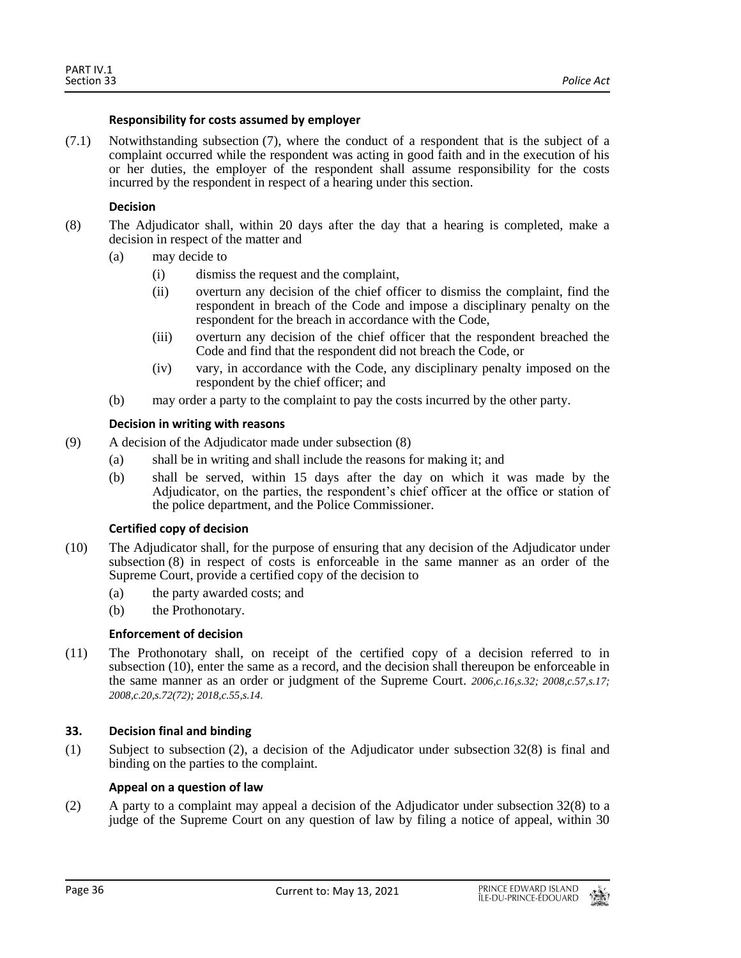## **Responsibility for costs assumed by employer**

(7.1) Notwithstanding subsection (7), where the conduct of a respondent that is the subject of a complaint occurred while the respondent was acting in good faith and in the execution of his or her duties, the employer of the respondent shall assume responsibility for the costs incurred by the respondent in respect of a hearing under this section.

## **Decision**

- (8) The Adjudicator shall, within 20 days after the day that a hearing is completed, make a decision in respect of the matter and
	- (a) may decide to
		- (i) dismiss the request and the complaint,
		- (ii) overturn any decision of the chief officer to dismiss the complaint, find the respondent in breach of the Code and impose a disciplinary penalty on the respondent for the breach in accordance with the Code,
		- (iii) overturn any decision of the chief officer that the respondent breached the Code and find that the respondent did not breach the Code, or
		- (iv) vary, in accordance with the Code, any disciplinary penalty imposed on the respondent by the chief officer; and
	- (b) may order a party to the complaint to pay the costs incurred by the other party.

## **Decision in writing with reasons**

- (9) A decision of the Adjudicator made under subsection (8)
	- (a) shall be in writing and shall include the reasons for making it; and
	- (b) shall be served, within 15 days after the day on which it was made by the Adjudicator, on the parties, the respondent's chief officer at the office or station of the police department, and the Police Commissioner.

#### **Certified copy of decision**

- (10) The Adjudicator shall, for the purpose of ensuring that any decision of the Adjudicator under subsection (8) in respect of costs is enforceable in the same manner as an order of the Supreme Court, provide a certified copy of the decision to
	- (a) the party awarded costs; and
	- (b) the Prothonotary.

## **Enforcement of decision**

(11) The Prothonotary shall, on receipt of the certified copy of a decision referred to in subsection (10), enter the same as a record, and the decision shall thereupon be enforceable in the same manner as an order or judgment of the Supreme Court. *2006,c.16,s.32; 2008,c.57,s.17; 2008,c.20,s.72(72); 2018,c.55,s.14.*

## <span id="page-35-0"></span>**33. Decision final and binding**

(1) Subject to subsection (2), a decision of the Adjudicator under subsection 32(8) is final and binding on the parties to the complaint.

## **Appeal on a question of law**

(2) A party to a complaint may appeal a decision of the Adjudicator under subsection  $32(8)$  to a judge of the Supreme Court on any question of law by filing a notice of appeal, within 30

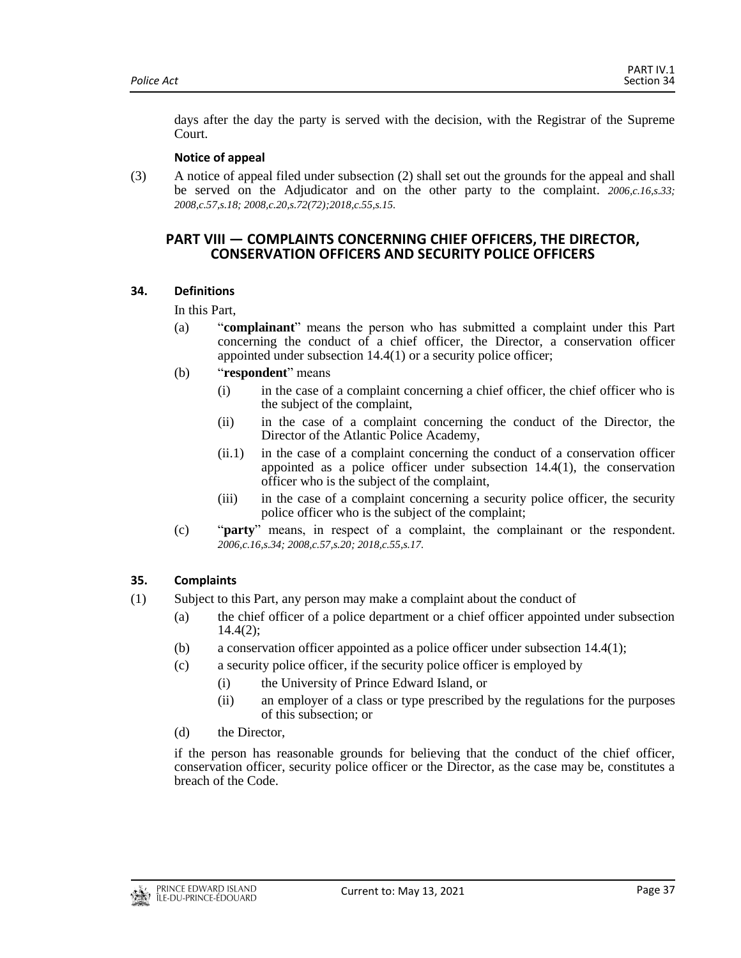days after the day the party is served with the decision, with the Registrar of the Supreme Court.

## **Notice of appeal**

<span id="page-36-0"></span>(3) A notice of appeal filed under subsection (2) shall set out the grounds for the appeal and shall be served on the Adjudicator and on the other party to the complaint. *2006,c.16,s.33; 2008,c.57,s.18; 2008,c.20,s.72(72);2018,c.55,s.15.*

## **PART VIII — COMPLAINTS CONCERNING CHIEF OFFICERS, THE DIRECTOR, CONSERVATION OFFICERS AND SECURITY POLICE OFFICERS**

## <span id="page-36-1"></span>**34. Definitions**

In this Part,

- (a) "**complainant**" means the person who has submitted a complaint under this Part concerning the conduct of a chief officer, the Director, a conservation officer appointed under subsection 14.4(1) or a security police officer;
- (b) "**respondent**" means
	- (i) in the case of a complaint concerning a chief officer, the chief officer who is the subject of the complaint,
	- (ii) in the case of a complaint concerning the conduct of the Director, the Director of the Atlantic Police Academy,
	- (ii.1) in the case of a complaint concerning the conduct of a conservation officer appointed as a police officer under subsection 14.4(1), the conservation officer who is the subject of the complaint,
	- (iii) in the case of a complaint concerning a security police officer, the security police officer who is the subject of the complaint;
- (c) "**party**" means, in respect of a complaint, the complainant or the respondent. *2006,c.16,s.34; 2008,c.57,s.20; 2018,c.55,s.17.*

## <span id="page-36-2"></span>**35. Complaints**

- (1) Subject to this Part, any person may make a complaint about the conduct of
	- (a) the chief officer of a police department or a chief officer appointed under subsection 14.4(2);
	- (b) a conservation officer appointed as a police officer under subsection 14.4(1);
	- (c) a security police officer, if the security police officer is employed by
		- (i) the University of Prince Edward Island, or
		- (ii) an employer of a class or type prescribed by the regulations for the purposes of this subsection; or
	- (d) the Director,

if the person has reasonable grounds for believing that the conduct of the chief officer, conservation officer, security police officer or the Director, as the case may be, constitutes a breach of the Code.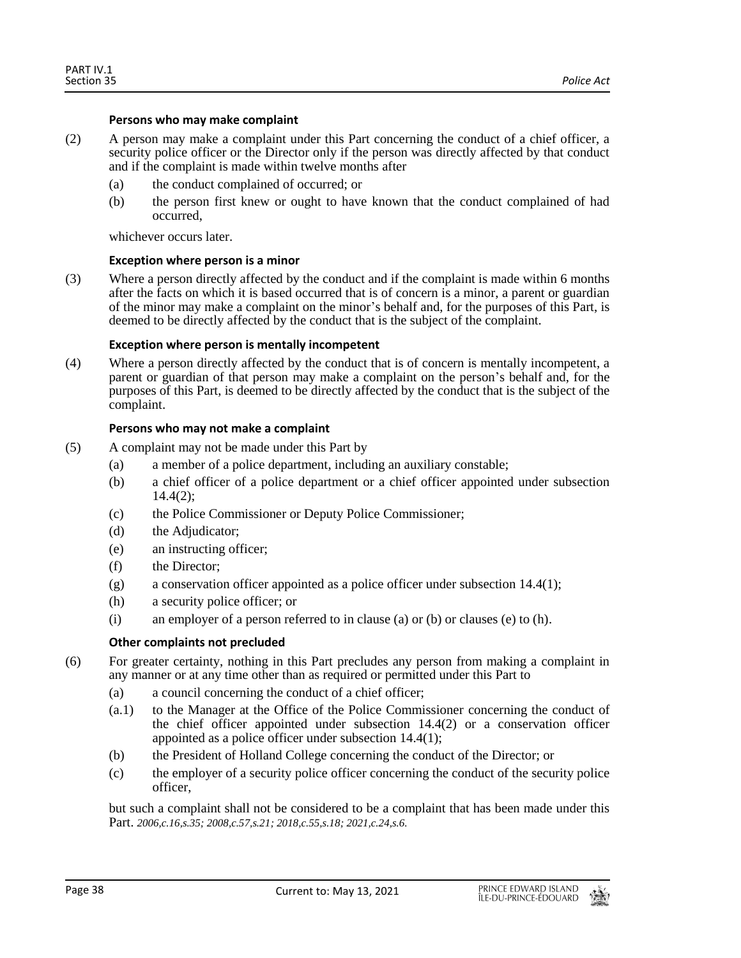#### **Persons who may make complaint**

- (2) A person may make a complaint under this Part concerning the conduct of a chief officer, a security police officer or the Director only if the person was directly affected by that conduct and if the complaint is made within twelve months after
	- (a) the conduct complained of occurred; or
	- (b) the person first knew or ought to have known that the conduct complained of had occurred,

whichever occurs later.

## **Exception where person is a minor**

(3) Where a person directly affected by the conduct and if the complaint is made within 6 months after the facts on which it is based occurred that is of concern is a minor, a parent or guardian of the minor may make a complaint on the minor's behalf and, for the purposes of this Part, is deemed to be directly affected by the conduct that is the subject of the complaint.

## **Exception where person is mentally incompetent**

(4) Where a person directly affected by the conduct that is of concern is mentally incompetent, a parent or guardian of that person may make a complaint on the person's behalf and, for the purposes of this Part, is deemed to be directly affected by the conduct that is the subject of the complaint.

## **Persons who may not make a complaint**

- (5) A complaint may not be made under this Part by
	- (a) a member of a police department, including an auxiliary constable;
	- (b) a chief officer of a police department or a chief officer appointed under subsection 14.4(2);
	- (c) the Police Commissioner or Deputy Police Commissioner;
	- (d) the Adjudicator;
	- (e) an instructing officer;
	- (f) the Director;
	- (g) a conservation officer appointed as a police officer under subsection  $14.4(1)$ ;
	- (h) a security police officer; or
	- (i) an employer of a person referred to in clause (a) or (b) or clauses (e) to (h).

## **Other complaints not precluded**

- (6) For greater certainty, nothing in this Part precludes any person from making a complaint in any manner or at any time other than as required or permitted under this Part to
	- (a) a council concerning the conduct of a chief officer;
	- (a.1) to the Manager at the Office of the Police Commissioner concerning the conduct of the chief officer appointed under subsection 14.4(2) or a conservation officer appointed as a police officer under subsection 14.4(1);
	- (b) the President of Holland College concerning the conduct of the Director; or
	- (c) the employer of a security police officer concerning the conduct of the security police officer,

but such a complaint shall not be considered to be a complaint that has been made under this Part. *2006,c.16,s.35; 2008,c.57,s.21; 2018,c.55,s.18; 2021,c.24,s.6.*

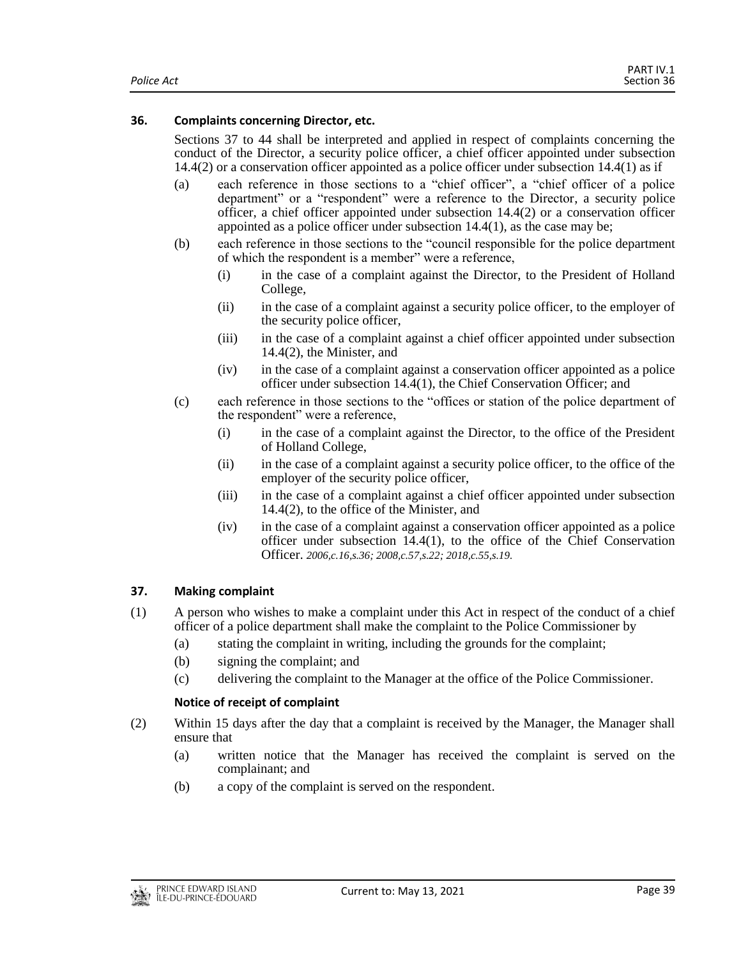## <span id="page-38-0"></span>**36. Complaints concerning Director, etc.**

Sections 37 to 44 shall be interpreted and applied in respect of complaints concerning the conduct of the Director, a security police officer, a chief officer appointed under subsection 14.4(2) or a conservation officer appointed as a police officer under subsection 14.4(1) as if

- (a) each reference in those sections to a "chief officer", a "chief officer of a police department" or a "respondent" were a reference to the Director, a security police officer, a chief officer appointed under subsection 14.4(2) or a conservation officer appointed as a police officer under subsection 14.4(1), as the case may be;
- (b) each reference in those sections to the "council responsible for the police department of which the respondent is a member" were a reference,
	- (i) in the case of a complaint against the Director, to the President of Holland College,
	- (ii) in the case of a complaint against a security police officer, to the employer of the security police officer,
	- (iii) in the case of a complaint against a chief officer appointed under subsection 14.4(2), the Minister, and
	- (iv) in the case of a complaint against a conservation officer appointed as a police officer under subsection 14.4(1), the Chief Conservation Officer; and
- (c) each reference in those sections to the "offices or station of the police department of the respondent" were a reference,
	- (i) in the case of a complaint against the Director, to the office of the President of Holland College,
	- (ii) in the case of a complaint against a security police officer, to the office of the employer of the security police officer,
	- (iii) in the case of a complaint against a chief officer appointed under subsection 14.4(2), to the office of the Minister, and
	- (iv) in the case of a complaint against a conservation officer appointed as a police officer under subsection 14.4(1), to the office of the Chief Conservation Officer. *2006,c.16,s.36; 2008,c.57,s.22; 2018,c.55,s.19.*

## <span id="page-38-1"></span>**37. Making complaint**

- (1) A person who wishes to make a complaint under this Act in respect of the conduct of a chief officer of a police department shall make the complaint to the Police Commissioner by
	- (a) stating the complaint in writing, including the grounds for the complaint;
	- (b) signing the complaint; and
	- (c) delivering the complaint to the Manager at the office of the Police Commissioner.

## **Notice of receipt of complaint**

- (2) Within 15 days after the day that a complaint is received by the Manager, the Manager shall ensure that
	- (a) written notice that the Manager has received the complaint is served on the complainant; and
	- (b) a copy of the complaint is served on the respondent.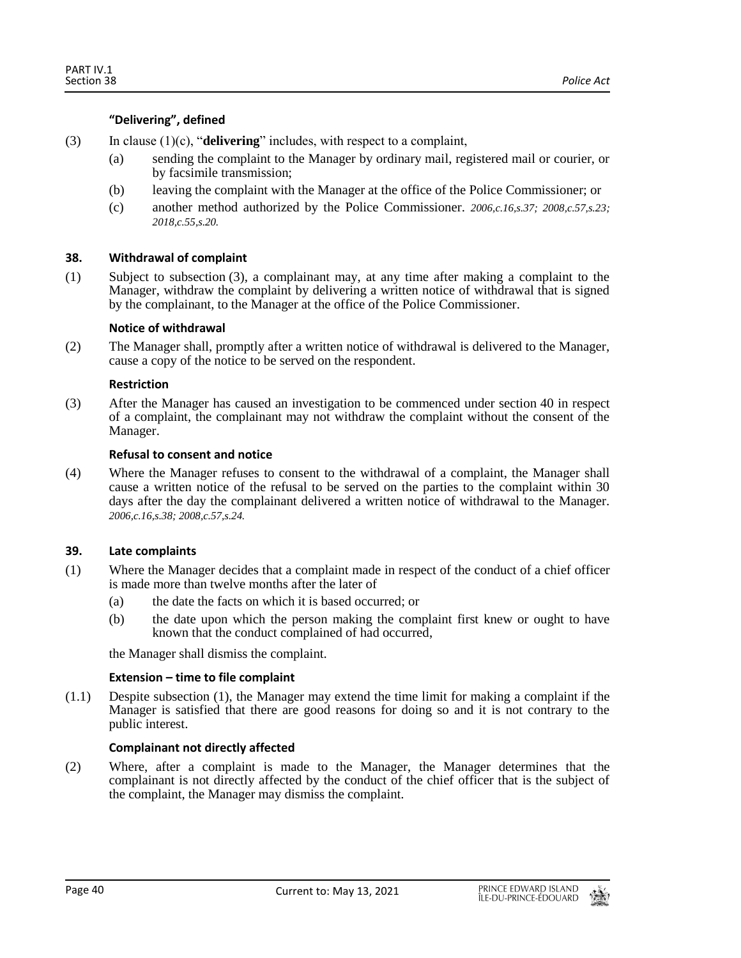## **"Delivering", defined**

- (3) In clause (1)(c), "**delivering**" includes, with respect to a complaint,
	- (a) sending the complaint to the Manager by ordinary mail, registered mail or courier, or by facsimile transmission;
	- (b) leaving the complaint with the Manager at the office of the Police Commissioner; or
	- (c) another method authorized by the Police Commissioner. *2006,c.16,s.37; 2008,c.57,s.23; 2018,c.55,s.20.*

## <span id="page-39-0"></span>**38. Withdrawal of complaint**

(1) Subject to subsection (3), a complainant may, at any time after making a complaint to the Manager, withdraw the complaint by delivering a written notice of withdrawal that is signed by the complainant, to the Manager at the office of the Police Commissioner.

#### **Notice of withdrawal**

(2) The Manager shall, promptly after a written notice of withdrawal is delivered to the Manager, cause a copy of the notice to be served on the respondent.

#### **Restriction**

(3) After the Manager has caused an investigation to be commenced under section 40 in respect of a complaint, the complainant may not withdraw the complaint without the consent of the Manager.

#### **Refusal to consent and notice**

(4) Where the Manager refuses to consent to the withdrawal of a complaint, the Manager shall cause a written notice of the refusal to be served on the parties to the complaint within 30 days after the day the complainant delivered a written notice of withdrawal to the Manager. *2006,c.16,s.38; 2008,c.57,s.24.*

#### <span id="page-39-1"></span>**39. Late complaints**

- (1) Where the Manager decides that a complaint made in respect of the conduct of a chief officer is made more than twelve months after the later of
	- (a) the date the facts on which it is based occurred; or
	- (b) the date upon which the person making the complaint first knew or ought to have known that the conduct complained of had occurred,

the Manager shall dismiss the complaint.

#### **Extension – time to file complaint**

(1.1) Despite subsection (1), the Manager may extend the time limit for making a complaint if the Manager is satisfied that there are good reasons for doing so and it is not contrary to the public interest.

#### **Complainant not directly affected**

(2) Where, after a complaint is made to the Manager, the Manager determines that the complainant is not directly affected by the conduct of the chief officer that is the subject of the complaint, the Manager may dismiss the complaint.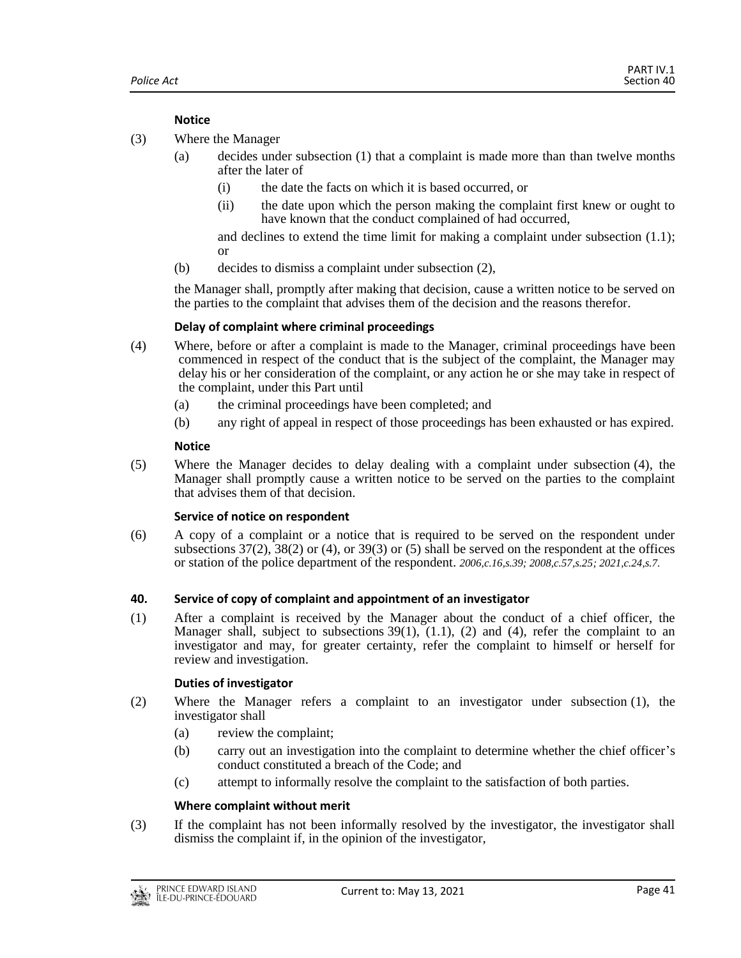## **Notice**

- (3) Where the Manager
	- (a) decides under subsection (1) that a complaint is made more than than twelve months after the later of
		- (i) the date the facts on which it is based occurred, or
		- (ii) the date upon which the person making the complaint first knew or ought to have known that the conduct complained of had occurred,

and declines to extend the time limit for making a complaint under subsection (1.1); or

(b) decides to dismiss a complaint under subsection (2),

the Manager shall, promptly after making that decision, cause a written notice to be served on the parties to the complaint that advises them of the decision and the reasons therefor.

#### **Delay of complaint where criminal proceedings**

- (4) Where, before or after a complaint is made to the Manager, criminal proceedings have been commenced in respect of the conduct that is the subject of the complaint, the Manager may delay his or her consideration of the complaint, or any action he or she may take in respect of the complaint, under this Part until
	- (a) the criminal proceedings have been completed; and
	- (b) any right of appeal in respect of those proceedings has been exhausted or has expired.

## **Notice**

(5) Where the Manager decides to delay dealing with a complaint under subsection (4), the Manager shall promptly cause a written notice to be served on the parties to the complaint that advises them of that decision.

#### **Service of notice on respondent**

(6) A copy of a complaint or a notice that is required to be served on the respondent under subsections  $37(2)$ ,  $38(2)$  or  $(4)$ , or  $39(3)$  or  $(5)$  shall be served on the respondent at the offices or station of the police department of the respondent. *2006,c.16,s.39; 2008,c.57,s.25; 2021,c.24,s.7.*

#### <span id="page-40-0"></span>**40. Service of copy of complaint and appointment of an investigator**

(1) After a complaint is received by the Manager about the conduct of a chief officer, the Manager shall, subject to subsections  $39(1)$ ,  $(1.1)$ ,  $(2)$  and  $(4)$ , refer the complaint to an investigator and may, for greater certainty, refer the complaint to himself or herself for review and investigation.

#### **Duties of investigator**

- (2) Where the Manager refers a complaint to an investigator under subsection (1), the investigator shall
	- (a) review the complaint;
	- (b) carry out an investigation into the complaint to determine whether the chief officer's conduct constituted a breach of the Code; and
	- (c) attempt to informally resolve the complaint to the satisfaction of both parties.

## **Where complaint without merit**

(3) If the complaint has not been informally resolved by the investigator, the investigator shall dismiss the complaint if, in the opinion of the investigator,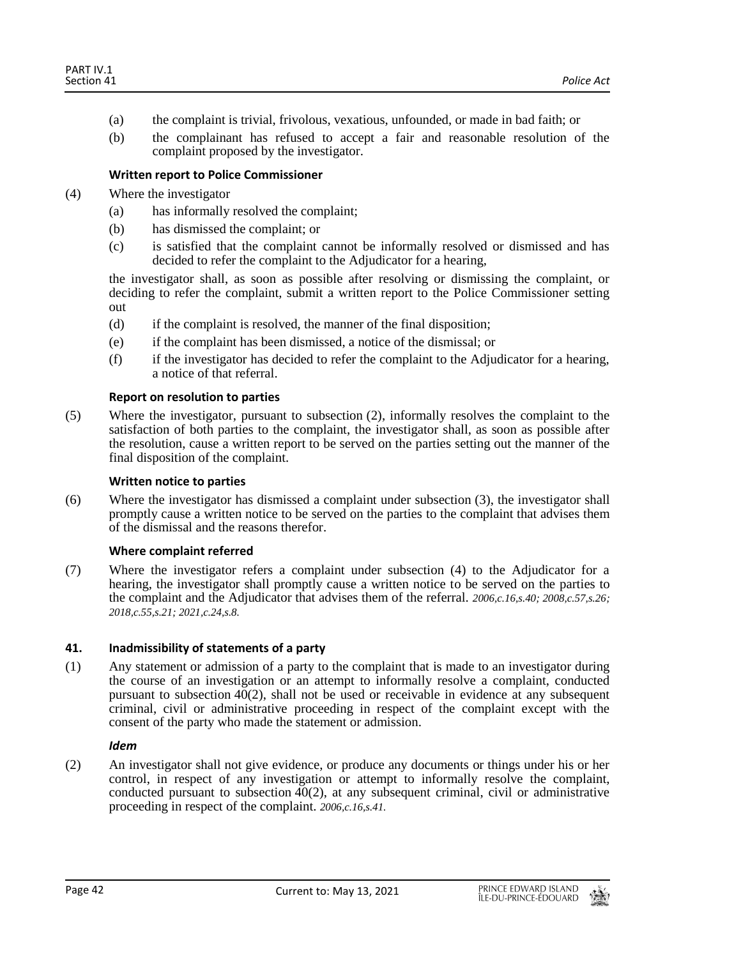- (a) the complaint is trivial, frivolous, vexatious, unfounded, or made in bad faith; or
- (b) the complainant has refused to accept a fair and reasonable resolution of the complaint proposed by the investigator.

## **Written report to Police Commissioner**

- (4) Where the investigator
	- (a) has informally resolved the complaint;
	- (b) has dismissed the complaint; or
	- (c) is satisfied that the complaint cannot be informally resolved or dismissed and has decided to refer the complaint to the Adjudicator for a hearing,

the investigator shall, as soon as possible after resolving or dismissing the complaint, or deciding to refer the complaint, submit a written report to the Police Commissioner setting out

- (d) if the complaint is resolved, the manner of the final disposition;
- (e) if the complaint has been dismissed, a notice of the dismissal; or
- (f) if the investigator has decided to refer the complaint to the Adjudicator for a hearing, a notice of that referral.

## **Report on resolution to parties**

(5) Where the investigator, pursuant to subsection (2), informally resolves the complaint to the satisfaction of both parties to the complaint, the investigator shall, as soon as possible after the resolution, cause a written report to be served on the parties setting out the manner of the final disposition of the complaint.

## **Written notice to parties**

(6) Where the investigator has dismissed a complaint under subsection (3), the investigator shall promptly cause a written notice to be served on the parties to the complaint that advises them of the dismissal and the reasons therefor.

#### **Where complaint referred**

(7) Where the investigator refers a complaint under subsection (4) to the Adjudicator for a hearing, the investigator shall promptly cause a written notice to be served on the parties to the complaint and the Adjudicator that advises them of the referral. *2006,c.16,s.40; 2008,c.57,s.26; 2018,c.55,s.21; 2021,c.24,s.8.*

#### <span id="page-41-0"></span>**41. Inadmissibility of statements of a party**

(1) Any statement or admission of a party to the complaint that is made to an investigator during the course of an investigation or an attempt to informally resolve a complaint, conducted pursuant to subsection 40(2), shall not be used or receivable in evidence at any subsequent criminal, civil or administrative proceeding in respect of the complaint except with the consent of the party who made the statement or admission.

#### *Idem*

(2) An investigator shall not give evidence, or produce any documents or things under his or her control, in respect of any investigation or attempt to informally resolve the complaint, conducted pursuant to subsection  $40(2)$ , at any subsequent criminal, civil or administrative proceeding in respect of the complaint. *2006,c.16,s.41.*

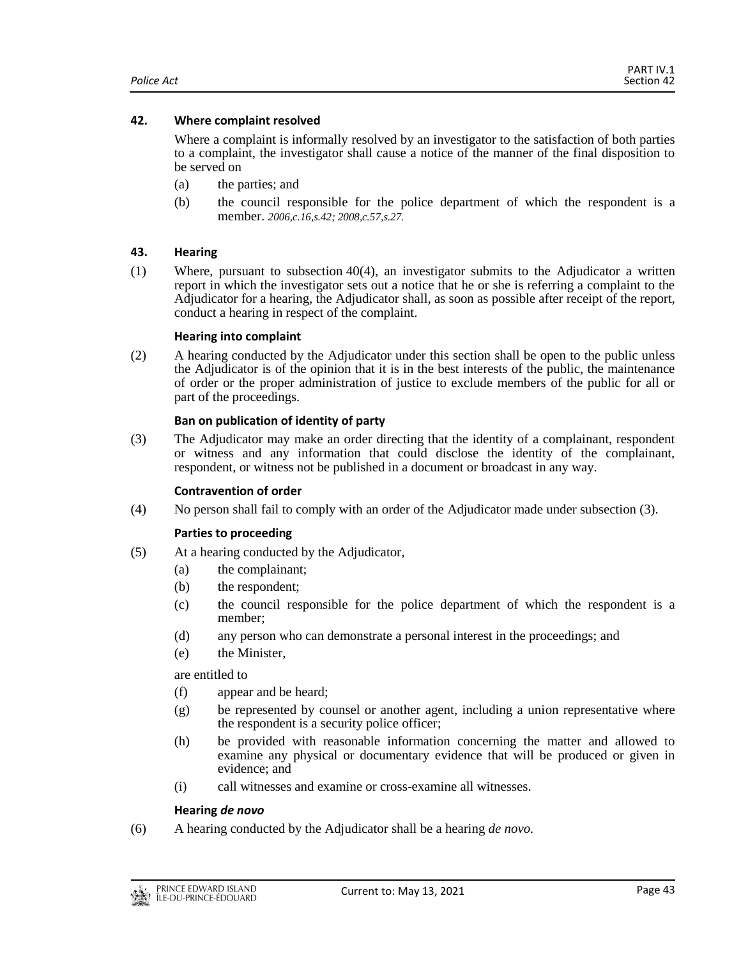## <span id="page-42-0"></span>**42. Where complaint resolved**

Where a complaint is informally resolved by an investigator to the satisfaction of both parties to a complaint, the investigator shall cause a notice of the manner of the final disposition to be served on

- (a) the parties; and
- (b) the council responsible for the police department of which the respondent is a member. *2006,c.16,s.42; 2008,c.57,s.27.*

## <span id="page-42-1"></span>**43. Hearing**

(1) Where, pursuant to subsection 40(4), an investigator submits to the Adjudicator a written report in which the investigator sets out a notice that he or she is referring a complaint to the Adjudicator for a hearing, the Adjudicator shall, as soon as possible after receipt of the report, conduct a hearing in respect of the complaint.

#### **Hearing into complaint**

(2) A hearing conducted by the Adjudicator under this section shall be open to the public unless the Adjudicator is of the opinion that it is in the best interests of the public, the maintenance of order or the proper administration of justice to exclude members of the public for all or part of the proceedings.

## **Ban on publication of identity of party**

(3) The Adjudicator may make an order directing that the identity of a complainant, respondent or witness and any information that could disclose the identity of the complainant, respondent, or witness not be published in a document or broadcast in any way.

#### **Contravention of order**

(4) No person shall fail to comply with an order of the Adjudicator made under subsection (3).

#### **Parties to proceeding**

- (5) At a hearing conducted by the Adjudicator,
	- (a) the complainant;
	- (b) the respondent;
	- (c) the council responsible for the police department of which the respondent is a member;
	- (d) any person who can demonstrate a personal interest in the proceedings; and
	- (e) the Minister,

are entitled to

- (f) appear and be heard;
- (g) be represented by counsel or another agent, including a union representative where the respondent is a security police officer;
- (h) be provided with reasonable information concerning the matter and allowed to examine any physical or documentary evidence that will be produced or given in evidence; and
- (i) call witnesses and examine or cross-examine all witnesses.

## **Hearing** *de novo*

(6) A hearing conducted by the Adjudicator shall be a hearing *de novo.*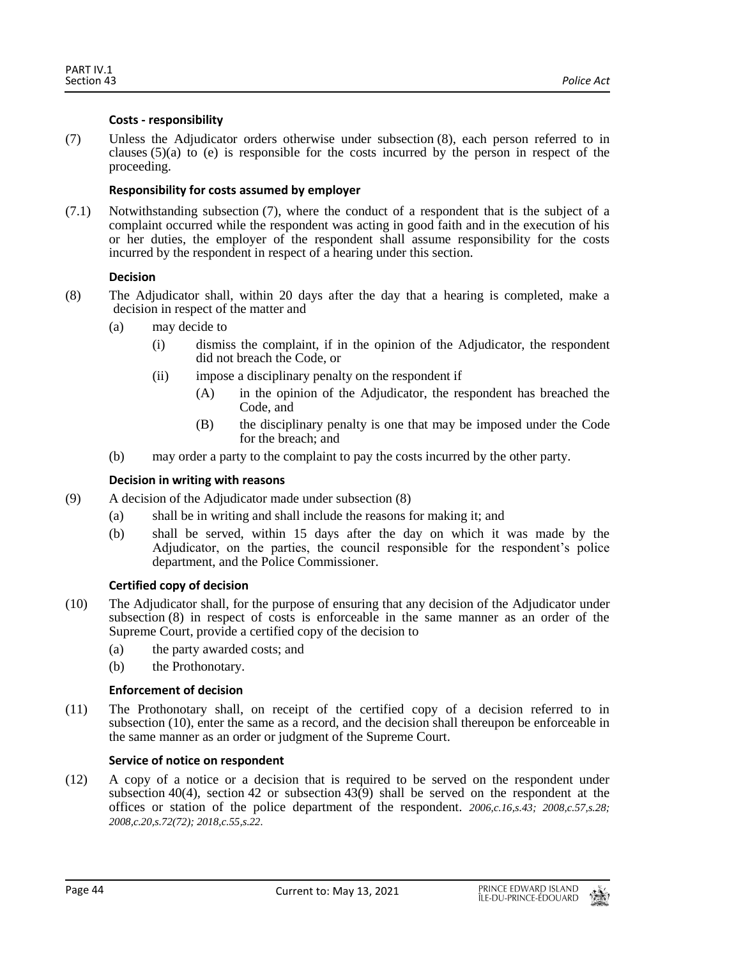## **Costs - responsibility**

(7) Unless the Adjudicator orders otherwise under subsection (8), each person referred to in clauses  $(5)(a)$  to (e) is responsible for the costs incurred by the person in respect of the proceeding.

## **Responsibility for costs assumed by employer**

(7.1) Notwithstanding subsection (7), where the conduct of a respondent that is the subject of a complaint occurred while the respondent was acting in good faith and in the execution of his or her duties, the employer of the respondent shall assume responsibility for the costs incurred by the respondent in respect of a hearing under this section.

## **Decision**

- (8) The Adjudicator shall, within 20 days after the day that a hearing is completed, make a decision in respect of the matter and
	- (a) may decide to
		- (i) dismiss the complaint, if in the opinion of the Adjudicator, the respondent did not breach the Code, or
		- (ii) impose a disciplinary penalty on the respondent if
			- (A) in the opinion of the Adjudicator, the respondent has breached the Code, and
			- (B) the disciplinary penalty is one that may be imposed under the Code for the breach; and
	- (b) may order a party to the complaint to pay the costs incurred by the other party.

#### **Decision in writing with reasons**

- (9) A decision of the Adjudicator made under subsection (8)
	- (a) shall be in writing and shall include the reasons for making it; and
	- (b) shall be served, within 15 days after the day on which it was made by the Adjudicator, on the parties, the council responsible for the respondent's police department, and the Police Commissioner.

## **Certified copy of decision**

- (10) The Adjudicator shall, for the purpose of ensuring that any decision of the Adjudicator under subsection (8) in respect of costs is enforceable in the same manner as an order of the Supreme Court, provide a certified copy of the decision to
	- (a) the party awarded costs; and
	- (b) the Prothonotary.

#### **Enforcement of decision**

(11) The Prothonotary shall, on receipt of the certified copy of a decision referred to in subsection (10), enter the same as a record, and the decision shall thereupon be enforceable in the same manner as an order or judgment of the Supreme Court.

#### **Service of notice on respondent**

(12) A copy of a notice or a decision that is required to be served on the respondent under subsection 40(4), section 42 or subsection  $43(9)$  shall be served on the respondent at the offices or station of the police department of the respondent. *2006,c.16,s.43; 2008,c.57,s.28; 2008,c.20,s.72(72); 2018,c.55,s.22.*

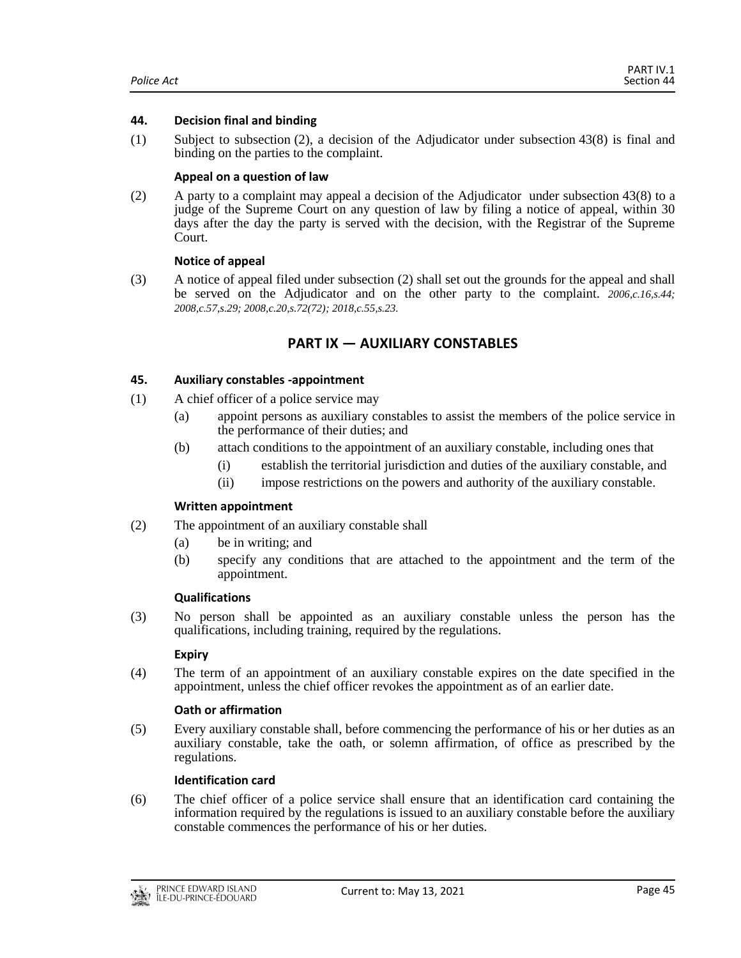#### <span id="page-44-0"></span>**44. Decision final and binding**

(1) Subject to subsection (2), a decision of the Adjudicator under subsection 43(8) is final and binding on the parties to the complaint.

## **Appeal on a question of law**

(2) A party to a complaint may appeal a decision of the Adjudicator under subsection 43(8) to a judge of the Supreme Court on any question of law by filing a notice of appeal, within 30 days after the day the party is served with the decision, with the Registrar of the Supreme Court.

## **Notice of appeal**

<span id="page-44-1"></span>(3) A notice of appeal filed under subsection (2) shall set out the grounds for the appeal and shall be served on the Adjudicator and on the other party to the complaint. *2006,c.16,s.44; 2008,c.57,s.29; 2008,c.20,s.72(72); 2018,c.55,s.23.*

## **PART IX — AUXILIARY CONSTABLES**

## <span id="page-44-2"></span>**45. Auxiliary constables -appointment**

- (1) A chief officer of a police service may
	- (a) appoint persons as auxiliary constables to assist the members of the police service in the performance of their duties; and
	- (b) attach conditions to the appointment of an auxiliary constable, including ones that
		- (i) establish the territorial jurisdiction and duties of the auxiliary constable, and
		- (ii) impose restrictions on the powers and authority of the auxiliary constable.

#### **Written appointment**

- (2) The appointment of an auxiliary constable shall
	- (a) be in writing; and
	- (b) specify any conditions that are attached to the appointment and the term of the appointment.

#### **Qualifications**

(3) No person shall be appointed as an auxiliary constable unless the person has the qualifications, including training, required by the regulations.

#### **Expiry**

(4) The term of an appointment of an auxiliary constable expires on the date specified in the appointment, unless the chief officer revokes the appointment as of an earlier date.

## **Oath or affirmation**

(5) Every auxiliary constable shall, before commencing the performance of his or her duties as an auxiliary constable, take the oath, or solemn affirmation, of office as prescribed by the regulations.

#### **Identification card**

(6) The chief officer of a police service shall ensure that an identification card containing the information required by the regulations is issued to an auxiliary constable before the auxiliary constable commences the performance of his or her duties.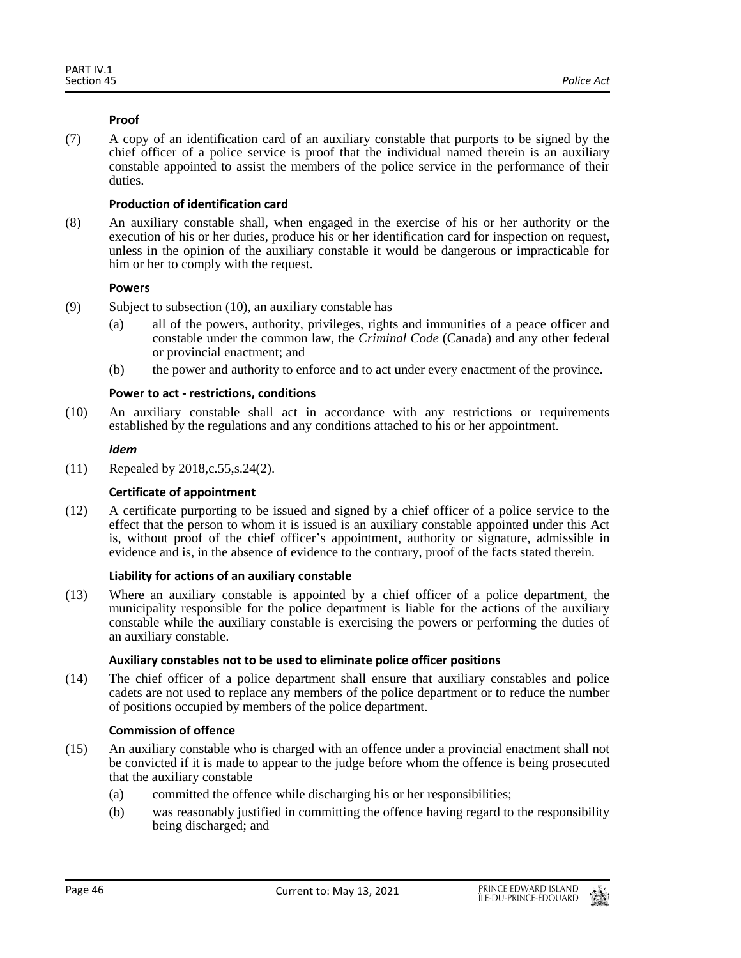## **Proof**

(7) A copy of an identification card of an auxiliary constable that purports to be signed by the chief officer of a police service is proof that the individual named therein is an auxiliary constable appointed to assist the members of the police service in the performance of their duties.

## **Production of identification card**

(8) An auxiliary constable shall, when engaged in the exercise of his or her authority or the execution of his or her duties, produce his or her identification card for inspection on request, unless in the opinion of the auxiliary constable it would be dangerous or impracticable for him or her to comply with the request.

## **Powers**

- (9) Subject to subsection (10), an auxiliary constable has
	- (a) all of the powers, authority, privileges, rights and immunities of a peace officer and constable under the common law, the *Criminal Code* (Canada) and any other federal or provincial enactment; and
	- (b) the power and authority to enforce and to act under every enactment of the province.

## **Power to act - restrictions, conditions**

(10) An auxiliary constable shall act in accordance with any restrictions or requirements established by the regulations and any conditions attached to his or her appointment.

#### *Idem*

(11) Repealed by 2018,c.55,s.24(2).

## **Certificate of appointment**

(12) A certificate purporting to be issued and signed by a chief officer of a police service to the effect that the person to whom it is issued is an auxiliary constable appointed under this Act is, without proof of the chief officer's appointment, authority or signature, admissible in evidence and is, in the absence of evidence to the contrary, proof of the facts stated therein.

## **Liability for actions of an auxiliary constable**

(13) Where an auxiliary constable is appointed by a chief officer of a police department, the municipality responsible for the police department is liable for the actions of the auxiliary constable while the auxiliary constable is exercising the powers or performing the duties of an auxiliary constable.

#### **Auxiliary constables not to be used to eliminate police officer positions**

(14) The chief officer of a police department shall ensure that auxiliary constables and police cadets are not used to replace any members of the police department or to reduce the number of positions occupied by members of the police department.

## **Commission of offence**

- (15) An auxiliary constable who is charged with an offence under a provincial enactment shall not be convicted if it is made to appear to the judge before whom the offence is being prosecuted that the auxiliary constable
	- (a) committed the offence while discharging his or her responsibilities;
	- (b) was reasonably justified in committing the offence having regard to the responsibility being discharged; and

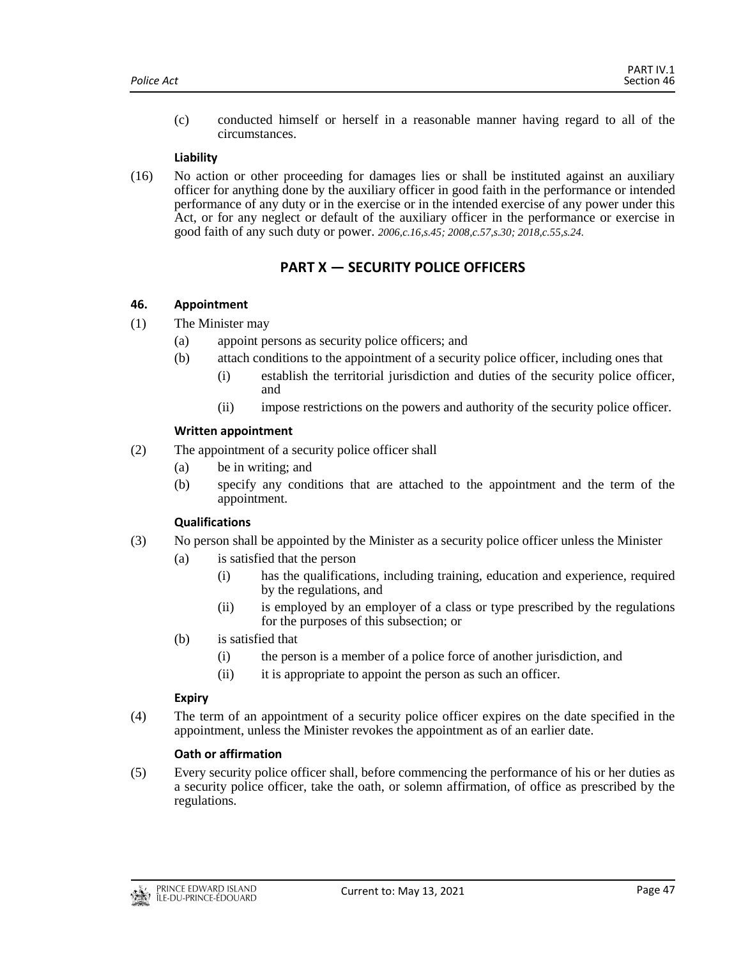(c) conducted himself or herself in a reasonable manner having regard to all of the circumstances.

#### **Liability**

(16) No action or other proceeding for damages lies or shall be instituted against an auxiliary officer for anything done by the auxiliary officer in good faith in the performance or intended performance of any duty or in the exercise or in the intended exercise of any power under this Act, or for any neglect or default of the auxiliary officer in the performance or exercise in good faith of any such duty or power. *2006,c.16,s.45; 2008,c.57,s.30; 2018,c.55,s.24.*

# **PART X — SECURITY POLICE OFFICERS**

#### <span id="page-46-1"></span><span id="page-46-0"></span>**46. Appointment**

- (1) The Minister may
	- (a) appoint persons as security police officers; and
	- (b) attach conditions to the appointment of a security police officer, including ones that
		- (i) establish the territorial jurisdiction and duties of the security police officer, and
		- (ii) impose restrictions on the powers and authority of the security police officer.

#### **Written appointment**

- (2) The appointment of a security police officer shall
	- (a) be in writing; and
	- (b) specify any conditions that are attached to the appointment and the term of the appointment.

#### **Qualifications**

- (3) No person shall be appointed by the Minister as a security police officer unless the Minister
	- (a) is satisfied that the person
		- (i) has the qualifications, including training, education and experience, required by the regulations, and
		- (ii) is employed by an employer of a class or type prescribed by the regulations for the purposes of this subsection; or
	- (b) is satisfied that
		- (i) the person is a member of a police force of another jurisdiction, and
		- (ii) it is appropriate to appoint the person as such an officer.

#### **Expiry**

(4) The term of an appointment of a security police officer expires on the date specified in the appointment, unless the Minister revokes the appointment as of an earlier date.

#### **Oath or affirmation**

(5) Every security police officer shall, before commencing the performance of his or her duties as a security police officer, take the oath, or solemn affirmation, of office as prescribed by the regulations.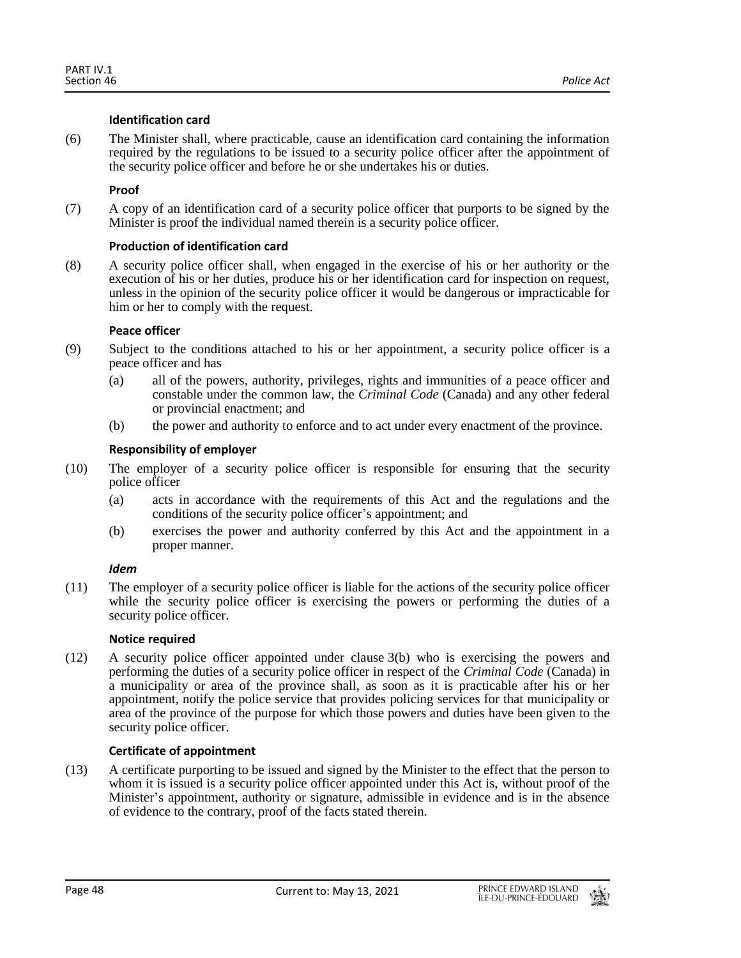## **Identification card**

(6) The Minister shall, where practicable, cause an identification card containing the information required by the regulations to be issued to a security police officer after the appointment of the security police officer and before he or she undertakes his or duties.

## **Proof**

(7) A copy of an identification card of a security police officer that purports to be signed by the Minister is proof the individual named therein is a security police officer.

## **Production of identification card**

(8) A security police officer shall, when engaged in the exercise of his or her authority or the execution of his or her duties, produce his or her identification card for inspection on request, unless in the opinion of the security police officer it would be dangerous or impracticable for him or her to comply with the request.

## **Peace officer**

- (9) Subject to the conditions attached to his or her appointment, a security police officer is a peace officer and has
	- (a) all of the powers, authority, privileges, rights and immunities of a peace officer and constable under the common law, the *Criminal Code* (Canada) and any other federal or provincial enactment; and
	- (b) the power and authority to enforce and to act under every enactment of the province.

## **Responsibility of employer**

- (10) The employer of a security police officer is responsible for ensuring that the security police officer
	- (a) acts in accordance with the requirements of this Act and the regulations and the conditions of the security police officer's appointment; and
	- (b) exercises the power and authority conferred by this Act and the appointment in a proper manner.

#### *Idem*

(11) The employer of a security police officer is liable for the actions of the security police officer while the security police officer is exercising the powers or performing the duties of a security police officer.

#### **Notice required**

(12) A security police officer appointed under clause 3(b) who is exercising the powers and performing the duties of a security police officer in respect of the *Criminal Code* (Canada) in a municipality or area of the province shall, as soon as it is practicable after his or her appointment, notify the police service that provides policing services for that municipality or area of the province of the purpose for which those powers and duties have been given to the security police officer.

## **Certificate of appointment**

(13) A certificate purporting to be issued and signed by the Minister to the effect that the person to whom it is issued is a security police officer appointed under this Act is, without proof of the Minister's appointment, authority or signature, admissible in evidence and is in the absence of evidence to the contrary, proof of the facts stated therein.

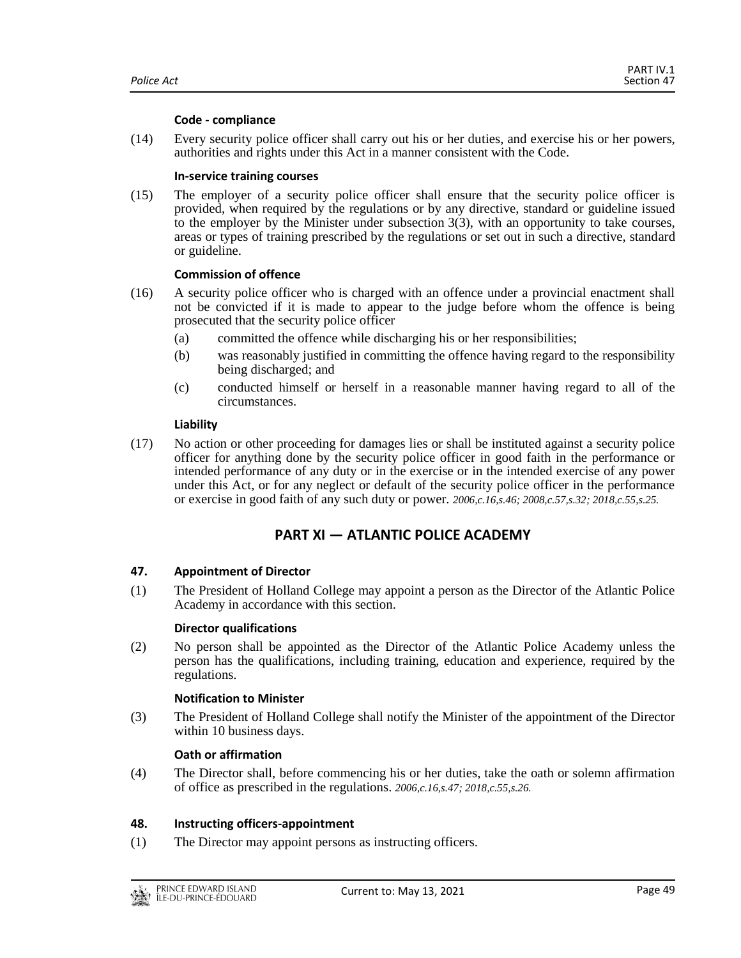#### **Code - compliance**

(14) Every security police officer shall carry out his or her duties, and exercise his or her powers, authorities and rights under this Act in a manner consistent with the Code.

#### **In-service training courses**

(15) The employer of a security police officer shall ensure that the security police officer is provided, when required by the regulations or by any directive, standard or guideline issued to the employer by the Minister under subsection 3(3), with an opportunity to take courses, areas or types of training prescribed by the regulations or set out in such a directive, standard or guideline.

#### **Commission of offence**

- (16) A security police officer who is charged with an offence under a provincial enactment shall not be convicted if it is made to appear to the judge before whom the offence is being prosecuted that the security police officer
	- (a) committed the offence while discharging his or her responsibilities;
	- (b) was reasonably justified in committing the offence having regard to the responsibility being discharged; and
	- (c) conducted himself or herself in a reasonable manner having regard to all of the circumstances.

#### **Liability**

(17) No action or other proceeding for damages lies or shall be instituted against a security police officer for anything done by the security police officer in good faith in the performance or intended performance of any duty or in the exercise or in the intended exercise of any power under this Act, or for any neglect or default of the security police officer in the performance or exercise in good faith of any such duty or power. *2006,c.16,s.46; 2008,c.57,s.32; 2018,c.55,s.25.*

## **PART XI — ATLANTIC POLICE ACADEMY**

#### <span id="page-48-1"></span><span id="page-48-0"></span>**47. Appointment of Director**

(1) The President of Holland College may appoint a person as the Director of the Atlantic Police Academy in accordance with this section.

#### **Director qualifications**

(2) No person shall be appointed as the Director of the Atlantic Police Academy unless the person has the qualifications, including training, education and experience, required by the regulations.

#### **Notification to Minister**

(3) The President of Holland College shall notify the Minister of the appointment of the Director within 10 business days.

#### **Oath or affirmation**

(4) The Director shall, before commencing his or her duties, take the oath or solemn affirmation of office as prescribed in the regulations. *2006,c.16,s.47; 2018,c.55,s.26.*

#### <span id="page-48-2"></span>**48. Instructing officers-appointment**

(1) The Director may appoint persons as instructing officers.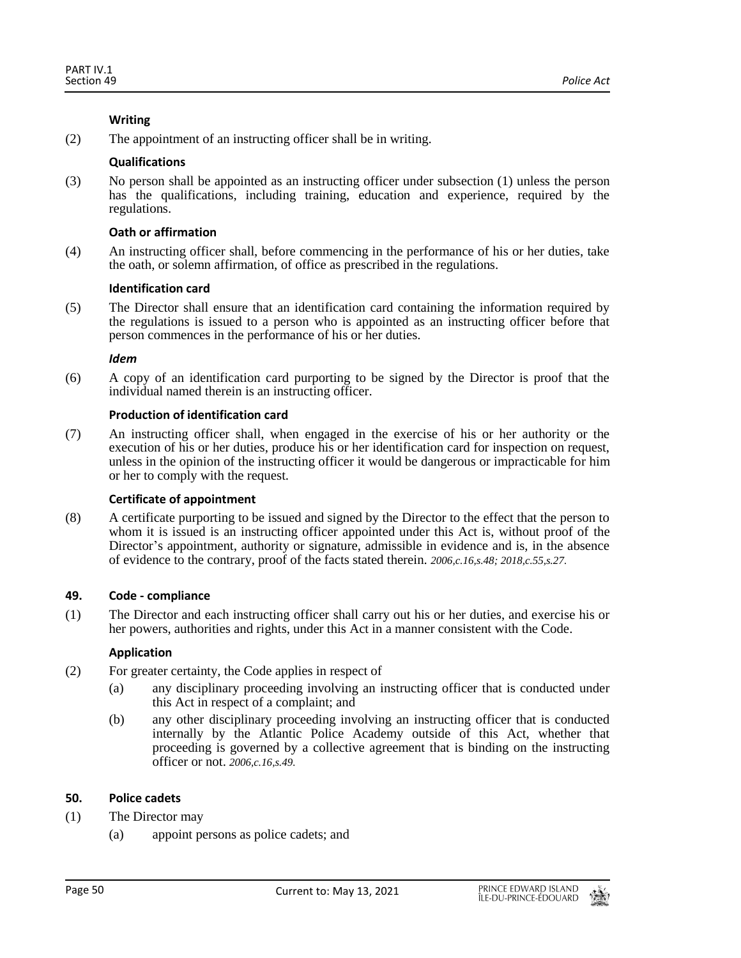## **Writing**

(2) The appointment of an instructing officer shall be in writing.

## **Qualifications**

(3) No person shall be appointed as an instructing officer under subsection (1) unless the person has the qualifications, including training, education and experience, required by the regulations.

## **Oath or affirmation**

(4) An instructing officer shall, before commencing in the performance of his or her duties, take the oath, or solemn affirmation, of office as prescribed in the regulations.

## **Identification card**

(5) The Director shall ensure that an identification card containing the information required by the regulations is issued to a person who is appointed as an instructing officer before that person commences in the performance of his or her duties.

## *Idem*

(6) A copy of an identification card purporting to be signed by the Director is proof that the individual named therein is an instructing officer.

## **Production of identification card**

(7) An instructing officer shall, when engaged in the exercise of his or her authority or the execution of his or her duties, produce his or her identification card for inspection on request, unless in the opinion of the instructing officer it would be dangerous or impracticable for him or her to comply with the request.

## **Certificate of appointment**

(8) A certificate purporting to be issued and signed by the Director to the effect that the person to whom it is issued is an instructing officer appointed under this Act is, without proof of the Director's appointment, authority or signature, admissible in evidence and is, in the absence of evidence to the contrary, proof of the facts stated therein. *2006,c.16,s.48; 2018,c.55,s.27.*

## <span id="page-49-0"></span>**49. Code - compliance**

(1) The Director and each instructing officer shall carry out his or her duties, and exercise his or her powers, authorities and rights, under this Act in a manner consistent with the Code.

## **Application**

- (2) For greater certainty, the Code applies in respect of
	- (a) any disciplinary proceeding involving an instructing officer that is conducted under this Act in respect of a complaint; and
	- (b) any other disciplinary proceeding involving an instructing officer that is conducted internally by the Atlantic Police Academy outside of this Act, whether that proceeding is governed by a collective agreement that is binding on the instructing officer or not. *2006,c.16,s.49.*

## <span id="page-49-1"></span>**50. Police cadets**

- (1) The Director may
	- (a) appoint persons as police cadets; and

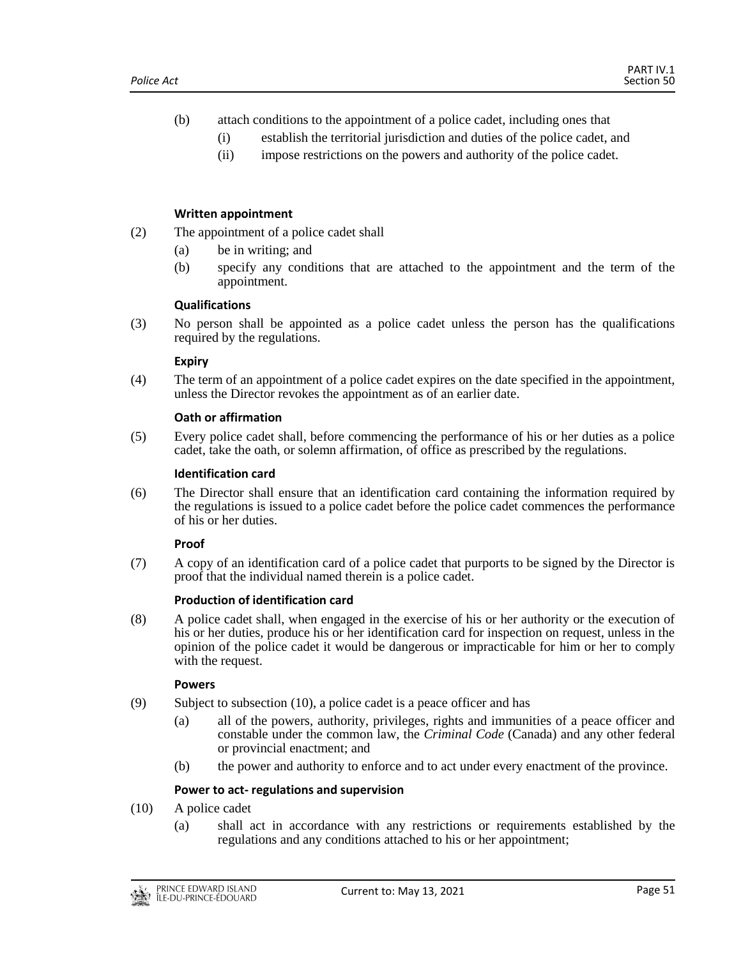- (b) attach conditions to the appointment of a police cadet, including ones that
	- (i) establish the territorial jurisdiction and duties of the police cadet, and
	- (ii) impose restrictions on the powers and authority of the police cadet.

## **Written appointment**

- (2) The appointment of a police cadet shall
	- (a) be in writing; and
	- (b) specify any conditions that are attached to the appointment and the term of the appointment.

#### **Qualifications**

(3) No person shall be appointed as a police cadet unless the person has the qualifications required by the regulations.

#### **Expiry**

(4) The term of an appointment of a police cadet expires on the date specified in the appointment, unless the Director revokes the appointment as of an earlier date.

#### **Oath or affirmation**

(5) Every police cadet shall, before commencing the performance of his or her duties as a police cadet, take the oath, or solemn affirmation, of office as prescribed by the regulations.

#### **Identification card**

(6) The Director shall ensure that an identification card containing the information required by the regulations is issued to a police cadet before the police cadet commences the performance of his or her duties.

#### **Proof**

(7) A copy of an identification card of a police cadet that purports to be signed by the Director is proof that the individual named therein is a police cadet.

#### **Production of identification card**

(8) A police cadet shall, when engaged in the exercise of his or her authority or the execution of his or her duties, produce his or her identification card for inspection on request, unless in the opinion of the police cadet it would be dangerous or impracticable for him or her to comply with the request.

#### **Powers**

- (9) Subject to subsection (10), a police cadet is a peace officer and has
	- (a) all of the powers, authority, privileges, rights and immunities of a peace officer and constable under the common law, the *Criminal Code* (Canada) and any other federal or provincial enactment; and
	- (b) the power and authority to enforce and to act under every enactment of the province.

#### **Power to act- regulations and supervision**

- (10) A police cadet
	- (a) shall act in accordance with any restrictions or requirements established by the regulations and any conditions attached to his or her appointment;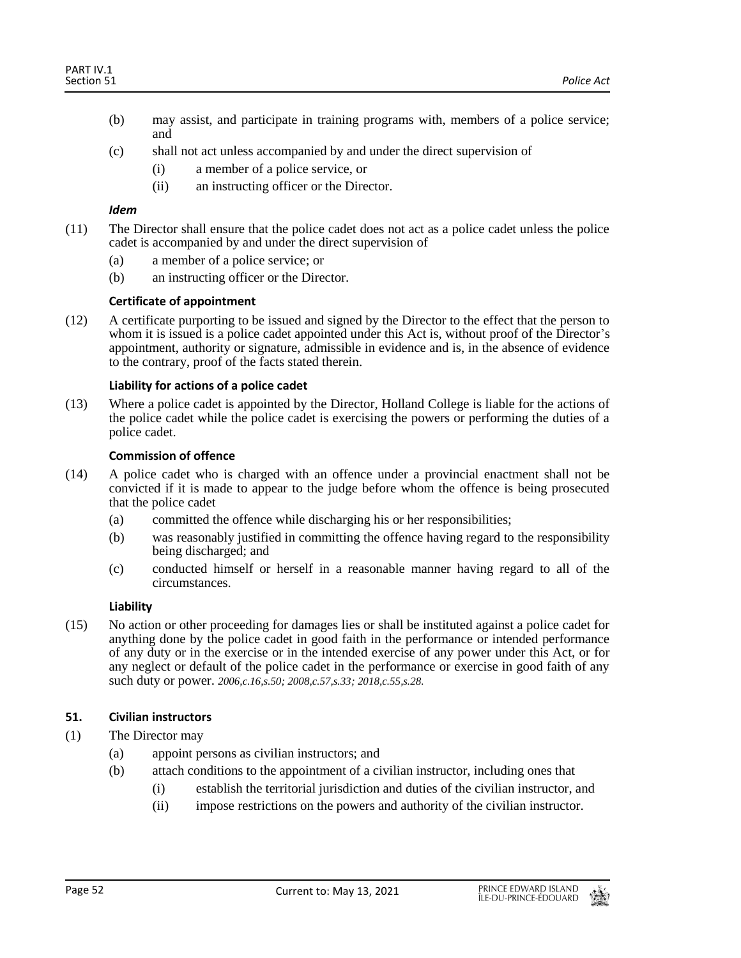- (b) may assist, and participate in training programs with, members of a police service; and
- (c) shall not act unless accompanied by and under the direct supervision of
	- (i) a member of a police service, or
	- (ii) an instructing officer or the Director.

## *Idem*

- (11) The Director shall ensure that the police cadet does not act as a police cadet unless the police cadet is accompanied by and under the direct supervision of
	- (a) a member of a police service; or
	- (b) an instructing officer or the Director.

## **Certificate of appointment**

(12) A certificate purporting to be issued and signed by the Director to the effect that the person to whom it is issued is a police cadet appointed under this Act is, without proof of the Director's appointment, authority or signature, admissible in evidence and is, in the absence of evidence to the contrary, proof of the facts stated therein.

## **Liability for actions of a police cadet**

(13) Where a police cadet is appointed by the Director, Holland College is liable for the actions of the police cadet while the police cadet is exercising the powers or performing the duties of a police cadet.

## **Commission of offence**

- (14) A police cadet who is charged with an offence under a provincial enactment shall not be convicted if it is made to appear to the judge before whom the offence is being prosecuted that the police cadet
	- (a) committed the offence while discharging his or her responsibilities;
	- (b) was reasonably justified in committing the offence having regard to the responsibility being discharged; and
	- (c) conducted himself or herself in a reasonable manner having regard to all of the circumstances.

## **Liability**

(15) No action or other proceeding for damages lies or shall be instituted against a police cadet for anything done by the police cadet in good faith in the performance or intended performance of any duty or in the exercise or in the intended exercise of any power under this Act, or for any neglect or default of the police cadet in the performance or exercise in good faith of any such duty or power. *2006,c.16,s.50; 2008,c.57,s.33; 2018,c.55,s.28.*

## <span id="page-51-0"></span>**51. Civilian instructors**

- (1) The Director may
	- (a) appoint persons as civilian instructors; and
	- (b) attach conditions to the appointment of a civilian instructor, including ones that
		- (i) establish the territorial jurisdiction and duties of the civilian instructor, and
			- (ii) impose restrictions on the powers and authority of the civilian instructor.

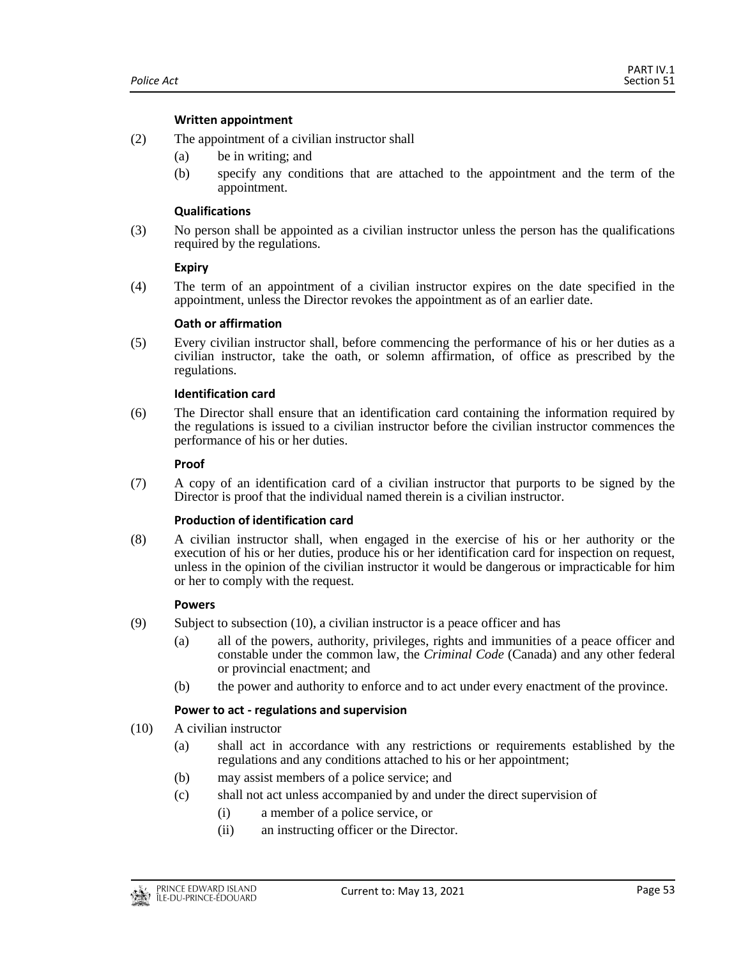## **Written appointment**

- (2) The appointment of a civilian instructor shall
	- (a) be in writing; and
	- (b) specify any conditions that are attached to the appointment and the term of the appointment.

#### **Qualifications**

(3) No person shall be appointed as a civilian instructor unless the person has the qualifications required by the regulations.

## **Expiry**

(4) The term of an appointment of a civilian instructor expires on the date specified in the appointment, unless the Director revokes the appointment as of an earlier date.

## **Oath or affirmation**

(5) Every civilian instructor shall, before commencing the performance of his or her duties as a civilian instructor, take the oath, or solemn affirmation, of office as prescribed by the regulations.

## **Identification card**

(6) The Director shall ensure that an identification card containing the information required by the regulations is issued to a civilian instructor before the civilian instructor commences the performance of his or her duties.

#### **Proof**

(7) A copy of an identification card of a civilian instructor that purports to be signed by the Director is proof that the individual named therein is a civilian instructor.

#### **Production of identification card**

(8) A civilian instructor shall, when engaged in the exercise of his or her authority or the execution of his or her duties, produce his or her identification card for inspection on request, unless in the opinion of the civilian instructor it would be dangerous or impracticable for him or her to comply with the request.

## **Powers**

- (9) Subject to subsection (10), a civilian instructor is a peace officer and has
	- (a) all of the powers, authority, privileges, rights and immunities of a peace officer and constable under the common law, the *Criminal Code* (Canada) and any other federal or provincial enactment; and
	- (b) the power and authority to enforce and to act under every enactment of the province.

## **Power to act - regulations and supervision**

- (10) A civilian instructor
	- (a) shall act in accordance with any restrictions or requirements established by the regulations and any conditions attached to his or her appointment;
	- (b) may assist members of a police service; and
	- (c) shall not act unless accompanied by and under the direct supervision of
		- (i) a member of a police service, or
			- (ii) an instructing officer or the Director.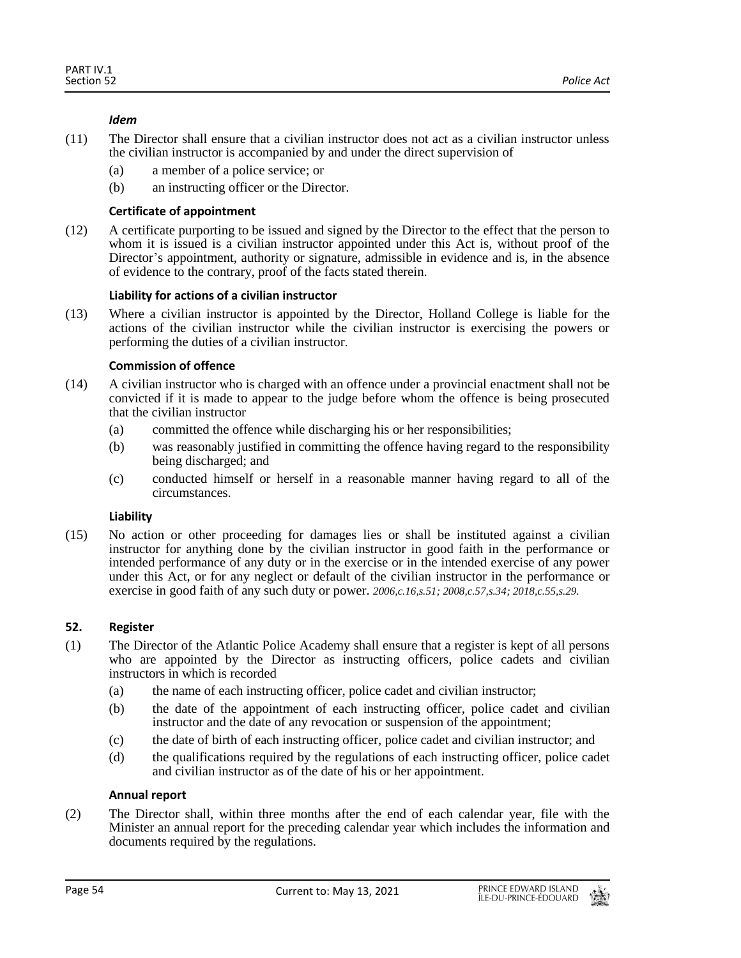## *Idem*

- (11) The Director shall ensure that a civilian instructor does not act as a civilian instructor unless the civilian instructor is accompanied by and under the direct supervision of
	- (a) a member of a police service; or
	- (b) an instructing officer or the Director.

## **Certificate of appointment**

(12) A certificate purporting to be issued and signed by the Director to the effect that the person to whom it is issued is a civilian instructor appointed under this Act is, without proof of the Director's appointment, authority or signature, admissible in evidence and is, in the absence of evidence to the contrary, proof of the facts stated therein.

## **Liability for actions of a civilian instructor**

(13) Where a civilian instructor is appointed by the Director, Holland College is liable for the actions of the civilian instructor while the civilian instructor is exercising the powers or performing the duties of a civilian instructor.

## **Commission of offence**

- (14) A civilian instructor who is charged with an offence under a provincial enactment shall not be convicted if it is made to appear to the judge before whom the offence is being prosecuted that the civilian instructor
	- (a) committed the offence while discharging his or her responsibilities;
	- (b) was reasonably justified in committing the offence having regard to the responsibility being discharged; and
	- (c) conducted himself or herself in a reasonable manner having regard to all of the circumstances.

#### **Liability**

(15) No action or other proceeding for damages lies or shall be instituted against a civilian instructor for anything done by the civilian instructor in good faith in the performance or intended performance of any duty or in the exercise or in the intended exercise of any power under this Act, or for any neglect or default of the civilian instructor in the performance or exercise in good faith of any such duty or power. *2006,c.16,s.51; 2008,c.57,s.34; 2018,c.55,s.29.*

## <span id="page-53-0"></span>**52. Register**

- (1) The Director of the Atlantic Police Academy shall ensure that a register is kept of all persons who are appointed by the Director as instructing officers, police cadets and civilian instructors in which is recorded
	- (a) the name of each instructing officer, police cadet and civilian instructor;
	- (b) the date of the appointment of each instructing officer, police cadet and civilian instructor and the date of any revocation or suspension of the appointment;
	- (c) the date of birth of each instructing officer, police cadet and civilian instructor; and
	- (d) the qualifications required by the regulations of each instructing officer, police cadet and civilian instructor as of the date of his or her appointment.

## **Annual report**

(2) The Director shall, within three months after the end of each calendar year, file with the Minister an annual report for the preceding calendar year which includes the information and documents required by the regulations.

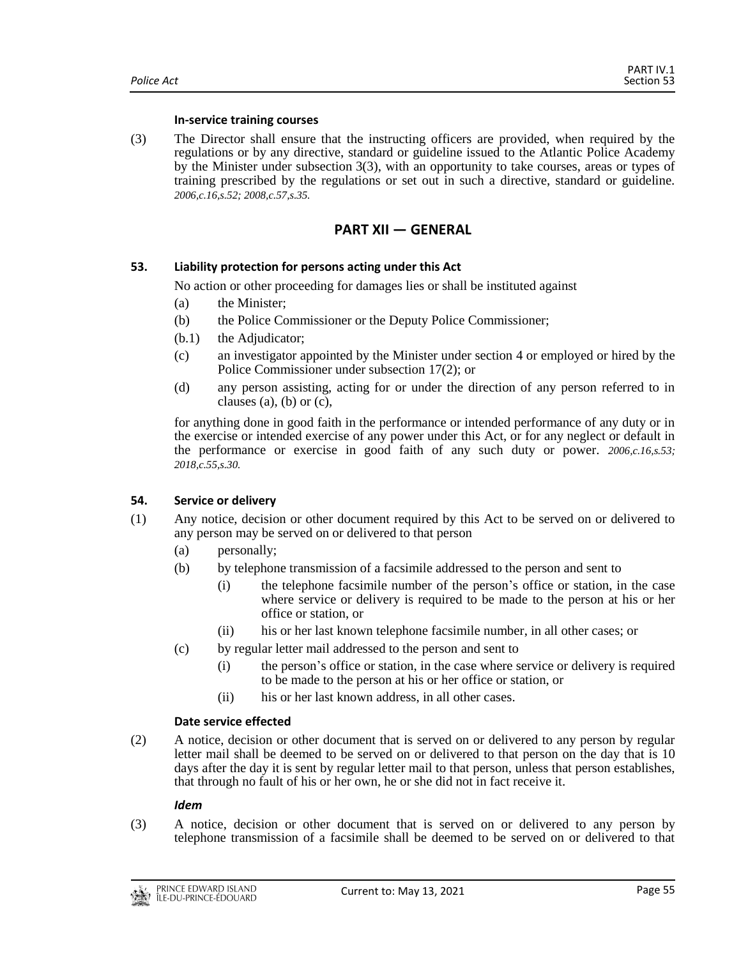#### **In-service training courses**

(3) The Director shall ensure that the instructing officers are provided, when required by the regulations or by any directive, standard or guideline issued to the Atlantic Police Academy by the Minister under subsection 3(3), with an opportunity to take courses, areas or types of training prescribed by the regulations or set out in such a directive, standard or guideline. *2006,c.16,s.52; 2008,c.57,s.35.*

## **PART XII — GENERAL**

#### <span id="page-54-1"></span><span id="page-54-0"></span>**53. Liability protection for persons acting under this Act**

No action or other proceeding for damages lies or shall be instituted against

- (a) the Minister;
- (b) the Police Commissioner or the Deputy Police Commissioner;
- (b.1) the Adjudicator;
- (c) an investigator appointed by the Minister under section 4 or employed or hired by the Police Commissioner under subsection 17(2); or
- (d) any person assisting, acting for or under the direction of any person referred to in clauses (a), (b) or  $(c)$ ,

for anything done in good faith in the performance or intended performance of any duty or in the exercise or intended exercise of any power under this Act, or for any neglect or default in the performance or exercise in good faith of any such duty or power. *2006,c.16,s.53; 2018,c.55,s.30.*

#### <span id="page-54-2"></span>**54. Service or delivery**

- (1) Any notice, decision or other document required by this Act to be served on or delivered to any person may be served on or delivered to that person
	- (a) personally;
	- (b) by telephone transmission of a facsimile addressed to the person and sent to
		- (i) the telephone facsimile number of the person's office or station, in the case where service or delivery is required to be made to the person at his or her office or station, or
		- (ii) his or her last known telephone facsimile number, in all other cases; or
	- (c) by regular letter mail addressed to the person and sent to
		- (i) the person's office or station, in the case where service or delivery is required to be made to the person at his or her office or station, or
		- (ii) his or her last known address, in all other cases.

#### **Date service effected**

(2) A notice, decision or other document that is served on or delivered to any person by regular letter mail shall be deemed to be served on or delivered to that person on the day that is 10 days after the day it is sent by regular letter mail to that person, unless that person establishes, that through no fault of his or her own, he or she did not in fact receive it.

#### *Idem*

(3) A notice, decision or other document that is served on or delivered to any person by telephone transmission of a facsimile shall be deemed to be served on or delivered to that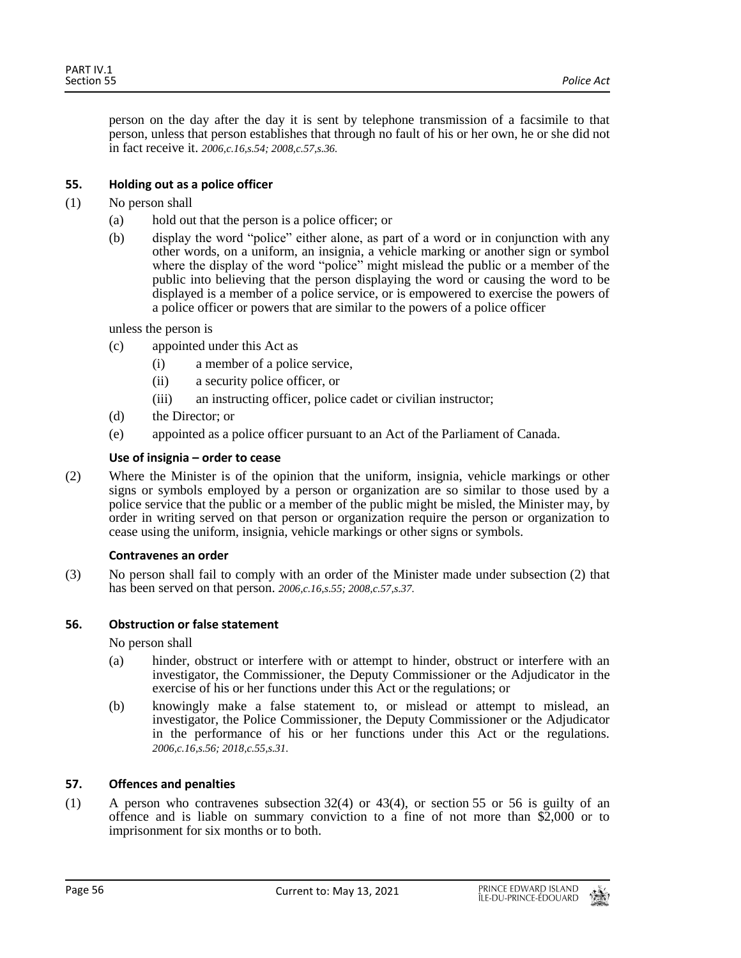person on the day after the day it is sent by telephone transmission of a facsimile to that person, unless that person establishes that through no fault of his or her own, he or she did not in fact receive it. *2006,c.16,s.54; 2008,c.57,s.36.*

## <span id="page-55-0"></span>**55. Holding out as a police officer**

- (1) No person shall
	- (a) hold out that the person is a police officer; or
	- (b) display the word "police" either alone, as part of a word or in conjunction with any other words, on a uniform, an insignia, a vehicle marking or another sign or symbol where the display of the word "police" might mislead the public or a member of the public into believing that the person displaying the word or causing the word to be displayed is a member of a police service, or is empowered to exercise the powers of a police officer or powers that are similar to the powers of a police officer

unless the person is

- (c) appointed under this Act as
	- (i) a member of a police service,
	- (ii) a security police officer, or
	- (iii) an instructing officer, police cadet or civilian instructor;
- (d) the Director; or
- (e) appointed as a police officer pursuant to an Act of the Parliament of Canada.

#### **Use of insignia – order to cease**

(2) Where the Minister is of the opinion that the uniform, insignia, vehicle markings or other signs or symbols employed by a person or organization are so similar to those used by a police service that the public or a member of the public might be misled, the Minister may, by order in writing served on that person or organization require the person or organization to cease using the uniform, insignia, vehicle markings or other signs or symbols.

#### **Contravenes an order**

(3) No person shall fail to comply with an order of the Minister made under subsection (2) that has been served on that person. *2006,c.16,s.55; 2008,c.57,s.37.*

#### <span id="page-55-1"></span>**56. Obstruction or false statement**

No person shall

- (a) hinder, obstruct or interfere with or attempt to hinder, obstruct or interfere with an investigator, the Commissioner, the Deputy Commissioner or the Adjudicator in the exercise of his or her functions under this Act or the regulations; or
- (b) knowingly make a false statement to, or mislead or attempt to mislead, an investigator, the Police Commissioner, the Deputy Commissioner or the Adjudicator in the performance of his or her functions under this Act or the regulations. *2006,c.16,s.56; 2018,c.55,s.31.*

#### <span id="page-55-2"></span>**57. Offences and penalties**

(1) A person who contravenes subsection 32(4) or 43(4), or section 55 or 56 is guilty of an offence and is liable on summary conviction to a fine of not more than \$2,000 or to imprisonment for six months or to both.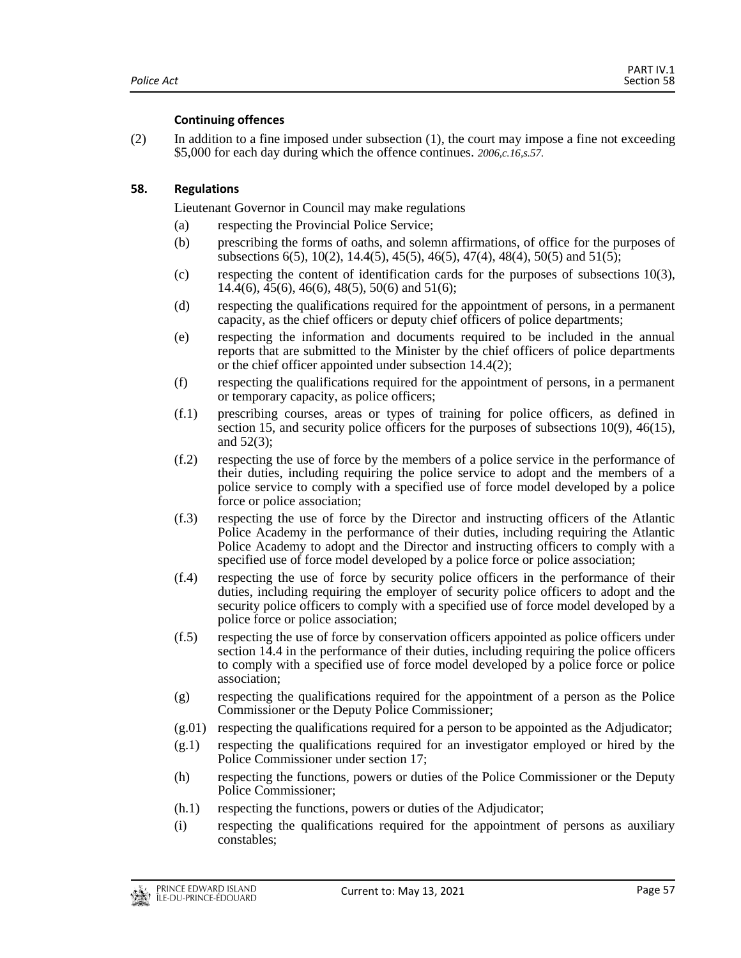## **Continuing offences**

(2) In addition to a fine imposed under subsection (1), the court may impose a fine not exceeding \$5,000 for each day during which the offence continues. *2006,c.16,s.57.*

## <span id="page-56-0"></span>**58. Regulations**

Lieutenant Governor in Council may make regulations

- (a) respecting the Provincial Police Service;
- (b) prescribing the forms of oaths, and solemn affirmations, of office for the purposes of subsections 6(5), 10(2), 14.4(5), 45(5), 46(5), 47(4), 48(4), 50(5) and 51(5);
- (c) respecting the content of identification cards for the purposes of subsections 10(3),  $14.4(6)$ ,  $45(6)$ ,  $46(6)$ ,  $48(5)$ ,  $50(6)$  and  $51(6)$ ;
- (d) respecting the qualifications required for the appointment of persons, in a permanent capacity, as the chief officers or deputy chief officers of police departments;
- (e) respecting the information and documents required to be included in the annual reports that are submitted to the Minister by the chief officers of police departments or the chief officer appointed under subsection 14.4(2);
- (f) respecting the qualifications required for the appointment of persons, in a permanent or temporary capacity, as police officers;
- (f.1) prescribing courses, areas or types of training for police officers, as defined in section 15, and security police officers for the purposes of subsections 10(9), 46(15), and 52(3);
- (f.2) respecting the use of force by the members of a police service in the performance of their duties, including requiring the police service to adopt and the members of a police service to comply with a specified use of force model developed by a police force or police association;
- (f.3) respecting the use of force by the Director and instructing officers of the Atlantic Police Academy in the performance of their duties, including requiring the Atlantic Police Academy to adopt and the Director and instructing officers to comply with a specified use of force model developed by a police force or police association;
- (f.4) respecting the use of force by security police officers in the performance of their duties, including requiring the employer of security police officers to adopt and the security police officers to comply with a specified use of force model developed by a police force or police association;
- (f.5) respecting the use of force by conservation officers appointed as police officers under section 14.4 in the performance of their duties, including requiring the police officers to comply with a specified use of force model developed by a police force or police association;
- (g) respecting the qualifications required for the appointment of a person as the Police Commissioner or the Deputy Police Commissioner;
- $(g.01)$  respecting the qualifications required for a person to be appointed as the Adjudicator;
- (g.1) respecting the qualifications required for an investigator employed or hired by the Police Commissioner under section 17;
- (h) respecting the functions, powers or duties of the Police Commissioner or the Deputy Police Commissioner;
- (h.1) respecting the functions, powers or duties of the Adjudicator;
- (i) respecting the qualifications required for the appointment of persons as auxiliary constables;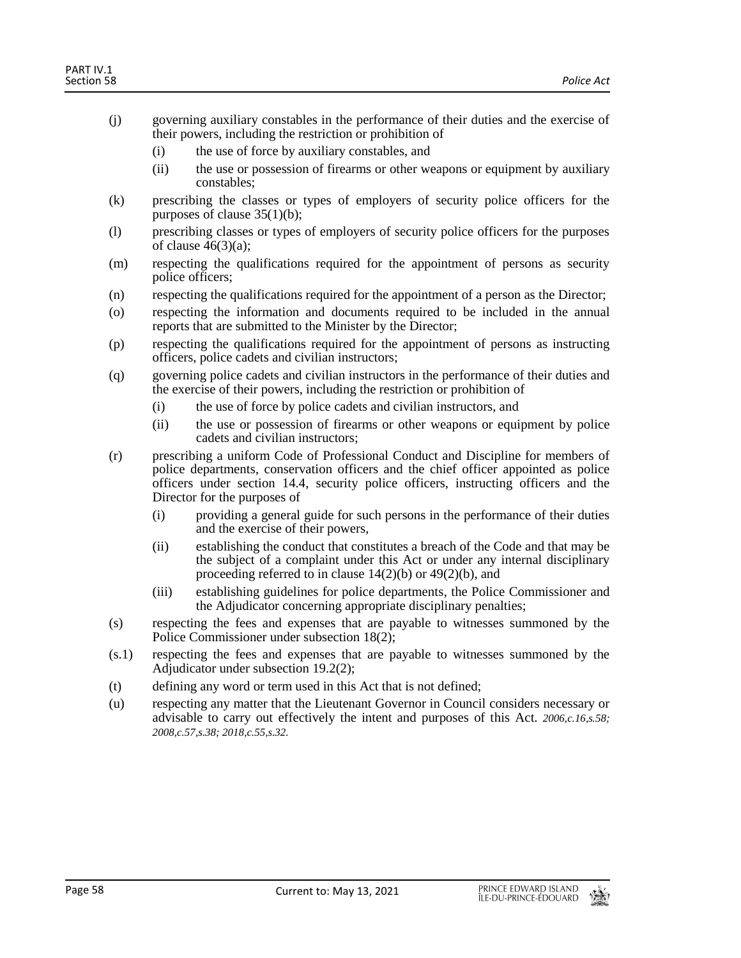- (j) governing auxiliary constables in the performance of their duties and the exercise of their powers, including the restriction or prohibition of
	- (i) the use of force by auxiliary constables, and
	- (ii) the use or possession of firearms or other weapons or equipment by auxiliary constables;
- (k) prescribing the classes or types of employers of security police officers for the purposes of clause 35(1)(b);
- (l) prescribing classes or types of employers of security police officers for the purposes of clause  $46(3)(a)$ ;
- (m) respecting the qualifications required for the appointment of persons as security police officers;
- (n) respecting the qualifications required for the appointment of a person as the Director;
- (o) respecting the information and documents required to be included in the annual reports that are submitted to the Minister by the Director;
- (p) respecting the qualifications required for the appointment of persons as instructing officers, police cadets and civilian instructors;
- (q) governing police cadets and civilian instructors in the performance of their duties and the exercise of their powers, including the restriction or prohibition of
	- (i) the use of force by police cadets and civilian instructors, and
	- (ii) the use or possession of firearms or other weapons or equipment by police cadets and civilian instructors;
- (r) prescribing a uniform Code of Professional Conduct and Discipline for members of police departments, conservation officers and the chief officer appointed as police officers under section 14.4, security police officers, instructing officers and the Director for the purposes of
	- (i) providing a general guide for such persons in the performance of their duties and the exercise of their powers,
	- (ii) establishing the conduct that constitutes a breach of the Code and that may be the subject of a complaint under this Act or under any internal disciplinary proceeding referred to in clause 14(2)(b) or 49(2)(b), and
	- (iii) establishing guidelines for police departments, the Police Commissioner and the Adjudicator concerning appropriate disciplinary penalties;
- (s) respecting the fees and expenses that are payable to witnesses summoned by the Police Commissioner under subsection 18(2);
- (s.1) respecting the fees and expenses that are payable to witnesses summoned by the Adjudicator under subsection 19.2(2);
- (t) defining any word or term used in this Act that is not defined;
- (u) respecting any matter that the Lieutenant Governor in Council considers necessary or advisable to carry out effectively the intent and purposes of this Act. *2006,c.16,s.58; 2008,c.57,s.38; 2018,c.55,s.32.*

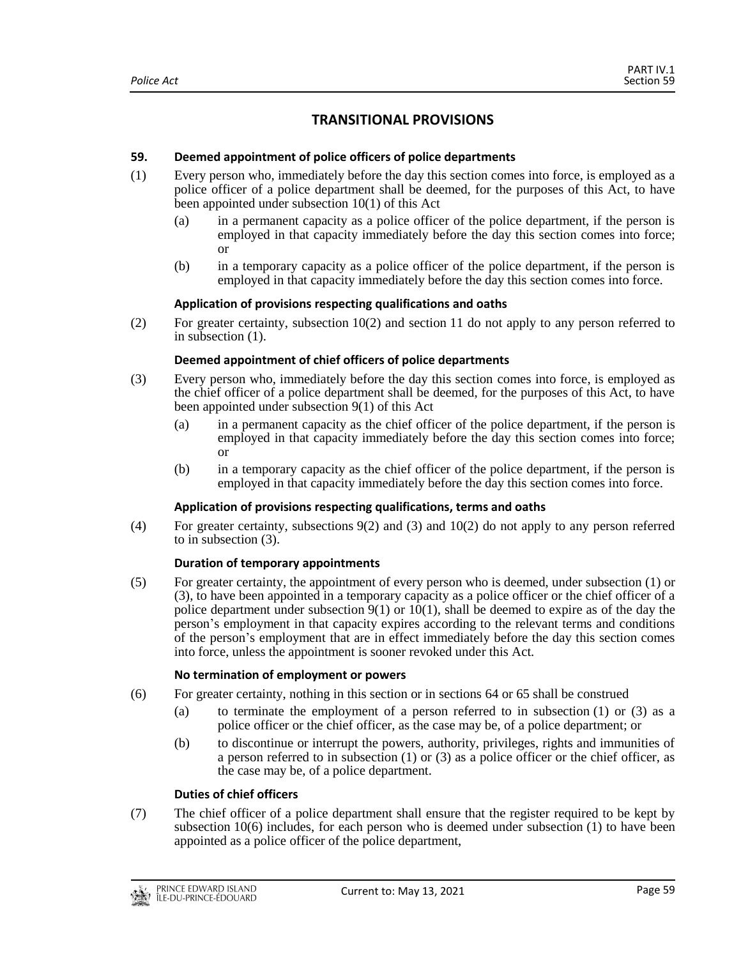# **TRANSITIONAL PROVISIONS**

## <span id="page-58-1"></span><span id="page-58-0"></span>**59. Deemed appointment of police officers of police departments**

- (1) Every person who, immediately before the day this section comes into force, is employed as a police officer of a police department shall be deemed, for the purposes of this Act, to have been appointed under subsection 10(1) of this Act
	- (a) in a permanent capacity as a police officer of the police department, if the person is employed in that capacity immediately before the day this section comes into force; or
	- (b) in a temporary capacity as a police officer of the police department, if the person is employed in that capacity immediately before the day this section comes into force.

## **Application of provisions respecting qualifications and oaths**

(2) For greater certainty, subsection 10(2) and section 11 do not apply to any person referred to in subsection (1).

## **Deemed appointment of chief officers of police departments**

- (3) Every person who, immediately before the day this section comes into force, is employed as the chief officer of a police department shall be deemed, for the purposes of this Act, to have been appointed under subsection 9(1) of this Act
	- (a) in a permanent capacity as the chief officer of the police department, if the person is employed in that capacity immediately before the day this section comes into force; or
	- (b) in a temporary capacity as the chief officer of the police department, if the person is employed in that capacity immediately before the day this section comes into force.

## **Application of provisions respecting qualifications, terms and oaths**

(4) For greater certainty, subsections 9(2) and (3) and 10(2) do not apply to any person referred to in subsection (3).

#### **Duration of temporary appointments**

(5) For greater certainty, the appointment of every person who is deemed, under subsection (1) or (3), to have been appointed in a temporary capacity as a police officer or the chief officer of a police department under subsection  $9(1)$  or  $10(1)$ , shall be deemed to expire as of the day the person's employment in that capacity expires according to the relevant terms and conditions of the person's employment that are in effect immediately before the day this section comes into force, unless the appointment is sooner revoked under this Act.

#### **No termination of employment or powers**

- (6) For greater certainty, nothing in this section or in sections 64 or 65 shall be construed
	- (a) to terminate the employment of a person referred to in subsection (1) or (3) as a police officer or the chief officer, as the case may be, of a police department; or
	- (b) to discontinue or interrupt the powers, authority, privileges, rights and immunities of a person referred to in subsection (1) or (3) as a police officer or the chief officer, as the case may be, of a police department.

## **Duties of chief officers**

(7) The chief officer of a police department shall ensure that the register required to be kept by subsection 10(6) includes, for each person who is deemed under subsection (1) to have been appointed as a police officer of the police department,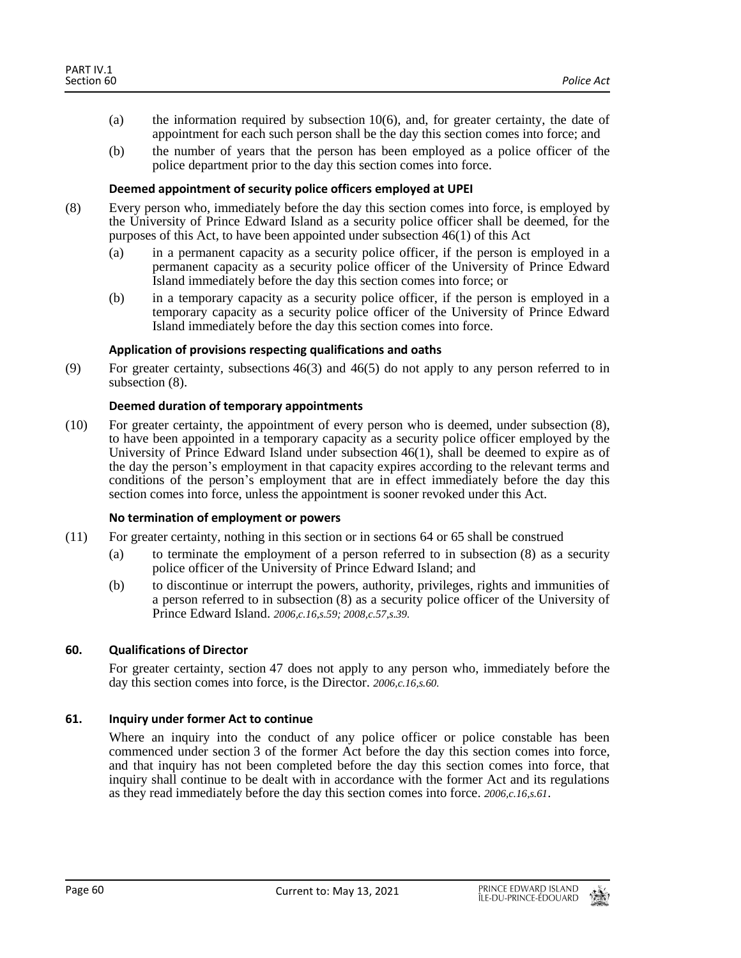- (a) the information required by subsection 10(6), and, for greater certainty, the date of appointment for each such person shall be the day this section comes into force; and
- (b) the number of years that the person has been employed as a police officer of the police department prior to the day this section comes into force.

## **Deemed appointment of security police officers employed at UPEI**

- (8) Every person who, immediately before the day this section comes into force, is employed by the University of Prince Edward Island as a security police officer shall be deemed, for the purposes of this Act, to have been appointed under subsection 46(1) of this Act
	- (a) in a permanent capacity as a security police officer, if the person is employed in a permanent capacity as a security police officer of the University of Prince Edward Island immediately before the day this section comes into force; or
	- (b) in a temporary capacity as a security police officer, if the person is employed in a temporary capacity as a security police officer of the University of Prince Edward Island immediately before the day this section comes into force.

## **Application of provisions respecting qualifications and oaths**

(9) For greater certainty, subsections 46(3) and 46(5) do not apply to any person referred to in subsection (8).

## **Deemed duration of temporary appointments**

(10) For greater certainty, the appointment of every person who is deemed, under subsection (8), to have been appointed in a temporary capacity as a security police officer employed by the University of Prince Edward Island under subsection 46(1), shall be deemed to expire as of the day the person's employment in that capacity expires according to the relevant terms and conditions of the person's employment that are in effect immediately before the day this section comes into force, unless the appointment is sooner revoked under this Act.

#### **No termination of employment or powers**

- (11) For greater certainty, nothing in this section or in sections 64 or 65 shall be construed
	- (a) to terminate the employment of a person referred to in subsection (8) as a security police officer of the University of Prince Edward Island; and
	- (b) to discontinue or interrupt the powers, authority, privileges, rights and immunities of a person referred to in subsection (8) as a security police officer of the University of Prince Edward Island. *2006,c.16,s.59; 2008,c.57,s.39.*

## <span id="page-59-0"></span>**60. Qualifications of Director**

For greater certainty, section 47 does not apply to any person who, immediately before the day this section comes into force, is the Director. *2006,c.16,s.60.*

## <span id="page-59-1"></span>**61. Inquiry under former Act to continue**

Where an inquiry into the conduct of any police officer or police constable has been commenced under section 3 of the former Act before the day this section comes into force, and that inquiry has not been completed before the day this section comes into force, that inquiry shall continue to be dealt with in accordance with the former Act and its regulations as they read immediately before the day this section comes into force. *2006,c.16,s.61*.